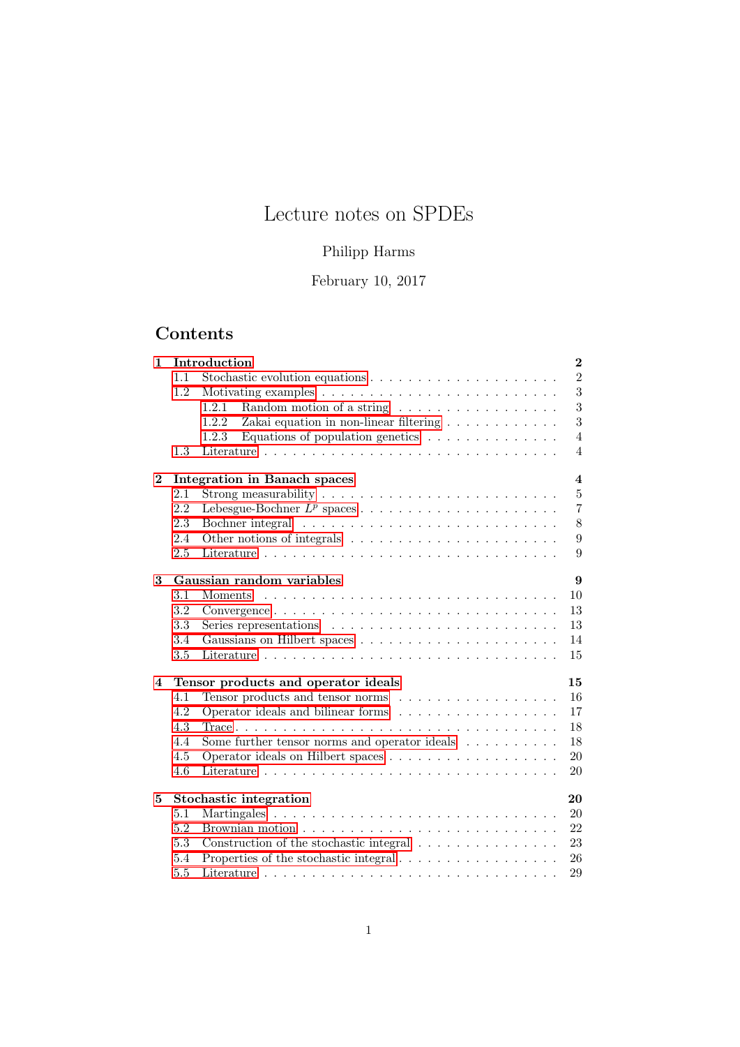# Lecture notes on SPDEs

## Philipp Harms

February 10, 2017

# Contents

| 1            | Introduction                              |                                                                                            |                         |  |  |
|--------------|-------------------------------------------|--------------------------------------------------------------------------------------------|-------------------------|--|--|
|              | 1.1                                       |                                                                                            | $\overline{2}$          |  |  |
|              | 1.2                                       |                                                                                            | 3                       |  |  |
|              |                                           | 1.2.1<br>Random motion of a string                                                         | 3                       |  |  |
|              |                                           | Zakai equation in non-linear filtering $\ldots \ldots \ldots \ldots$<br>1.2.2              | 3                       |  |  |
|              |                                           | 1.2.3<br>Equations of population genetics $\ldots \ldots \ldots \ldots$                    | $\overline{4}$          |  |  |
|              | 1.3                                       |                                                                                            | $\overline{4}$          |  |  |
| $\mathbf{2}$ |                                           | <b>Integration in Banach spaces</b>                                                        | $\overline{\mathbf{4}}$ |  |  |
|              | 2.1                                       | Strong measurability $\dots \dots \dots \dots \dots \dots \dots \dots \dots$               | $\bf 5$                 |  |  |
|              | 2.2                                       |                                                                                            | $\overline{7}$          |  |  |
|              | 2.3                                       |                                                                                            | $8\,$                   |  |  |
|              | 2.4                                       |                                                                                            | 9                       |  |  |
|              | 2.5                                       |                                                                                            | 9                       |  |  |
| 3            |                                           | Gaussian random variables                                                                  | 9                       |  |  |
|              | 3.1                                       | Moments                                                                                    | 10                      |  |  |
|              | 3.2                                       | $Convergence \ldots \ldots \ldots \ldots \ldots \ldots \ldots \ldots \ldots \ldots \ldots$ | 13                      |  |  |
|              | 3.3                                       | Series representations $\ldots \ldots \ldots \ldots \ldots \ldots \ldots \ldots$           | 13                      |  |  |
|              | 3.4                                       |                                                                                            | 14                      |  |  |
|              | 3.5                                       |                                                                                            | 15                      |  |  |
| 4            | 15<br>Tensor products and operator ideals |                                                                                            |                         |  |  |
|              | 4.1                                       | Tensor products and tensor norms                                                           | 16                      |  |  |
|              | 4.2                                       | Operator ideals and bilinear forms                                                         | 17                      |  |  |
|              | 4.3                                       |                                                                                            | 18                      |  |  |
|              | 4.4                                       | Some further tensor norms and operator ideals $\dots \dots \dots$                          | 18                      |  |  |
|              | 4.5                                       |                                                                                            | 20                      |  |  |
|              | 4.6                                       |                                                                                            | 20                      |  |  |
| 5            | 20<br>Stochastic integration              |                                                                                            |                         |  |  |
|              | 5.1                                       |                                                                                            | 20                      |  |  |
|              | 5.2                                       |                                                                                            | 22                      |  |  |
|              | 5.3                                       | Construction of the stochastic integral                                                    | 23                      |  |  |
|              | 5.4                                       | Properties of the stochastic integral $\ldots \ldots \ldots \ldots \ldots \ldots$          | 26                      |  |  |
|              | 5.5                                       |                                                                                            | 29                      |  |  |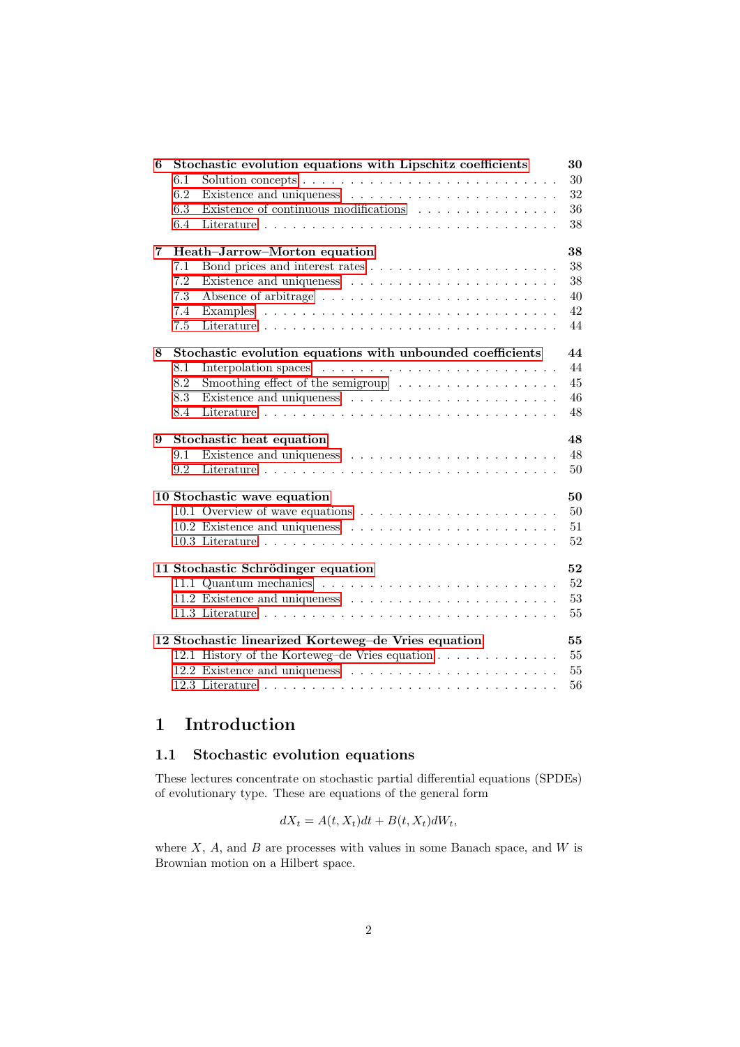| 6 | Stochastic evolution equations with Lipschitz coefficients |                                                                         |    |  |  |
|---|------------------------------------------------------------|-------------------------------------------------------------------------|----|--|--|
|   | 6.1                                                        |                                                                         | 30 |  |  |
|   | 6.2                                                        |                                                                         | 32 |  |  |
|   | 6.3                                                        | Existence of continuous modifications                                   | 36 |  |  |
|   | 6.4                                                        |                                                                         | 38 |  |  |
| 7 | 38<br>Heath-Jarrow-Morton equation                         |                                                                         |    |  |  |
|   | 7.1                                                        |                                                                         | 38 |  |  |
|   | 7.2                                                        |                                                                         | 38 |  |  |
|   | 7.3                                                        |                                                                         | 40 |  |  |
|   | 7.4                                                        |                                                                         | 42 |  |  |
|   | 7.5                                                        |                                                                         | 44 |  |  |
| 8 | Stochastic evolution equations with unbounded coefficients |                                                                         | 44 |  |  |
|   | 8.1                                                        |                                                                         | 44 |  |  |
|   | 8.2                                                        | Smoothing effect of the semigroup $\dots \dots \dots \dots \dots \dots$ | 45 |  |  |
|   | 8.3                                                        |                                                                         | 46 |  |  |
|   | 8.4                                                        |                                                                         | 48 |  |  |
| 9 | Stochastic heat equation                                   |                                                                         |    |  |  |
|   | 9.1                                                        |                                                                         | 48 |  |  |
|   | 9.2                                                        |                                                                         | 50 |  |  |
|   |                                                            | 10 Stochastic wave equation                                             | 50 |  |  |
|   |                                                            |                                                                         | 50 |  |  |
|   |                                                            |                                                                         | 51 |  |  |
|   |                                                            |                                                                         | 52 |  |  |
|   |                                                            | 11 Stochastic Schrödinger equation                                      | 52 |  |  |
|   |                                                            |                                                                         | 52 |  |  |
|   |                                                            |                                                                         | 53 |  |  |
|   |                                                            |                                                                         | 55 |  |  |
|   |                                                            | 12 Stochastic linearized Korteweg-de Vries equation                     | 55 |  |  |
|   |                                                            | 12.1 History of the Korteweg-de Vries equation                          | 55 |  |  |
|   |                                                            |                                                                         | 55 |  |  |
|   |                                                            |                                                                         | 56 |  |  |
|   |                                                            |                                                                         |    |  |  |

# <span id="page-1-0"></span>1 Introduction

## <span id="page-1-1"></span>1.1 Stochastic evolution equations

These lectures concentrate on stochastic partial differential equations (SPDEs) of evolutionary type. These are equations of the general form

$$
dX_t = A(t, X_t)dt + B(t, X_t)dW_t,
$$

where  $X$ ,  $A$ , and  $B$  are processes with values in some Banach space, and  $W$  is Brownian motion on a Hilbert space.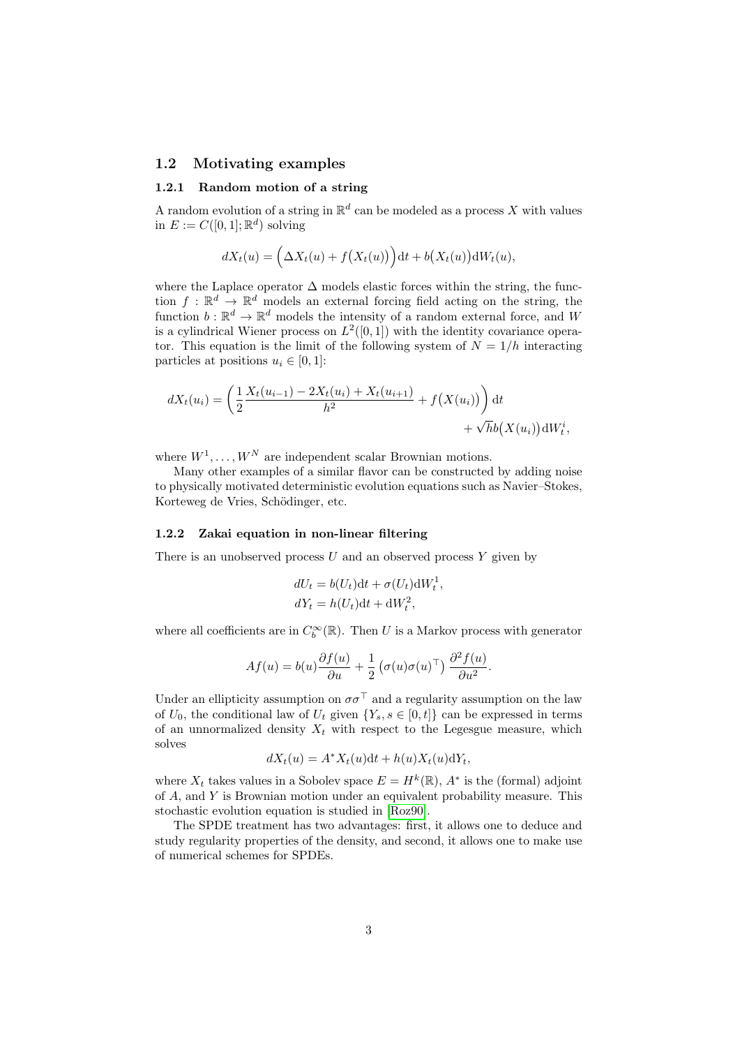#### <span id="page-2-0"></span>1.2 Motivating examples

#### <span id="page-2-1"></span>1.2.1 Random motion of a string

A random evolution of a string in  $\mathbb{R}^d$  can be modeled as a process X with values in  $E := C([0,1]; \mathbb{R}^d)$  solving

$$
dX_t(u) = \left(\Delta X_t(u) + f(X_t(u))\right)dt + b(X_t(u))dW_t(u),
$$

where the Laplace operator  $\Delta$  models elastic forces within the string, the function  $f: \mathbb{R}^d \to \mathbb{R}^d$  models an external forcing field acting on the string, the function  $b: \mathbb{R}^d \to \mathbb{R}^d$  models the intensity of a random external force, and W is a cylindrical Wiener process on  $L^2([0,1])$  with the identity covariance operator. This equation is the limit of the following system of  $N = 1/h$  interacting particles at positions  $u_i \in [0, 1]$ :

$$
dX_t(u_i) = \left(\frac{1}{2}\frac{X_t(u_{i-1}) - 2X_t(u_i) + X_t(u_{i+1})}{h^2} + f(X(u_i))\right)dt + \sqrt{h}b(X(u_i))dW_t^i,
$$

where  $W^1, \ldots, W^N$  are independent scalar Brownian motions.

Many other examples of a similar flavor can be constructed by adding noise to physically motivated deterministic evolution equations such as Navier–Stokes, Korteweg de Vries, Schödinger, etc.

#### <span id="page-2-2"></span>1.2.2 Zakai equation in non-linear filtering

There is an unobserved process  $U$  and an observed process  $Y$  given by

$$
dU_t = b(U_t)dt + \sigma(U_t)dW_t^1,
$$
  

$$
dY_t = h(U_t)dt + dW_t^2,
$$

where all coefficients are in  $C_b^{\infty}(\mathbb{R})$ . Then U is a Markov process with generator

$$
Af(u) = b(u)\frac{\partial f(u)}{\partial u} + \frac{1}{2} \left(\sigma(u)\sigma(u)^\top\right) \frac{\partial^2 f(u)}{\partial u^2}.
$$

Under an ellipticity assumption on  $\sigma\sigma^{\top}$  and a regularity assumption on the law of  $U_0$ , the conditional law of  $U_t$  given  $\{Y_s, s \in [0, t]\}$  can be expressed in terms of an unnormalized density  $X_t$  with respect to the Legesgue measure, which solves

$$
dX_t(u) = A^*X_t(u)dt + h(u)X_t(u)dY_t,
$$

where  $X_t$  takes values in a Sobolev space  $E = H^k(\mathbb{R})$ ,  $A^*$  is the (formal) adjoint of A, and Y is Brownian motion under an equivalent probability measure. This stochastic evolution equation is studied in [\[Roz90\]](#page-56-0).

The SPDE treatment has two advantages: first, it allows one to deduce and study regularity properties of the density, and second, it allows one to make use of numerical schemes for SPDEs.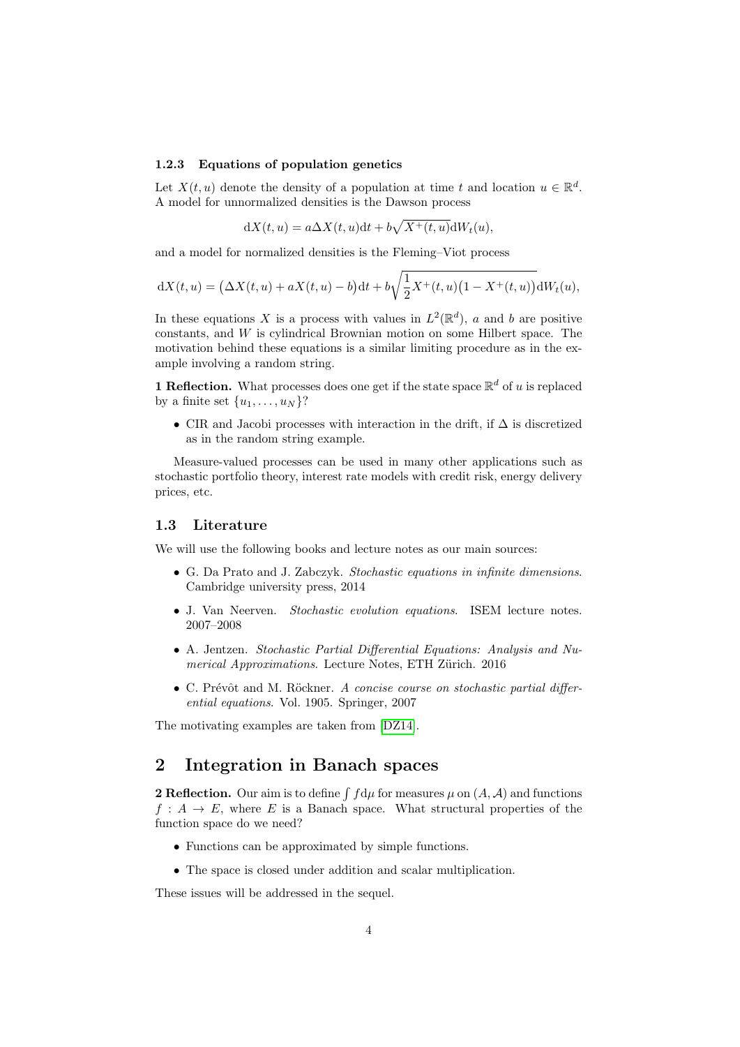#### <span id="page-3-0"></span>1.2.3 Equations of population genetics

Let  $X(t, u)$  denote the density of a population at time t and location  $u \in \mathbb{R}^d$ . A model for unnormalized densities is the Dawson process

$$
dX(t, u) = a\Delta X(t, u)dt + b\sqrt{X^+(t, u)}dW_t(u),
$$

and a model for normalized densities is the Fleming–Viot process

$$
dX(t, u) = (\Delta X(t, u) + aX(t, u) - b)dt + b\sqrt{\frac{1}{2}X^{+}(t, u)(1 - X^{+}(t, u))}dW_t(u),
$$

In these equations X is a process with values in  $L^2(\mathbb{R}^d)$ , a and b are positive  $constants$ , and  $W$  is cylindrical Brownian motion on some Hilbert space. The motivation behind these equations is a similar limiting procedure as in the example involving a random string.

**1 Reflection.** What processes does one get if the state space  $\mathbb{R}^d$  of u is replaced by a finite set  $\{u_1, \ldots, u_N\}$ ?

• CIR and Jacobi processes with interaction in the drift, if  $\Delta$  is discretized as in the random string example.

Measure-valued processes can be used in many other applications such as stochastic portfolio theory, interest rate models with credit risk, energy delivery prices, etc.

#### <span id="page-3-1"></span>1.3 Literature

We will use the following books and lecture notes as our main sources:

- G. Da Prato and J. Zabczyk. Stochastic equations in infinite dimensions. Cambridge university press, 2014
- J. Van Neerven. Stochastic evolution equations. ISEM lecture notes. 2007–2008
- A. Jentzen. Stochastic Partial Differential Equations: Analysis and Numerical Approximations. Lecture Notes, ETH Zürich. 2016
- C. Prévôt and M. Röckner. A concise course on stochastic partial differential equations. Vol. 1905. Springer, 2007

The motivating examples are taken from [\[DZ14\]](#page-56-1).

## <span id="page-3-2"></span>2 Integration in Banach spaces

**2 Reflection.** Our aim is to define  $\int f d\mu$  for measures  $\mu$  on  $(A, \mathcal{A})$  and functions  $f: A \to E$ , where E is a Banach space. What structural properties of the function space do we need?

- Functions can be approximated by simple functions.
- The space is closed under addition and scalar multiplication.

These issues will be addressed in the sequel.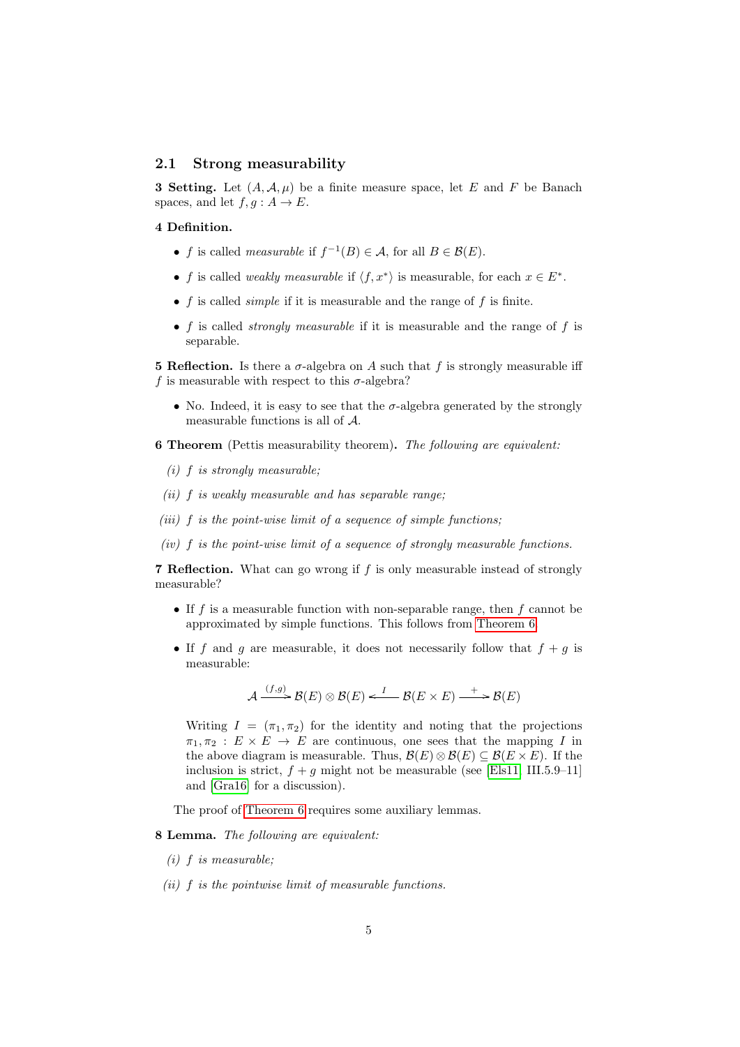#### <span id="page-4-0"></span>2.1 Strong measurability

**3 Setting.** Let  $(A, \mathcal{A}, \mu)$  be a finite measure space, let E and F be Banach spaces, and let  $f, g : A \to E$ .

#### 4 Definition.

- f is called *measurable* if  $f^{-1}(B) \in \mathcal{A}$ , for all  $B \in \mathcal{B}(E)$ .
- f is called *weakly measurable* if  $\langle f, x^* \rangle$  is measurable, for each  $x \in E^*$ .
- $f$  is called *simple* if it is measurable and the range of  $f$  is finite.
- f is called *strongly measurable* if it is measurable and the range of f is separable.

**5 Reflection.** Is there a  $\sigma$ -algebra on A such that f is strongly measurable iff f is measurable with respect to this  $\sigma$ -algebra?

• No. Indeed, it is easy to see that the  $\sigma$ -algebra generated by the strongly measurable functions is all of A.

<span id="page-4-1"></span>6 Theorem (Pettis measurability theorem). The following are equivalent:

- <span id="page-4-4"></span> $(i)$  f is strongly measurable;
- <span id="page-4-5"></span> $(ii)$  f is weakly measurable and has separable range;
- <span id="page-4-6"></span>(iii)  $f$  is the point-wise limit of a sequence of simple functions;
- <span id="page-4-7"></span> $(iv)$  f is the point-wise limit of a sequence of strongly measurable functions.

7 Reflection. What can go wrong if f is only measurable instead of strongly measurable?

- If f is a measurable function with non-separable range, then  $f$  cannot be approximated by simple functions. This follows from [Theorem 6.](#page-4-1)
- If f and g are measurable, it does not necessarily follow that  $f + g$  is measurable:

$$
\mathcal{A} \xrightarrow{(f,g)} \mathcal{B}(E) \otimes \mathcal{B}(E) \xleftarrow{I} \mathcal{B}(E \times E) \xrightarrow{+} \mathcal{B}(E)
$$

Writing  $I = (\pi_1, \pi_2)$  for the identity and noting that the projections  $\pi_1, \pi_2 : E \times E \to E$  are continuous, one sees that the mapping I in the above diagram is measurable. Thus,  $\mathcal{B}(E) \otimes \mathcal{B}(E) \subseteq \mathcal{B}(E \times E)$ . If the inclusion is strict,  $f + q$  might not be measurable (see [\[Els11,](#page-56-2) III.5.9–11] and [\[Gra16\]](#page-56-3) for a discussion).

The proof of [Theorem 6](#page-4-1) requires some auxiliary lemmas.

<span id="page-4-8"></span>8 Lemma. The following are equivalent:

- <span id="page-4-2"></span> $(i)$  f is measurable;
- <span id="page-4-3"></span>(ii) f is the pointwise limit of measurable functions.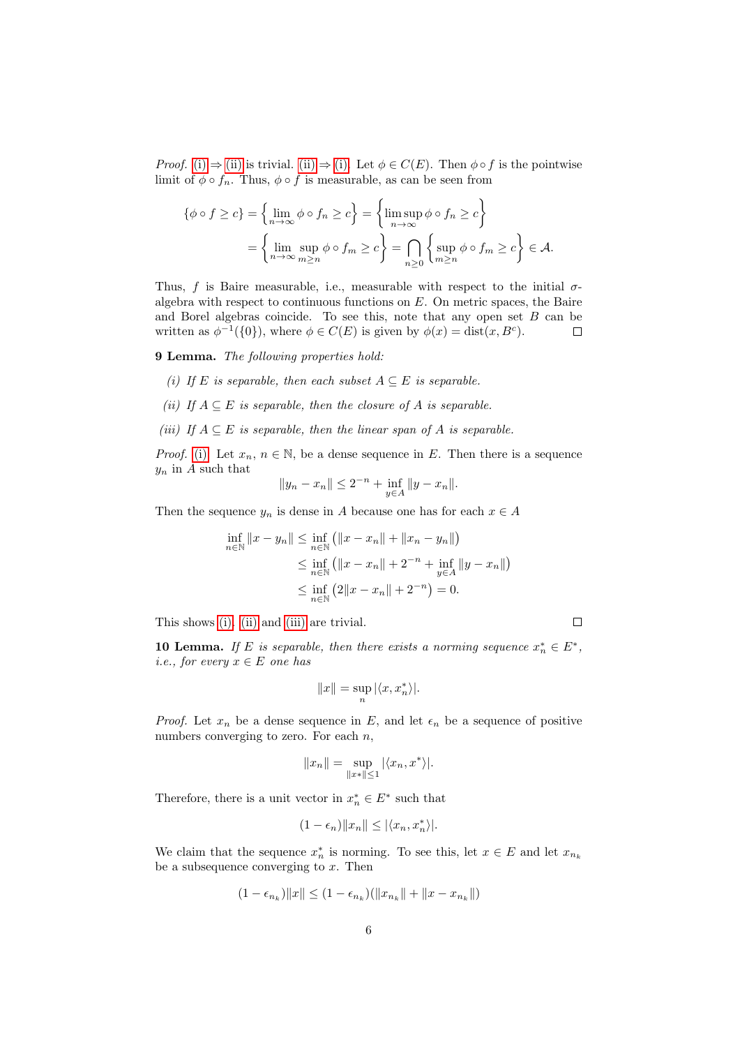*Proof.* [\(i\)](#page-4-2)  $\Rightarrow$  [\(ii\)](#page-4-3) is trivial. [\(ii\)](#page-4-3)  $\Rightarrow$  [\(i\).](#page-4-2) Let  $\phi \in C(E)$ . Then  $\phi \circ f$  is the pointwise limit of  $\phi \circ f_n$ . Thus,  $\phi \circ f$  is measurable, as can be seen from

$$
\{\phi \circ f \ge c\} = \left\{\lim_{n \to \infty} \phi \circ f_n \ge c\right\} = \left\{\limsup_{n \to \infty} \phi \circ f_n \ge c\right\}
$$

$$
= \left\{\lim_{n \to \infty} \sup_{m \ge n} \phi \circ f_m \ge c\right\} = \bigcap_{n \ge 0} \left\{\sup_{m \ge n} \phi \circ f_m \ge c\right\} \in \mathcal{A}.
$$

Thus, f is Baire measurable, i.e., measurable with respect to the initial  $\sigma$ algebra with respect to continuous functions on  $E$ . On metric spaces, the Baire and Borel algebras coincide. To see this, note that any open set  $B$  can be written as  $\phi^{-1}(\{0\})$ , where  $\phi \in C(E)$  is given by  $\phi(x) = \text{dist}(x, B^c)$ .  $\Box$ 

<span id="page-5-3"></span>9 Lemma. The following properties hold:

- <span id="page-5-0"></span>(i) If E is separable, then each subset  $A \subseteq E$  is separable.
- <span id="page-5-1"></span>(ii) If  $A \subseteq E$  is separable, then the closure of A is separable.
- <span id="page-5-2"></span>(iii) If  $A \subseteq E$  is separable, then the linear span of A is separable.

*Proof.* [\(i\):](#page-5-0) Let  $x_n, n \in \mathbb{N}$ , be a dense sequence in E. Then there is a sequence  $y_n$  in A such that

$$
||y_n - x_n|| \le 2^{-n} + \inf_{y \in A} ||y - x_n||.
$$

Then the sequence  $y_n$  is dense in A because one has for each  $x \in A$ 

$$
\inf_{n \in \mathbb{N}} \|x - y_n\| \le \inf_{n \in \mathbb{N}} \left( \|x - x_n\| + \|x_n - y_n\| \right)
$$
  
\n
$$
\le \inf_{n \in \mathbb{N}} \left( \|x - x_n\| + 2^{-n} + \inf_{y \in A} \|y - x_n\| \right)
$$
  
\n
$$
\le \inf_{n \in \mathbb{N}} \left( 2\|x - x_n\| + 2^{-n} \right) = 0.
$$

This shows [\(i\).](#page-5-0) [\(ii\)](#page-5-1) and [\(iii\)](#page-5-2) are trivial.

<span id="page-5-4"></span>**10 Lemma.** If E is separable, then there exists a norming sequence  $x_n^* \in E^*$ , i.e., for every  $x \in E$  one has

 $\Box$ 

$$
||x|| = \sup_n |\langle x, x_n^* \rangle|.
$$

*Proof.* Let  $x_n$  be a dense sequence in E, and let  $\epsilon_n$  be a sequence of positive numbers converging to zero. For each  $n$ ,

$$
||x_n|| = \sup_{||x|| \le 1} |\langle x_n, x^* \rangle|.
$$

Therefore, there is a unit vector in  $x_n^* \in E^*$  such that

$$
(1 - \epsilon_n) ||x_n|| \le |\langle x_n, x_n^* \rangle|.
$$

We claim that the sequence  $x_n^*$  is norming. To see this, let  $x \in E$  and let  $x_{n_k}$ be a subsequence converging to  $x$ . Then

$$
(1 - \epsilon_{n_k})||x|| \le (1 - \epsilon_{n_k})(||x_{n_k}|| + ||x - x_{n_k}||)
$$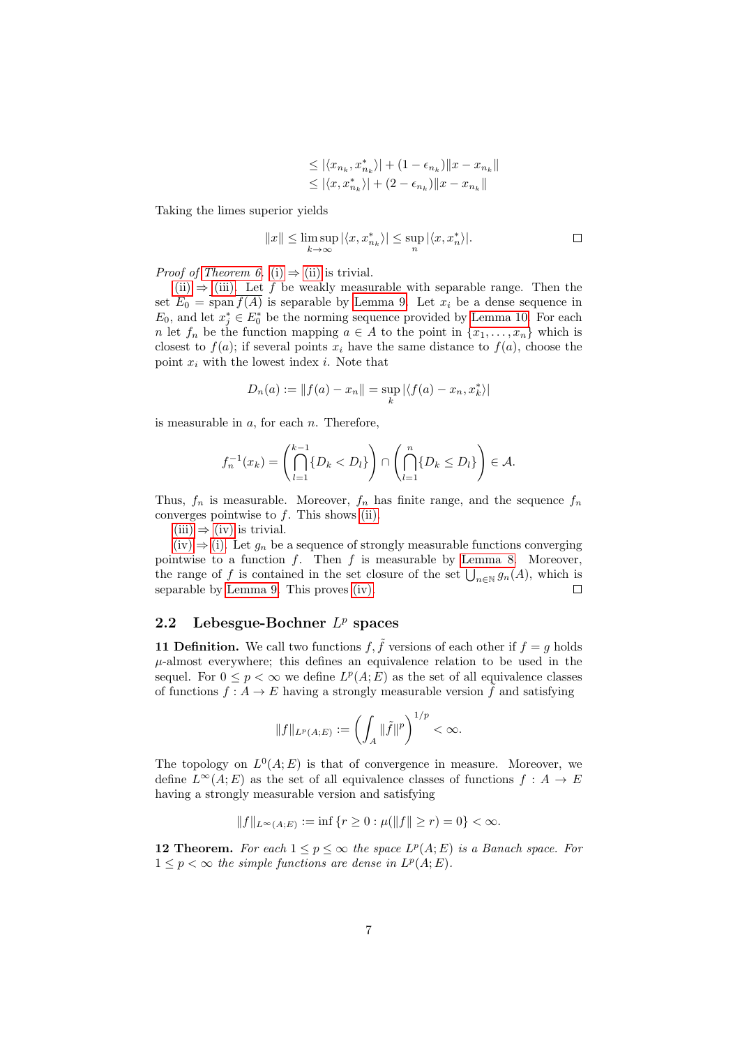$$
\leq |\langle x_{n_k}, x_{n_k}^* \rangle| + (1 - \epsilon_{n_k}) ||x - x_{n_k}||
$$
  

$$
\leq |\langle x, x_{n_k}^* \rangle| + (2 - \epsilon_{n_k}) ||x - x_{n_k}||
$$

Taking the limes superior yields

$$
||x|| \le \limsup_{k \to \infty} |\langle x, x_{n_k}^* \rangle| \le \sup_n |\langle x, x_n^* \rangle|.
$$

*Proof of [Theorem 6.](#page-4-1)* [\(i\)](#page-4-4)  $\Rightarrow$  [\(ii\)](#page-4-5) is trivial.

[\(ii\)](#page-4-5)  $\Rightarrow$  [\(iii\).](#page-4-6) Let f be weakly measurable with separable range. Then the set  $E_0 = \text{span } f(A)$  is separable by [Lemma 9.](#page-5-3) Let  $x_i$  be a dense sequence in  $E_0$ , and let  $x_j^* \in E_0^*$  be the norming sequence provided by [Lemma 10.](#page-5-4) For each n let  $f_n$  be the function mapping  $a \in A$  to the point in  $\{x_1, \ldots, x_n\}$  which is closest to  $f(a)$ ; if several points  $x_i$  have the same distance to  $f(a)$ , choose the point  $x_i$  with the lowest index *i*. Note that

$$
D_n(a) := ||f(a) - x_n|| = \sup_k |\langle f(a) - x_n, x_k^* \rangle|
$$

is measurable in  $a$ , for each  $n$ . Therefore,

$$
f_n^{-1}(x_k) = \left(\bigcap_{l=1}^{k-1} \{D_k < D_l\}\right) \cap \left(\bigcap_{l=1}^n \{D_k \le D_l\}\right) \in \mathcal{A}.
$$

Thus,  $f_n$  is measurable. Moreover,  $f_n$  has finite range, and the sequence  $f_n$ converges pointwise to  $f$ . This shows [\(ii\).](#page-4-5)

 $(iii) \Rightarrow (iv)$  $(iii) \Rightarrow (iv)$  $(iii) \Rightarrow (iv)$  is trivial.

 $(iv) \Rightarrow (i)$  $(iv) \Rightarrow (i)$ . Let  $g_n$  be a sequence of strongly measurable functions converging pointwise to a function  $f$ . Then  $f$  is measurable by [Lemma 8.](#page-4-8) Moreover, the range of f is contained in the set closure of the set  $\bigcup_{n\in\mathbb{N}}g_n(A)$ , which is separable by [Lemma 9.](#page-5-3) This proves [\(iv\).](#page-4-7)  $\Box$ 

## <span id="page-6-0"></span>2.2 Lebesgue-Bochner  $L^p$  spaces

11 Definition. We call two functions  $f, \tilde{f}$  versions of each other if  $f = g$  holds  $\mu$ -almost everywhere; this defines an equivalence relation to be used in the sequel. For  $0 \leq p < \infty$  we define  $L^p(A; E)$  as the set of all equivalence classes of functions  $f : A \to E$  having a strongly measurable version  $\tilde{f}$  and satisfying

$$
||f||_{L^p(A;E)} := \left(\int_A ||\tilde{f}||^p\right)^{1/p} < \infty.
$$

The topology on  $L^0(A; E)$  is that of convergence in measure. Moreover, we define  $L^{\infty}(A; E)$  as the set of all equivalence classes of functions  $f : A \to E$ having a strongly measurable version and satisfying

$$
||f||_{L^{\infty}(A;E)} := \inf \{ r \ge 0 : \mu(||f|| \ge r) = 0 \} < \infty.
$$

<span id="page-6-1"></span>**12 Theorem.** For each  $1 \leq p \leq \infty$  the space  $L^p(A; E)$  is a Banach space. For  $1 \leq p < \infty$  the simple functions are dense in  $L^p(A;E)$ .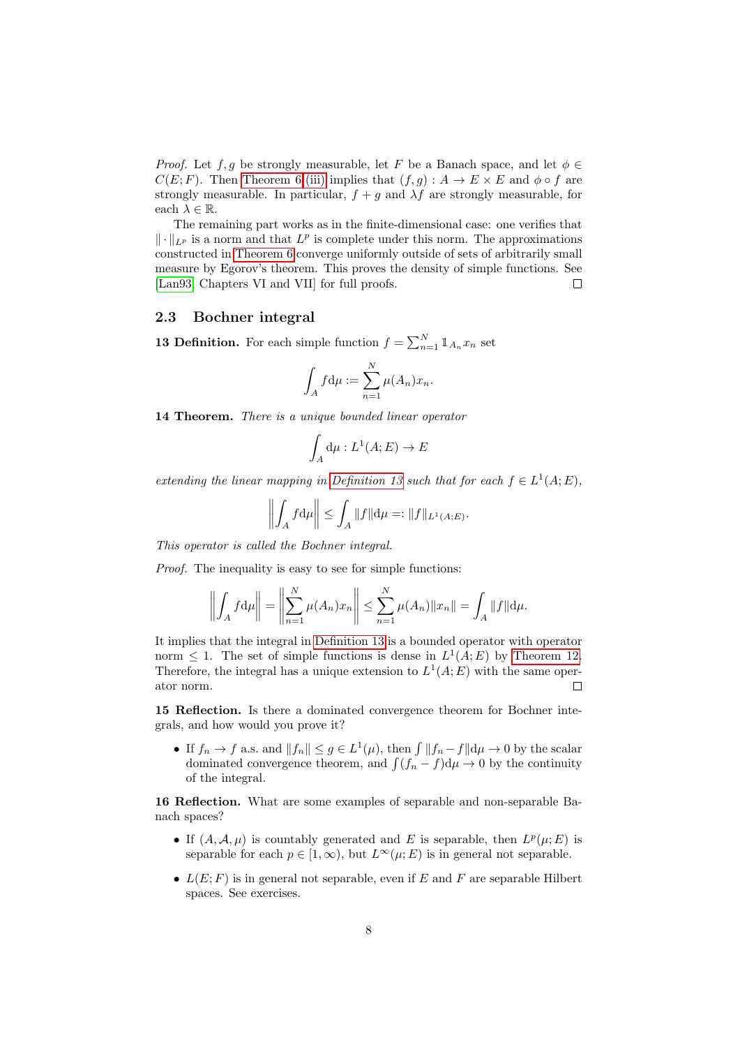*Proof.* Let f, g be strongly measurable, let F be a Banach space, and let  $\phi \in$  $C(E; F)$ . Then [Theorem 6.](#page-4-1)[\(iii\)](#page-4-6) implies that  $(f, g) : A \to E \times E$  and  $\phi \circ f$  are strongly measurable. In particular,  $f + g$  and  $\lambda f$  are strongly measurable, for each  $\lambda \in \mathbb{R}$ .

The remaining part works as in the finite-dimensional case: one verifies that  $\|\cdot\|_{L^p}$  is a norm and that  $L^p$  is complete under this norm. The approximations constructed in [Theorem 6](#page-4-1) converge uniformly outside of sets of arbitrarily small measure by Egorov's theorem. This proves the density of simple functions. See [\[Lan93,](#page-56-4) Chapters VI and VII] for full proofs.  $\Box$ 

#### <span id="page-7-0"></span>2.3 Bochner integral

<span id="page-7-1"></span>**13 Definition.** For each simple function  $f = \sum_{n=1}^{N} 1\!\!1_{A_n} x_n$  set

$$
\int_A f d\mu := \sum_{n=1}^N \mu(A_n) x_n.
$$

14 Theorem. There is a unique bounded linear operator

$$
\int_A d\mu : L^1(A; E) \to E
$$

extending the linear mapping in [Definition 13](#page-7-1) such that for each  $f \in L^1(A; E)$ ,

$$
\left\| \int_A f \, \mathrm{d}\mu \right\| \le \int_A \|f\| \, \mathrm{d}\mu =: \|f\|_{L^1(A;E)}.
$$

This operator is called the Bochner integral.

Proof. The inequality is easy to see for simple functions:

$$
\left\| \int_A f d\mu \right\| = \left\| \sum_{n=1}^N \mu(A_n) x_n \right\| \le \sum_{n=1}^N \mu(A_n) \|x_n\| = \int_A \|f\| d\mu.
$$

It implies that the integral in [Definition 13](#page-7-1) is a bounded operator with operator norm  $\leq 1$ . The set of simple functions is dense in  $L^1(A; E)$  by [Theorem 12.](#page-6-1) Therefore, the integral has a unique extension to  $L^1(A; E)$  with the same operator norm. П

15 Reflection. Is there a dominated convergence theorem for Bochner integrals, and how would you prove it?

• If  $f_n \to f$  a.s. and  $||f_n|| \leq g \in L^1(\mu)$ , then  $\int ||f_n - f|| d\mu \to 0$  by the scalar dominated convergence theorem, and  $\int (f_n - f) d\mu \to 0$  by the continuity of the integral.

16 Reflection. What are some examples of separable and non-separable Banach spaces?

- If  $(A, \mathcal{A}, \mu)$  is countably generated and E is separable, then  $L^p(\mu; E)$  is separable for each  $p \in [1,\infty)$ , but  $L^{\infty}(\mu; E)$  is in general not separable.
- $L(E; F)$  is in general not separable, even if E and F are separable Hilbert spaces. See exercises.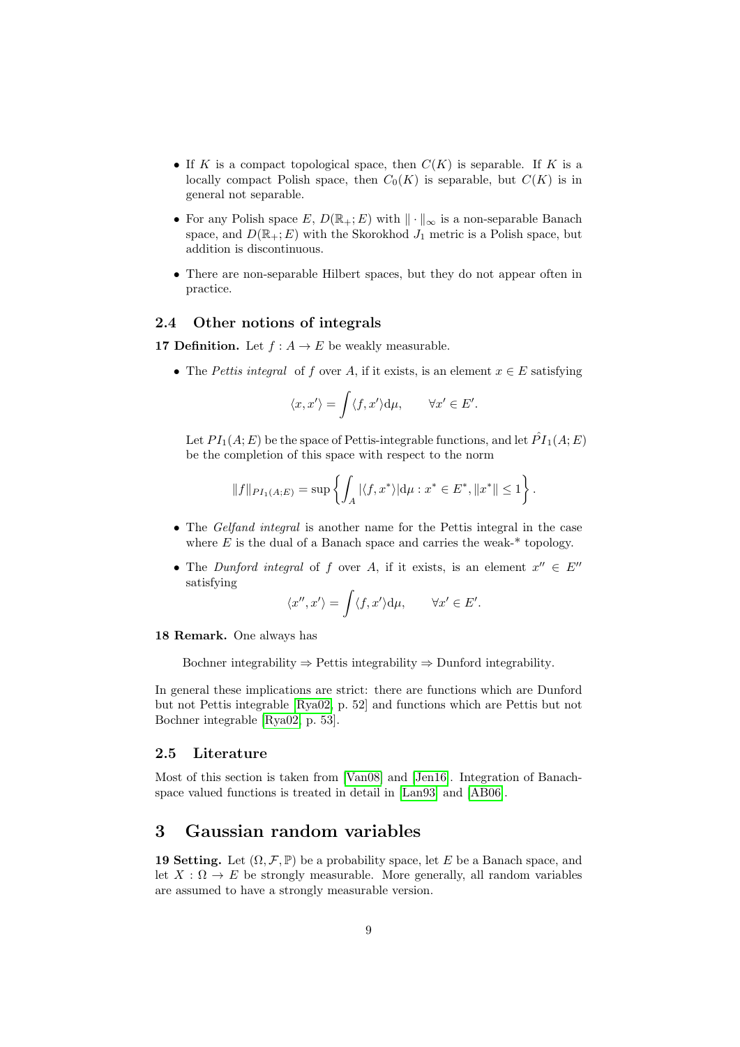- If K is a compact topological space, then  $C(K)$  is separable. If K is a locally compact Polish space, then  $C_0(K)$  is separable, but  $C(K)$  is in general not separable.
- For any Polish space E,  $D(\mathbb{R}_+; E)$  with  $\|\cdot\|_{\infty}$  is a non-separable Banach space, and  $D(\mathbb{R}_+; E)$  with the Skorokhod  $J_1$  metric is a Polish space, but addition is discontinuous.
- There are non-separable Hilbert spaces, but they do not appear often in practice.

## <span id="page-8-0"></span>2.4 Other notions of integrals

**17 Definition.** Let  $f : A \to E$  be weakly measurable.

• The Pettis integral of f over A, if it exists, is an element  $x \in E$  satisfying

$$
\langle x, x' \rangle = \int \langle f, x' \rangle d\mu, \qquad \forall x' \in E'.
$$

Let  $PI_1(A; E)$  be the space of Pettis-integrable functions, and let  $\hat{PI}_1(A; E)$ be the completion of this space with respect to the norm

$$
||f||_{PI_1(A;E)} = \sup \left\{ \int_A |\langle f, x^* \rangle| d\mu : x^* \in E^*, ||x^*|| \le 1 \right\}.
$$

- The *Gelfand integral* is another name for the Pettis integral in the case where  $E$  is the dual of a Banach space and carries the weak- $*$  topology.
- The Dunford integral of f over A, if it exists, is an element  $x'' \in E''$ satisfying

$$
\langle x'', x' \rangle = \int \langle f, x' \rangle d\mu, \qquad \forall x' \in E'.
$$

18 Remark. One always has

Bochner integrability  $\Rightarrow$  Pettis integrability  $\Rightarrow$  Dunford integrability.

In general these implications are strict: there are functions which are Dunford but not Pettis integrable [\[Rya02,](#page-56-5) p. 52] and functions which are Pettis but not Bochner integrable [\[Rya02,](#page-56-5) p. 53].

## <span id="page-8-1"></span>2.5 Literature

Most of this section is taken from [\[Van08\]](#page-56-6) and [\[Jen16\]](#page-56-7). Integration of Banachspace valued functions is treated in detail in [\[Lan93\]](#page-56-4) and [\[AB06\]](#page-55-1).

## <span id="page-8-2"></span>3 Gaussian random variables

19 Setting. Let  $(\Omega, \mathcal{F}, \mathbb{P})$  be a probability space, let E be a Banach space, and let  $X : \Omega \to E$  be strongly measurable. More generally, all random variables are assumed to have a strongly measurable version.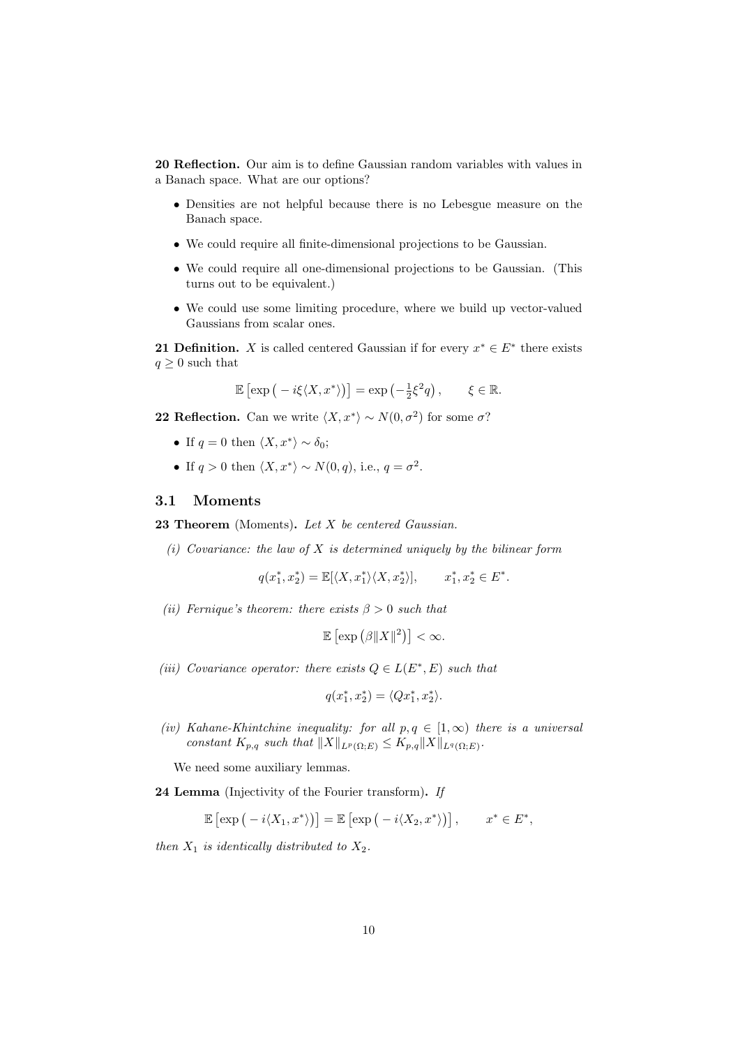20 Reflection. Our aim is to define Gaussian random variables with values in a Banach space. What are our options?

- Densities are not helpful because there is no Lebesgue measure on the Banach space.
- We could require all finite-dimensional projections to be Gaussian.
- We could require all one-dimensional projections to be Gaussian. (This turns out to be equivalent.)
- We could use some limiting procedure, where we build up vector-valued Gaussians from scalar ones.

**21 Definition.** X is called centered Gaussian if for every  $x^* \in E^*$  there exists  $q \geq 0$  such that

$$
\mathbb{E}\left[\exp\left(-i\xi\langle X,x^*\rangle\right)\right] = \exp\left(-\frac{1}{2}\xi^2q\right), \qquad \xi \in \mathbb{R}.
$$

**22 Reflection.** Can we write  $\langle X, x^* \rangle \sim N(0, \sigma^2)$  for some  $\sigma$ ?

- If  $q = 0$  then  $\langle X, x^* \rangle \sim \delta_0$ ;
- If  $q > 0$  then  $\langle X, x^* \rangle \sim N(0, q)$ , i.e.,  $q = \sigma^2$ .

#### <span id="page-9-0"></span>3.1 Moments

<span id="page-9-1"></span>**23 Theorem** (Moments). Let  $X$  be centered Gaussian.

<span id="page-9-2"></span>(i) Covariance: the law of  $X$  is determined uniquely by the bilinear form

 $q(x_1^*, x_2^*) = \mathbb{E}[\langle X, x_1^* \rangle \langle X, x_2^* \rangle], \quad x_1^*, x_2^* \in E^*.$ 

<span id="page-9-4"></span>(ii) Fernique's theorem: there exists  $\beta > 0$  such that

$$
\mathbb{E}\left[\exp\left(\beta \|X\|^2\right)\right]<\infty.
$$

<span id="page-9-5"></span>(iii) Covariance operator: there exists  $Q \in L(E^*, E)$  such that

$$
q(x_1^*, x_2^*) = \langle Qx_1^*, x_2^* \rangle.
$$

<span id="page-9-6"></span>(iv) Kahane-Khintchine inequality: for all  $p, q \in [1, \infty)$  there is a universal constant  $K_{p,q}$  such that  $||X||_{L^p(\Omega;E)} \le K_{p,q}||X||_{L^q(\Omega;E)}$ .

We need some auxiliary lemmas.

<span id="page-9-3"></span>24 Lemma (Injectivity of the Fourier transform). If

$$
\mathbb{E}\left[\exp\left(-i\langle X_1,x^*\rangle\right)\right] = \mathbb{E}\left[\exp\left(-i\langle X_2,x^*\rangle\right)\right], \qquad x^*\in E^*,
$$

then  $X_1$  is identically distributed to  $X_2$ .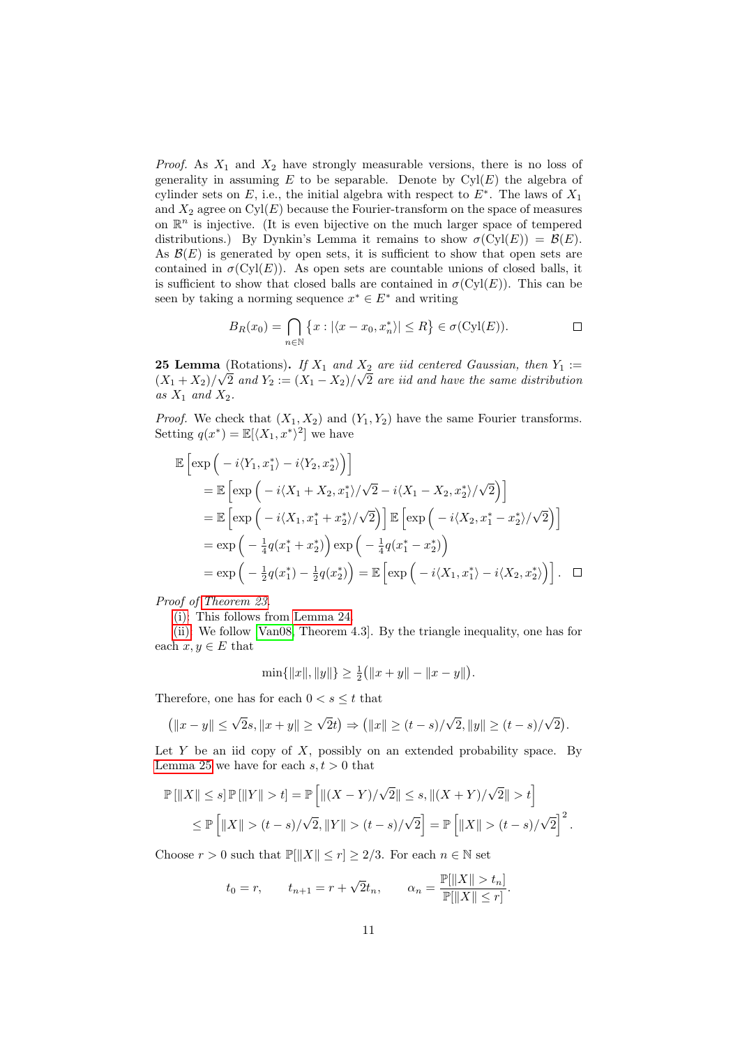*Proof.* As  $X_1$  and  $X_2$  have strongly measurable versions, there is no loss of generality in assuming  $E$  to be separable. Denote by  $Cyl(E)$  the algebra of cylinder sets on E, i.e., the initial algebra with respect to  $E^*$ . The laws of  $X_1$ and  $X_2$  agree on  $Cyl(E)$  because the Fourier-transform on the space of measures on  $\mathbb{R}^n$  is injective. (It is even bijective on the much larger space of tempered distributions.) By Dynkin's Lemma it remains to show  $\sigma(Cyl(E)) = \mathcal{B}(E)$ . As  $\mathcal{B}(E)$  is generated by open sets, it is sufficient to show that open sets are contained in  $\sigma$ (Cyl(E)). As open sets are countable unions of closed balls, it is sufficient to show that closed balls are contained in  $\sigma(Cyl(E))$ . This can be seen by taking a norming sequence  $x^* \in E^*$  and writing

$$
B_R(x_0) = \bigcap_{n \in \mathbb{N}} \{x : |\langle x - x_0, x_n^* \rangle| \le R\} \in \sigma(Cyl(E)).
$$

<span id="page-10-0"></span>**25 Lemma** (Rotations). If  $X_1$  and  $X_2$  are iid centered Gaussian, then  $Y_1 :=$  $(X_1+X_2)/\sqrt{2}$  and  $Y_2:=(X_1-X_2)/\sqrt{2}$  are iid and have the same distribution as  $X_1$  and  $X_2$ .

*Proof.* We check that  $(X_1, X_2)$  and  $(Y_1, Y_2)$  have the same Fourier transforms. Setting  $q(x^*) = \mathbb{E}[\langle X_1, x^* \rangle^2]$  we have

$$
\mathbb{E}\left[\exp\left(-i\langle Y_1, x_1^*\rangle - i\langle Y_2, x_2^*\rangle\right)\right]
$$
\n
$$
= \mathbb{E}\left[\exp\left(-i\langle X_1 + X_2, x_1^*\rangle/\sqrt{2} - i\langle X_1 - X_2, x_2^*\rangle/\sqrt{2}\right)\right]
$$
\n
$$
= \mathbb{E}\left[\exp\left(-i\langle X_1, x_1^* + x_2^*\rangle/\sqrt{2}\right)\right] \mathbb{E}\left[\exp\left(-i\langle X_2, x_1^* - x_2^*\rangle/\sqrt{2}\right)\right]
$$
\n
$$
= \exp\left(-\frac{1}{4}q(x_1^* + x_2^*)\right)\exp\left(-\frac{1}{4}q(x_1^* - x_2^*)\right)
$$
\n
$$
= \exp\left(-\frac{1}{2}q(x_1^*) - \frac{1}{2}q(x_2^*)\right) = \mathbb{E}\left[\exp\left(-i\langle X_1, x_1^*\rangle - i\langle X_2, x_2^*\rangle\right)\right]. \quad \Box
$$

Proof of [Theorem 23.](#page-9-1)

[\(i\):](#page-9-2) This follows from [Lemma 24.](#page-9-3)

[\(ii\):](#page-9-4) We follow [\[Van08,](#page-56-6) Theorem 4.3]. By the triangle inequality, one has for each  $x, y \in E$  that

$$
\min\{\|x\|, \|y\|\} \ge \frac{1}{2} (||x+y|| - ||x-y||).
$$

Therefore, one has for each  $0 < s \leq t$  that

$$
(\|x-y\| \le \sqrt{2}s, \|x+y\| \ge \sqrt{2}t) \Rightarrow (\|x\| \ge (t-s)/\sqrt{2}, \|y\| \ge (t-s)/\sqrt{2}).
$$

Let  $Y$  be an iid copy of  $X$ , possibly on an extended probability space. By [Lemma 25](#page-10-0) we have for each  $s, t > 0$  that

$$
\mathbb{P}\left[\|X\| \le s\right] \mathbb{P}\left[\|Y\| > t\right] = \mathbb{P}\left[\|(X - Y)/\sqrt{2}\| \le s, \|(X + Y)/\sqrt{2}\| > t\right]
$$
  

$$
\le \mathbb{P}\left[\|X\| > (t - s)/\sqrt{2}, \|Y\| > (t - s)/\sqrt{2}\right] = \mathbb{P}\left[\|X\| > (t - s)/\sqrt{2}\right]^2.
$$

Choose  $r > 0$  such that  $\mathbb{P}[\|X\| \le r] \ge 2/3$ . For each  $n \in \mathbb{N}$  set

$$
t_0 = r
$$
,  $t_{n+1} = r + \sqrt{2}t_n$ ,  $\alpha_n = \frac{\mathbb{P}[\|X\| > t_n]}{\mathbb{P}[\|X\| \le r]}.$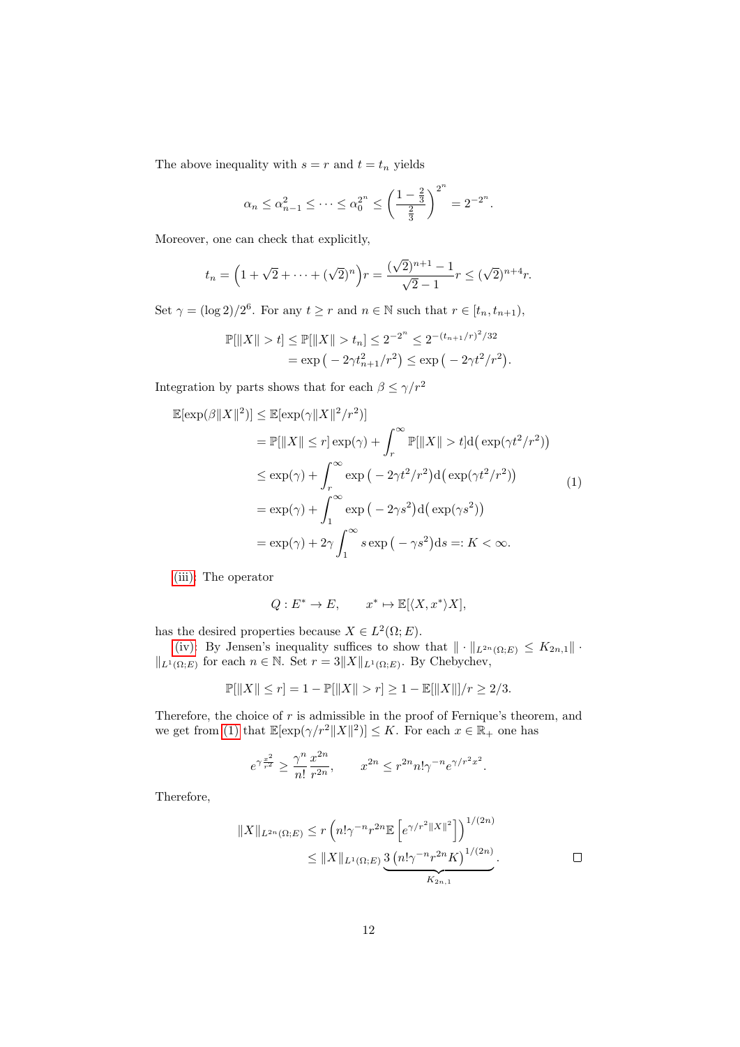The above inequality with  $s = r$  and  $t = t_n$  yields

$$
\alpha_n \leq \alpha_{n-1}^2 \leq \cdots \leq \alpha_0^{2^n} \leq \left(\frac{1-\frac{2}{3}}{\frac{2}{3}}\right)^{2^n} = 2^{-2^n}.
$$

Moreover, one can check that explicitly,

$$
t_n = \left(1 + \sqrt{2} + \dots + (\sqrt{2})^n\right)r = \frac{(\sqrt{2})^{n+1} - 1}{\sqrt{2} - 1}r \le (\sqrt{2})^{n+4}r.
$$

Set  $\gamma = (\log 2)/2^6$ . For any  $t \ge r$  and  $n \in \mathbb{N}$  such that  $r \in [t_n, t_{n+1}),$ 

$$
\mathbb{P}[\|X\| > t] \le \mathbb{P}[\|X\| > t_n] \le 2^{-2^n} \le 2^{-(t_{n+1}/r)^2/32}
$$
  
=  $\exp(-2\gamma t_{n+1}^2/r^2) \le \exp(-2\gamma t^2/r^2).$ 

Integration by parts shows that for each  $\beta \leq \gamma/r^2$ 

<span id="page-11-0"></span>
$$
\mathbb{E}[\exp(\beta||X||^2)] \leq \mathbb{E}[\exp(\gamma||X||^2/r^2)]
$$
  
\n
$$
= \mathbb{P}[||X|| \leq r] \exp(\gamma) + \int_r^{\infty} \mathbb{P}[||X|| > t] d(\exp(\gamma t^2/r^2))
$$
  
\n
$$
\leq \exp(\gamma) + \int_r^{\infty} \exp(-2\gamma t^2/r^2) d(\exp(\gamma t^2/r^2))
$$
  
\n
$$
= \exp(\gamma) + \int_1^{\infty} \exp(-2\gamma s^2) d(\exp(\gamma s^2))
$$
  
\n
$$
= \exp(\gamma) + 2\gamma \int_1^{\infty} s \exp(-\gamma s^2) ds =: K < \infty.
$$

[\(iii\):](#page-9-5) The operator

$$
Q: E^* \to E, \qquad x^* \mapsto \mathbb{E}[\langle X, x^* \rangle X],
$$

has the desired properties because  $X \in L^2(\Omega; E)$ .

[\(iv\):](#page-9-6) By Jensen's inequality suffices to show that  $\|\cdot\|_{L^{2n}(\Omega;E)} \leq K_{2n,1}\|\cdot\|$  $||_{L^1(\Omega;E)}$  for each  $n \in \mathbb{N}$ . Set  $r = 3||X||_{L^1(\Omega;E)}$ . By Chebychev,

$$
\mathbb{P}[\|X\| \le r] = 1 - \mathbb{P}[\|X\| > r] \ge 1 - \mathbb{E}[\|X\|]/r \ge 2/3.
$$

Therefore, the choice of  $r$  is admissible in the proof of Fernique's theorem, and we get from [\(1\)](#page-11-0) that  $\mathbb{E}[\exp(\gamma/r^2 ||X||^2)] \leq K$ . For each  $x \in \mathbb{R}_+$  one has

$$
e^{\gamma\frac{x^2}{r^2}}\geq \frac{\gamma^n}{n!}\frac{x^{2n}}{r^{2n}},\qquad x^{2n}\leq r^{2n}n!\gamma^{-n}e^{\gamma/r^2x^2}.
$$

Therefore,

$$
||X||_{L^{2n}(\Omega;E)} \le r \left( n! \gamma^{-n} r^{2n} \mathbb{E} \left[ e^{\gamma/r^2 ||X||^2} \right] \right)^{1/(2n)}
$$
  

$$
\le ||X||_{L^1(\Omega;E)} \underbrace{3 \left( n! \gamma^{-n} r^{2n} K \right)^{1/(2n)}}_{K_{2n,1}}.
$$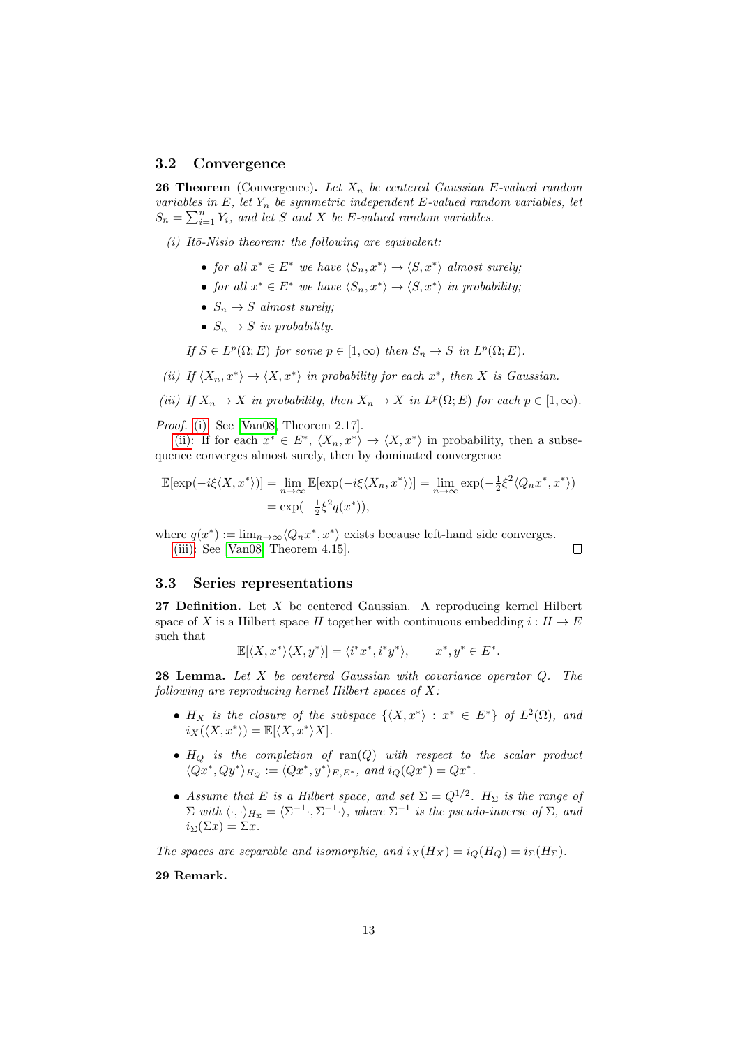#### <span id="page-12-0"></span>3.2 Convergence

<span id="page-12-5"></span>**26 Theorem** (Convergence). Let  $X_n$  be centered Gaussian E-valued random variables in  $E$ , let  $Y_n$  be symmetric independent  $E$ -valued random variables, let  $S_n = \sum_{i=1}^n Y_i$ , and let S and X be E-valued random variables.

<span id="page-12-2"></span> $(i)$  Itō-Nisio theorem: the following are equivalent:

- for all  $x^* \in E^*$  we have  $\langle S_n, x^* \rangle \to \langle S, x^* \rangle$  almost surely;
- for all  $x^* \in E^*$  we have  $\langle S_n, x^* \rangle \to \langle S, x^* \rangle$  in probability;
- $S_n \to S$  almost surely;
- $S_n \to S$  in probability.

If 
$$
S \in L^p(\Omega; E)
$$
 for some  $p \in [1, \infty)$  then  $S_n \to S$  in  $L^p(\Omega; E)$ .

<span id="page-12-3"></span>(ii) If  $\langle X_n, x^* \rangle \to \langle X, x^* \rangle$  in probability for each  $x^*$ , then X is Gaussian.

<span id="page-12-4"></span>(iii) If 
$$
X_n \to X
$$
 in probability, then  $X_n \to X$  in  $L^p(\Omega; E)$  for each  $p \in [1, \infty)$ .

Proof. [\(i\):](#page-12-2) See [\[Van08,](#page-56-6) Theorem 2.17].

[\(ii\):](#page-12-3) If for each  $x^* \in E^*$ ,  $\langle X_n, x^* \rangle \to \langle X, x^* \rangle$  in probability, then a subsequence converges almost surely, then by dominated convergence

$$
\mathbb{E}[\exp(-i\xi \langle X, x^* \rangle)] = \lim_{n \to \infty} \mathbb{E}[\exp(-i\xi \langle X_n, x^* \rangle)] = \lim_{n \to \infty} \exp(-\frac{1}{2}\xi^2 \langle Q_n x^*, x^* \rangle)
$$
  
=  $\exp(-\frac{1}{2}\xi^2 q(x^*)),$ 

 $\Box$ 

where  $q(x^*) := \lim_{n \to \infty} \langle Q_n x^*, x^* \rangle$  exists because left-hand side converges. [\(iii\):](#page-12-4) See [\[Van08,](#page-56-6) Theorem 4.15].

#### <span id="page-12-1"></span>3.3 Series representations

<span id="page-12-6"></span>**27 Definition.** Let  $X$  be centered Gaussian. A reproducing kernel Hilbert space of X is a Hilbert space H together with continuous embedding  $i : H \to E$ such that

$$
\mathbb{E}[\langle X, x^* \rangle \langle X, y^* \rangle] = \langle i^* x^*, i^* y^* \rangle, \qquad x^*, y^* \in E^*.
$$

**28 Lemma.** Let  $X$  be centered Gaussian with covariance operator  $Q$ . The following are reproducing kernel Hilbert spaces of X:

- $H_X$  is the closure of the subspace  $\{X, x^*\} : x^* \in E^*\}$  of  $L^2(\Omega)$ , and  $i_X(\langle X, x^* \rangle) = \mathbb{E}[\langle X, x^* \rangle X].$
- $H_Q$  is the completion of  $ran(Q)$  with respect to the scalar product  $\langle Qx^*, Qy^* \rangle_{H_Q} := \langle Qx^*, y^* \rangle_{E, E^*}, \text{ and } i_Q(Qx^*) = Qx^*.$
- Assume that E is a Hilbert space, and set  $\Sigma = Q^{1/2}$ .  $H_{\Sigma}$  is the range of  $\Sigma$  with  $\langle \cdot, \cdot \rangle_{H_{\Sigma}} = \langle \Sigma^{-1} \cdot, \Sigma^{-1} \cdot \rangle$ , where  $\Sigma^{-1}$  is the pseudo-inverse of  $\Sigma$ , and  $i_{\Sigma}(\Sigma x) = \Sigma x.$

The spaces are separable and isomorphic, and  $i_X(H_X) = i_Q(H_Q) = i_\Sigma(H_\Sigma)$ .

## 29 Remark.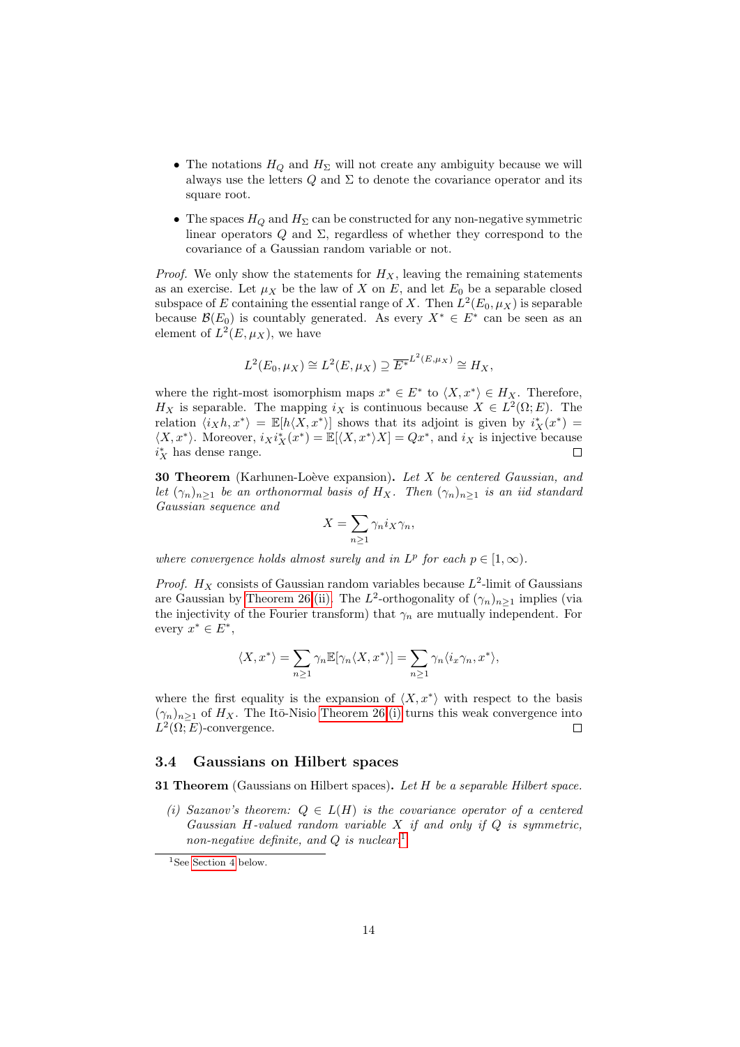- The notations  $H_Q$  and  $H_\Sigma$  will not create any ambiguity because we will always use the letters  $Q$  and  $\Sigma$  to denote the covariance operator and its square root.
- The spaces  $H_Q$  and  $H_\Sigma$  can be constructed for any non-negative symmetric linear operators  $Q$  and  $\Sigma$ , regardless of whether they correspond to the covariance of a Gaussian random variable or not.

*Proof.* We only show the statements for  $H_X$ , leaving the remaining statements as an exercise. Let  $\mu_X$  be the law of X on E, and let  $E_0$  be a separable closed subspace of E containing the essential range of X. Then  $L^2(E_0, \mu_X)$  is separable because  $\mathcal{B}(E_0)$  is countably generated. As every  $X^* \in E^*$  can be seen as an element of  $L^2(E, \mu_X)$ , we have

$$
L^{2}(E_0, \mu_X) \cong L^{2}(E, \mu_X) \supseteq \overline{E^*}^{L^{2}(E, \mu_X)} \cong H_X,
$$

where the right-most isomorphism maps  $x^* \in E^*$  to  $\langle X, x^* \rangle \in H_X$ . Therefore,  $H_X$  is separable. The mapping  $i_X$  is continuous because  $X \in L^2(\Omega; E)$ . The relation  $\langle i_Xh, x^* \rangle = \mathbb{E}[h\langle X, x^* \rangle]$  shows that its adjoint is given by  $i_X^*(x^*) =$  $\langle X, x^* \rangle$ . Moreover,  $i_X i_X^*(x^*) = \mathbb{E}[\langle X, x^* \rangle X] = Qx^*$ , and  $i_X$  is injective because  $i_X^\ast$  has dense range.  $\Box$ 

**30 Theorem** (Karhunen-Loève expansion). Let  $X$  be centered Gaussian, and let  $(\gamma_n)_{n>1}$  be an orthonormal basis of H<sub>X</sub>. Then  $(\gamma_n)_{n>1}$  is an iid standard Gaussian sequence and

$$
X = \sum_{n\geq 1} \gamma_n i_X \gamma_n,
$$

where convergence holds almost surely and in  $L^p$  for each  $p \in [1,\infty)$ .

*Proof.*  $H_X$  consists of Gaussian random variables because  $L^2$ -limit of Gaussians are Gaussian by [Theorem 26.](#page-12-5)[\(ii\).](#page-12-3) The  $L^2$ -orthogonality of  $(\gamma_n)_{n\geq 1}$  implies (via the injectivity of the Fourier transform) that  $\gamma_n$  are mutually independent. For every  $x^* \in E^*$ ,

$$
\langle X, x^* \rangle = \sum_{n \ge 1} \gamma_n \mathbb{E}[\gamma_n \langle X, x^* \rangle] = \sum_{n \ge 1} \gamma_n \langle i_x \gamma_n, x^* \rangle,
$$

where the first equality is the expansion of  $\langle X, x^* \rangle$  with respect to the basis  $(\gamma_n)_{n>1}$  of  $H_X$ . The Itō-Nisio [Theorem 26.](#page-12-5)[\(i\)](#page-12-2) turns this weak convergence into  $L^2(\Omega; E)$ -convergence.  $\Box$ 

#### <span id="page-13-0"></span>3.4 Gaussians on Hilbert spaces

**31 Theorem** (Gaussians on Hilbert spaces). Let  $H$  be a separable Hilbert space.

<span id="page-13-2"></span>(i) Sazanov's theorem:  $Q \in L(H)$  is the covariance operator of a centered Gaussian H-valued random variable  $X$  if and only if  $Q$  is symmetric, non-negative definite, and  $Q$  is nuclear.<sup>[1](#page-13-1)</sup>

<span id="page-13-1"></span><sup>&</sup>lt;sup>1</sup>See [Section 4](#page-14-1) below.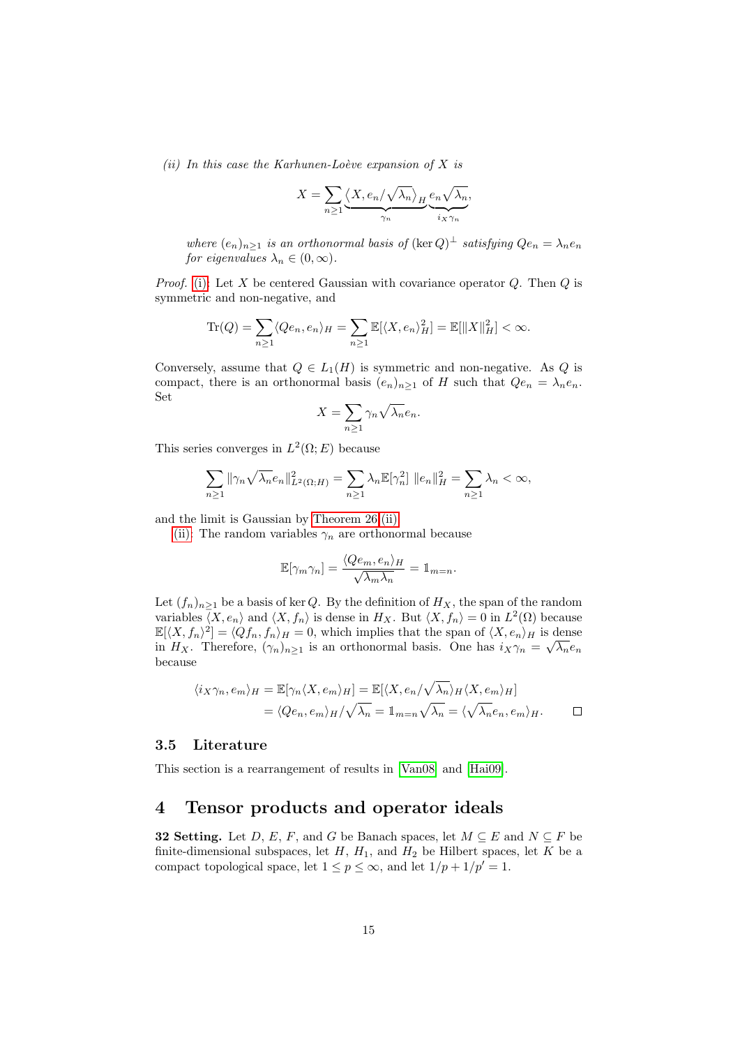<span id="page-14-2"></span>(ii) In this case the Karhunen-Loève expansion of  $X$  is

$$
X = \sum_{n \geq 1} \underbrace{\langle X, e_n/\sqrt{\lambda_n} \rangle_H}_{\gamma_n} \underbrace{e_n \sqrt{\lambda_n}}_{i_X \gamma_n},
$$

where  $(e_n)_{n\geq 1}$  is an orthonormal basis of  $(\ker Q)^{\perp}$  satisfying  $Qe_n = \lambda_n e_n$ for eigenvalues  $\lambda_n \in (0, \infty)$ .

*Proof.* [\(i\):](#page-13-2) Let X be centered Gaussian with covariance operator  $Q$ . Then  $Q$  is symmetric and non-negative, and

$$
\mathrm{Tr}(Q) = \sum_{n\geq 1} \langle Qe_n, e_n \rangle_H = \sum_{n\geq 1} \mathbb{E}[\langle X, e_n \rangle_H^2] = \mathbb{E}[\|X\|_H^2] < \infty.
$$

Conversely, assume that  $Q \in L_1(H)$  is symmetric and non-negative. As Q is compact, there is an orthonormal basis  $(e_n)_{n>1}$  of H such that  $Qe_n = \lambda_n e_n$ . Set

$$
X = \sum_{n \ge 1} \gamma_n \sqrt{\lambda_n} e_n.
$$

This series converges in  $L^2(\Omega; E)$  because

$$
\sum_{n\geq 1} \|\gamma_n \sqrt{\lambda_n} e_n\|_{L^2(\Omega;H)}^2 = \sum_{n\geq 1} \lambda_n \mathbb{E}[\gamma_n^2] \|e_n\|_H^2 = \sum_{n\geq 1} \lambda_n < \infty,
$$

and the limit is Gaussian by [Theorem 26.](#page-12-5)[\(ii\).](#page-12-3)

[\(ii\):](#page-14-2) The random variables  $\gamma_n$  are orthonormal because

$$
\mathbb{E}[\gamma_m \gamma_n] = \frac{\langle Q e_m, e_n \rangle_H}{\sqrt{\lambda_m \lambda_n}} = \mathbb{1}_{m=n}.
$$

Let  $(f_n)_{n\geq 1}$  be a basis of ker Q. By the definition of  $H_X$ , the span of the random variables  $\langle X, e_n \rangle$  and  $\langle X, f_n \rangle$  is dense in  $H_X$ . But  $\langle X, f_n \rangle = 0$  in  $L^2(\Omega)$  because  $\mathbb{E}[\langle X, f_n \rangle^2] = \langle Qf_n, f_n \rangle_H = 0$ , which implies that the span of  $\langle X, e_n \rangle_H$  is dense in H<sub>X</sub>. Therefore,  $(\gamma_n)_{n\geq 1}$  is an orthonormal basis. One has  $i_X\gamma_n = \sqrt{\lambda_n}e_n$ because

$$
\langle i_X \gamma_n, e_m \rangle_H = \mathbb{E}[\gamma_n \langle X, e_m \rangle_H] = \mathbb{E}[\langle X, e_n / \sqrt{\lambda_n} \rangle_H \langle X, e_m \rangle_H]
$$
  
=  $\langle Qe_n, e_m \rangle_H / \sqrt{\lambda_n} = \mathbb{1}_{m=n} \sqrt{\lambda_n} = \langle \sqrt{\lambda_n} e_n, e_m \rangle_H.$ 

#### <span id="page-14-0"></span>3.5 Literature

This section is a rearrangement of results in [\[Van08\]](#page-56-6) and [\[Hai09\]](#page-56-8).

## <span id="page-14-1"></span>4 Tensor products and operator ideals

**32 Setting.** Let D, E, F, and G be Banach spaces, let  $M \subseteq E$  and  $N \subseteq F$  be finite-dimensional subspaces, let  $H$ ,  $H_1$ , and  $H_2$  be Hilbert spaces, let K be a compact topological space, let  $1 \le p \le \infty$ , and let  $1/p + 1/p' = 1$ .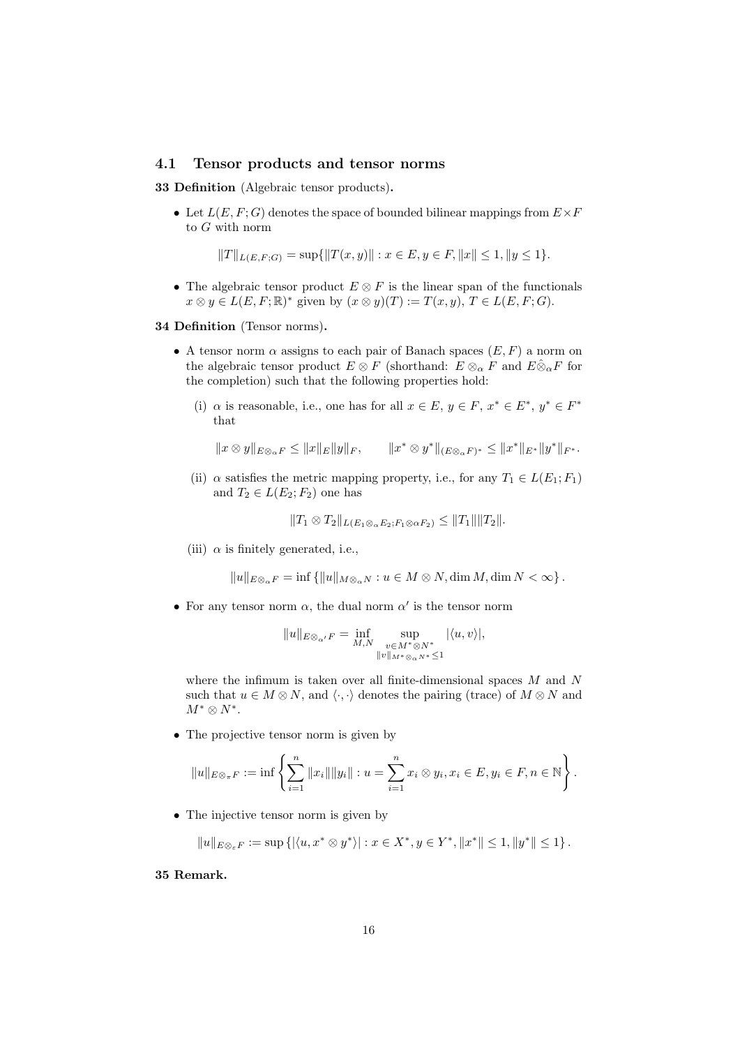#### <span id="page-15-0"></span>4.1 Tensor products and tensor norms

33 Definition (Algebraic tensor products).

• Let  $L(E, F; G)$  denotes the space of bounded bilinear mappings from  $E \times F$ to G with norm

$$
||T||_{L(E,F;G)} = \sup{||T(x,y)|| : x \in E, y \in F, ||x|| \le 1, ||y \le 1}.
$$

• The algebraic tensor product  $E \otimes F$  is the linear span of the functionals  $x \otimes y \in L(E, F; \mathbb{R})^*$  given by  $(x \otimes y)(T) := T(x, y), T \in L(E, F; G)$ .

34 Definition (Tensor norms).

- A tensor norm  $\alpha$  assigns to each pair of Banach spaces  $(E, F)$  a norm on the algebraic tensor product  $E \otimes F$  (shorthand:  $E \otimes_{\alpha} F$  and  $E \hat{\otimes}_{\alpha} F$  for the completion) such that the following properties hold:
	- (i)  $\alpha$  is reasonable, i.e., one has for all  $x \in E$ ,  $y \in F$ ,  $x^* \in E^*$ ,  $y^* \in F^*$ that

$$
||x \otimes y||_{E\otimes_{\alpha} F} \le ||x||_E ||y||_F, \qquad ||x^* \otimes y^*||_{(E\otimes_{\alpha} F)^*} \le ||x^*||_{E^*} ||y^*||_{F^*}.
$$

(ii)  $\alpha$  satisfies the metric mapping property, i.e., for any  $T_1 \in L(E_1; F_1)$ and  $T_2 \in L(E_2; F_2)$  one has

$$
||T_1 \otimes T_2||_{L(E_1 \otimes_{\alpha} E_2; F_1 \otimes \alpha F_2)} \le ||T_1|| ||T_2||.
$$

(iii)  $\alpha$  is finitely generated, i.e.,

 $||u||_{E\otimes_{\alpha} F} = \inf \{||u||_{M\otimes_{\alpha} N} : u \in M \otimes N, \dim M, \dim N < \infty \}.$ 

• For any tensor norm  $\alpha$ , the dual norm  $\alpha'$  is the tensor norm

$$
\|u\|_{E\otimes_{\alpha'} F}=\inf\limits_{M,N} \sup\limits_{\substack{v\in M^*\otimes N^*\\ \|v\|_{M^*\otimes_\alpha N^*}\leq 1}} |\langle u,v\rangle|,
$$

where the infimum is taken over all finite-dimensional spaces M and N such that  $u \in M \otimes N$ , and  $\langle \cdot, \cdot \rangle$  denotes the pairing (trace) of  $M \otimes N$  and  $M^* \otimes N^*$ .

• The projective tensor norm is given by

$$
||u||_{E\otimes_{\pi}F} := \inf \left\{ \sum_{i=1}^{n} ||x_i|| ||y_i|| : u = \sum_{i=1}^{n} x_i \otimes y_i, x_i \in E, y_i \in F, n \in \mathbb{N} \right\}.
$$

• The injective tensor norm is given by

 $||u||_{E\otimes_{\varepsilon} F} := \sup \{|\langle u, x^* \otimes y^* \rangle| : x \in X^*, y \in Y^*, ||x^*|| \leq 1, ||y^*|| \leq 1\}.$ 

35 Remark.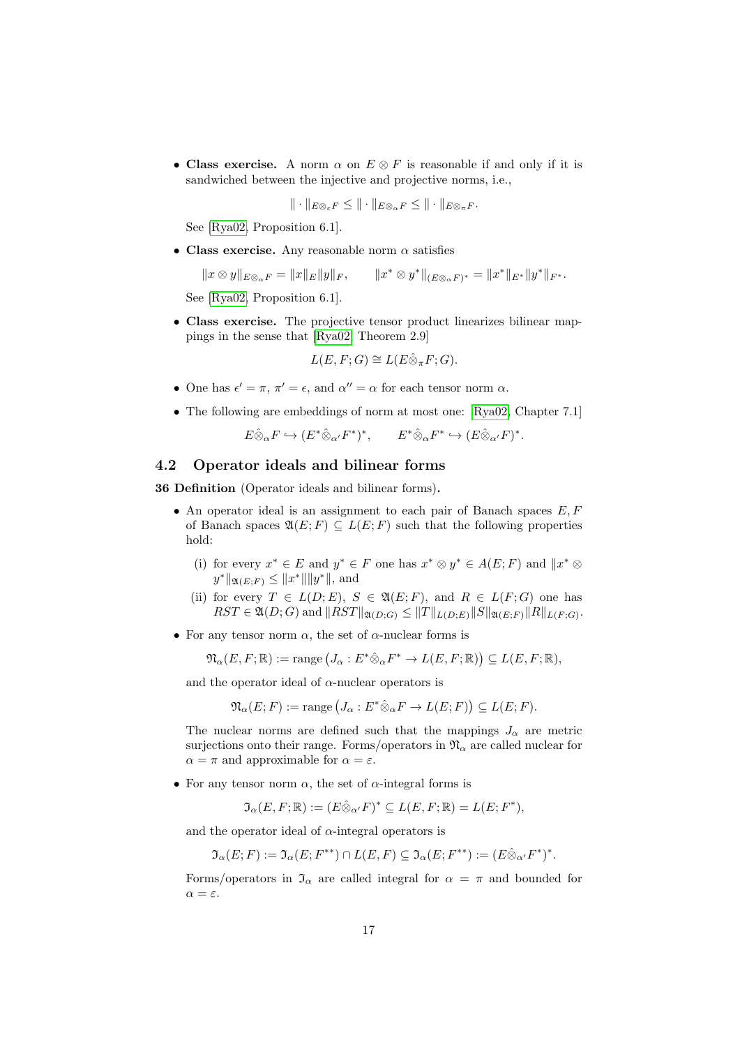• Class exercise. A norm  $\alpha$  on  $E \otimes F$  is reasonable if and only if it is sandwiched between the injective and projective norms, i.e.,

$$
\|\cdot\|_{E\otimes_{\varepsilon} F}\leq \|\cdot\|_{E\otimes_{\alpha} F}\leq \|\cdot\|_{E\otimes_{\pi} F}.
$$

See [\[Rya02,](#page-56-5) Proposition 6.1].

• Class exercise. Any reasonable norm  $\alpha$  satisfies

 $||x \otimes y||_{E \otimes_{\alpha} F} = ||x||_E ||y||_F,$  $x^* \otimes y^* \|_{(E \otimes_{\alpha} F)^*} = \|x^* \|_{E^*} \|y^*\|_{F^*}.$ 

See [\[Rya02,](#page-56-5) Proposition 6.1].

• Class exercise. The projective tensor product linearizes bilinear mappings in the sense that [\[Rya02,](#page-56-5) Theorem 2.9]

$$
L(E, F; G) \cong L(E \hat{\otimes}_{\pi} F; G).
$$

- One has  $\epsilon' = \pi$ ,  $\pi' = \epsilon$ , and  $\alpha'' = \alpha$  for each tensor norm  $\alpha$ .
- The following are embeddings of norm at most one: [\[Rya02,](#page-56-5) Chapter 7.1]

$$
E \hat{\otimes}_{\alpha} F \hookrightarrow (E^* \hat{\otimes}_{\alpha'} F^*)^*, \qquad E^* \hat{\otimes}_{\alpha} F^* \hookrightarrow (E \hat{\otimes}_{\alpha'} F)^*.
$$

## <span id="page-16-0"></span>4.2 Operator ideals and bilinear forms

<span id="page-16-1"></span>36 Definition (Operator ideals and bilinear forms).

- An operator ideal is an assignment to each pair of Banach spaces  $E, F$ of Banach spaces  $\mathfrak{A}(E; F) \subseteq L(E; F)$  such that the following properties hold:
	- (i) for every  $x^* \in E$  and  $y^* \in F$  one has  $x^* \otimes y^* \in A(E;F)$  and  $||x^* \otimes$  $y^*$   $||\mathfrak{A}(E;F) \leq ||x^*|| ||y^*||$ , and
	- (ii) for every  $T \in L(D; E)$ ,  $S \in \mathfrak{A}(E; F)$ , and  $R \in L(F; G)$  one has  $RST \in \mathfrak{A}(D;G)$  and  $||RST||_{\mathfrak{A}(D;G)} \leq ||T||_{L(D;E)}||S||_{\mathfrak{A}(E;F)}||R||_{L(F;G)}$ .
- For any tensor norm  $\alpha$ , the set of  $\alpha$ -nuclear forms is

$$
\mathfrak{N}_{\alpha}(E,F;\mathbb{R}) := \text{range}\left(J_{\alpha}: E^*\hat{\otimes}_{\alpha}F^* \to L(E,F;\mathbb{R})\right) \subseteq L(E,F;\mathbb{R}),
$$

and the operator ideal of  $\alpha$ -nuclear operators is

$$
\mathfrak{N}_{\alpha}(E; F) := \text{range} \left( J_{\alpha} : E^* \hat{\otimes}_{\alpha} F \to L(E; F) \right) \subseteq L(E; F).
$$

The nuclear norms are defined such that the mappings  $J_{\alpha}$  are metric surjections onto their range. Forms/operators in  $\mathfrak{N}_{\alpha}$  are called nuclear for  $\alpha = \pi$  and approximable for  $\alpha = \varepsilon$ .

• For any tensor norm  $\alpha$ , the set of  $\alpha$ -integral forms is

$$
\mathfrak{I}_{\alpha}(E,F;\mathbb{R}):=(E\hat{\otimes}_{\alpha'}F)^*\subseteq L(E,F;\mathbb{R})=L(E;F^*),
$$

and the operator ideal of  $\alpha$ -integral operators is

$$
\mathfrak{I}_{\alpha}(E;F) := \mathfrak{I}_{\alpha}(E;F^{**}) \cap L(E,F) \subseteq \mathfrak{I}_{\alpha}(E;F^{**}) := (E \hat{\otimes}_{\alpha'} F^*)^*.
$$

Forms/operators in  $\mathfrak{I}_{\alpha}$  are called integral for  $\alpha = \pi$  and bounded for  $\alpha = \varepsilon$ .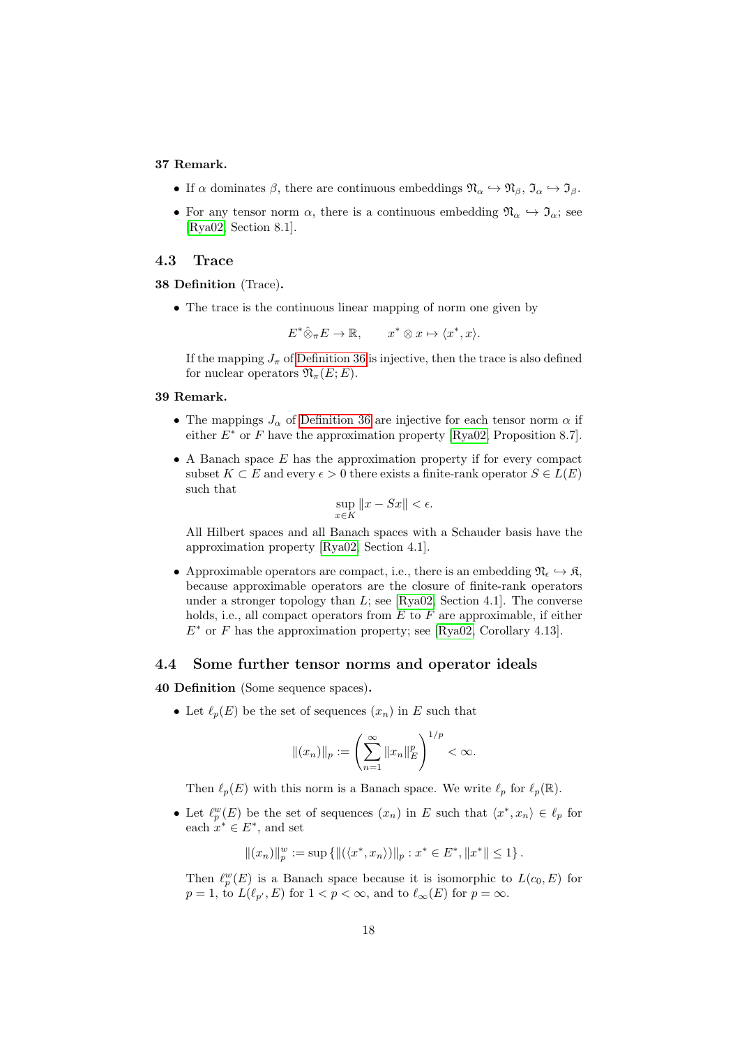#### 37 Remark.

- If  $\alpha$  dominates  $\beta$ , there are continuous embeddings  $\mathfrak{N}_{\alpha} \hookrightarrow \mathfrak{N}_{\beta}$ ,  $\mathfrak{I}_{\alpha} \hookrightarrow \mathfrak{I}_{\beta}$ .
- For any tensor norm  $\alpha$ , there is a continuous embedding  $\mathfrak{N}_{\alpha} \hookrightarrow \mathfrak{I}_{\alpha}$ ; see [\[Rya02,](#page-56-5) Section 8.1].

#### <span id="page-17-0"></span>4.3 Trace

#### 38 Definition (Trace).

• The trace is the continuous linear mapping of norm one given by

$$
E^*\hat{\otimes}_{\pi}E\to\mathbb{R},\qquad x^*\otimes x\mapsto\langle x^*,x\rangle.
$$

If the mapping  $J_{\pi}$  of [Definition 36](#page-16-1) is injective, then the trace is also defined for nuclear operators  $\mathfrak{N}_{\pi}(E;E)$ .

#### 39 Remark.

- The mappings  $J_{\alpha}$  of [Definition 36](#page-16-1) are injective for each tensor norm  $\alpha$  if either  $E^*$  or F have the approximation property [\[Rya02,](#page-56-5) Proposition 8.7].
- $\bullet$  A Banach space  $E$  has the approximation property if for every compact subset  $K \subset E$  and every  $\epsilon > 0$  there exists a finite-rank operator  $S \in L(E)$ such that

$$
\sup_{x \in K} \|x - Sx\| < \epsilon.
$$

All Hilbert spaces and all Banach spaces with a Schauder basis have the approximation property [\[Rya02,](#page-56-5) Section 4.1].

• Approximable operators are compact, i.e., there is an embedding  $\mathfrak{N}_{\epsilon} \hookrightarrow \mathfrak{K}$ , because approximable operators are the closure of finite-rank operators under a stronger topology than  $L$ ; see [\[Rya02,](#page-56-5) Section 4.1]. The converse holds, i.e., all compact operators from  $E$  to  $F$  are approximable, if either  $E^*$  or F has the approximation property; see [\[Rya02,](#page-56-5) Corollary 4.13].

#### <span id="page-17-1"></span>4.4 Some further tensor norms and operator ideals

40 Definition (Some sequence spaces).

• Let  $\ell_p(E)$  be the set of sequences  $(x_n)$  in E such that

$$
\|(x_n)\|_p := \left(\sum_{n=1}^{\infty} \|x_n\|_E^p\right)^{1/p} < \infty.
$$

Then  $\ell_p(E)$  with this norm is a Banach space. We write  $\ell_p$  for  $\ell_p(\mathbb{R})$ .

• Let  $\ell_p^w(E)$  be the set of sequences  $(x_n)$  in E such that  $\langle x^*, x_n \rangle \in \ell_p$  for each  $x^* \in E^*$ , and set

$$
||(x_n)||_p^w := \sup \{ ||(\langle x^*, x_n \rangle)||_p : x^* \in E^*, ||x^*|| \le 1 \}.
$$

Then  $\ell_p^w(E)$  is a Banach space because it is isomorphic to  $L(c_0, E)$  for  $p = 1$ , to  $L(\ell_{p'}, E)$  for  $1 < p < \infty$ , and to  $\ell_{\infty}(E)$  for  $p = \infty$ .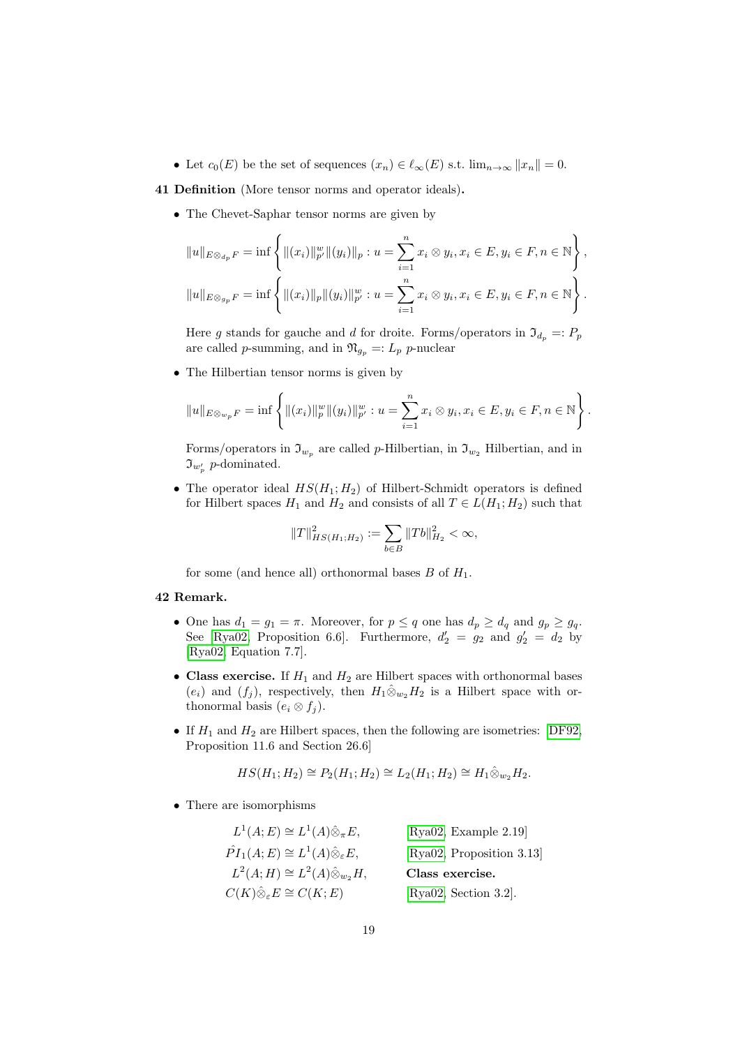• Let  $c_0(E)$  be the set of sequences  $(x_n) \in \ell_\infty(E)$  s.t.  $\lim_{n\to\infty} ||x_n|| = 0$ .

#### 41 Definition (More tensor norms and operator ideals).

• The Chevet-Saphar tensor norms are given by

$$
||u||_{E \otimes_{d_p} F} = \inf \left\{ ||(x_i)||_{p'}^w ||(y_i)||_p : u = \sum_{i=1}^n x_i \otimes y_i, x_i \in E, y_i \in F, n \in \mathbb{N} \right\},\
$$
  

$$
||u||_{E \otimes_{g_p} F} = \inf \left\{ ||(x_i)||_p ||(y_i)||_{p'}^w : u = \sum_{i=1}^n x_i \otimes y_i, x_i \in E, y_i \in F, n \in \mathbb{N} \right\}.
$$

Here g stands for gauche and d for droite. Forms/operators in  $\mathfrak{I}_{d_n} =: P_p$ are called p-summing, and in  $\mathfrak{N}_{q_p} =: L_p$  p-nuclear

• The Hilbertian tensor norms is given by

$$
||u||_{E\otimes w_p}F = \inf \left\{ ||(x_i)||_p^w ||(y_i)||_{p'}^w : u = \sum_{i=1}^n x_i \otimes y_i, x_i \in E, y_i \in F, n \in \mathbb{N} \right\}.
$$

Forms/operators in  $\mathfrak{I}_{w_p}$  are called p-Hilbertian, in  $\mathfrak{I}_{w_2}$  Hilbertian, and in  $\mathfrak{I}_{w'_p}$  p-dominated.

• The operator ideal  $HS(H_1; H_2)$  of Hilbert-Schmidt operators is defined for Hilbert spaces  $H_1$  and  $H_2$  and consists of all  $T \in L(H_1; H_2)$  such that

$$
\|T\|_{HS(H_1;H_2)}^2:=\sum_{b\in B}\|Tb\|_{H_2}^2<\infty,
$$

for some (and hence all) orthonormal bases  $B$  of  $H_1$ .

#### 42 Remark.

- One has  $d_1 = g_1 = \pi$ . Moreover, for  $p \leq q$  one has  $d_p \geq d_q$  and  $g_p \geq g_q$ . See [\[Rya02,](#page-56-5) Proposition 6.6]. Furthermore,  $d'_2 = g_2$  and  $g'_2 = d_2$  by [\[Rya02,](#page-56-5) Equation 7.7].
- Class exercise. If  $H_1$  and  $H_2$  are Hilbert spaces with orthonormal bases  $(e_i)$  and  $(f_j)$ , respectively, then  $H_1 \hat{\otimes}_{w_2} H_2$  is a Hilbert space with orthonormal basis  $(e_i \otimes f_j)$ .
- If  $H_1$  and  $H_2$  are Hilbert spaces, then the following are isometries: [\[DF92,](#page-56-9) Proposition 11.6 and Section 26.6]

$$
HS(H_1; H_2) \cong P_2(H_1; H_2) \cong L_2(H_1; H_2) \cong H_1 \hat{\otimes}_{w_2} H_2.
$$

• There are isomorphisms

| $L^1(A;E) \cong L^1(A)\hat{\otimes}_{\pi}E,$                | [Rya02, Example $2.19$ ]  |
|-------------------------------------------------------------|---------------------------|
| $\hat{PI}_1(A;E) \cong L^1(A)\hat{\otimes}_{\varepsilon}E,$ | [Rya02, Proposition 3.13] |
| $L^2(A;H) \cong L^2(A) \hat{\otimes}_{w_2} H,$              | Class exercise.           |
| $C(K)\hat{\otimes}_{\varepsilon}E \cong C(K;E)$             | [Rya02, Section 3.2].     |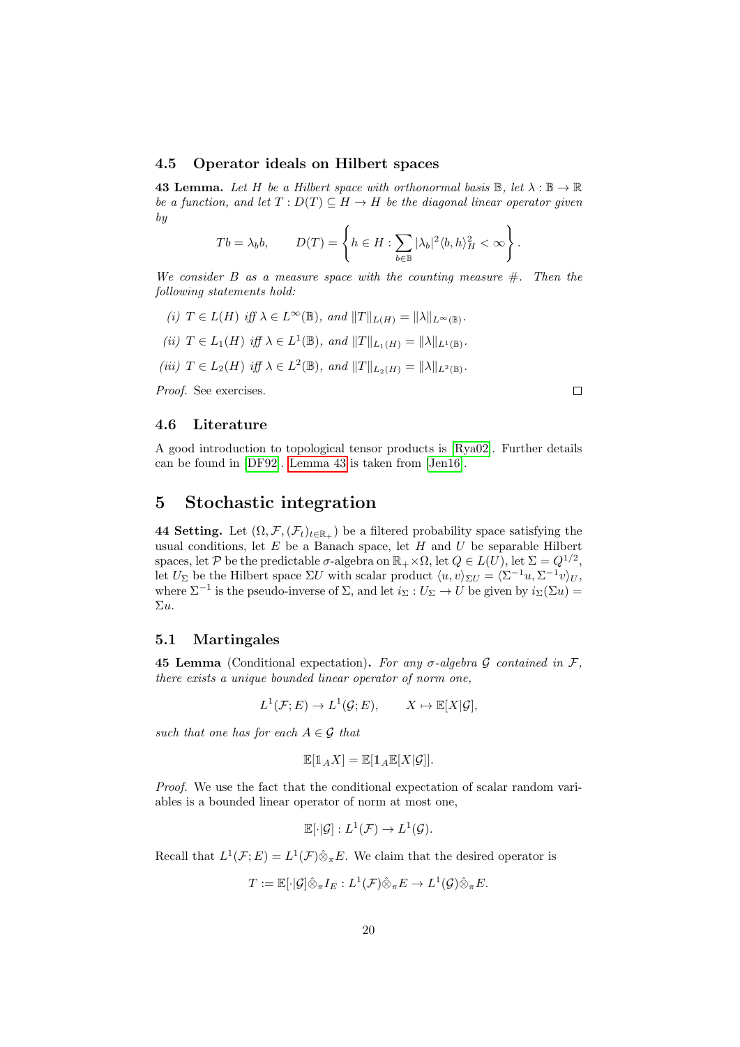#### <span id="page-19-0"></span>4.5 Operator ideals on Hilbert spaces

<span id="page-19-4"></span>**43 Lemma.** Let H be a Hilbert space with orthonormal basis  $\mathbb{B}$ , let  $\lambda : \mathbb{B} \to \mathbb{R}$ be a function, and let  $T: D(T) \subseteq H \to H$  be the diagonal linear operator given by

$$
Tb = \lambda_b b, \qquad D(T) = \left\{ h \in H : \sum_{b \in \mathbb{B}} |\lambda_b|^2 \langle b, h \rangle_H^2 < \infty \right\}.
$$

We consider B as a measure space with the counting measure  $\#$ . Then the following statements hold:

- (i)  $T \in L(H)$  iff  $\lambda \in L^{\infty}(\mathbb{B})$ , and  $||T||_{L(H)} = ||\lambda||_{L^{\infty}(\mathbb{B})}$ .
- (ii)  $T \in L_1(H)$  iff  $\lambda \in L^1(\mathbb{B})$ , and  $||T||_{L_1(H)} = ||\lambda||_{L^1(\mathbb{B})}$ .
- (iii)  $T \in L_2(H)$  iff  $\lambda \in L^2(\mathbb{B})$ , and  $||T||_{L_2(H)} = ||\lambda||_{L^2(\mathbb{B})}$ .

Proof. See exercises.

 $\Box$ 

## <span id="page-19-1"></span>4.6 Literature

A good introduction to topological tensor products is [\[Rya02\]](#page-56-5). Further details can be found in [\[DF92\]](#page-56-9). [Lemma 43](#page-19-4) is taken from [\[Jen16\]](#page-56-7).

## <span id="page-19-2"></span>5 Stochastic integration

44 Setting. Let  $(\Omega, \mathcal{F}, (\mathcal{F}_t)_{t \in \mathbb{R}_+})$  be a filtered probability space satisfying the usual conditions, let  $E$  be a Banach space, let  $H$  and  $U$  be separable Hilbert spaces, let P be the predictable  $\sigma$ -algebra on  $\mathbb{R}_+ \times \Omega$ , let  $Q \in L(U)$ , let  $\Sigma = Q^{1/2}$ , let  $U_{\Sigma}$  be the Hilbert space  $\Sigma U$  with scalar product  $\langle u, v \rangle_{\Sigma U} = \langle \Sigma^{-1}u, \Sigma^{-1}v \rangle_{U},$ where  $\Sigma^{-1}$  is the pseudo-inverse of  $\Sigma$ , and let  $i_{\Sigma}: U_{\Sigma} \to U$  be given by  $i_{\Sigma}(\Sigma u) =$ Σu.

## <span id="page-19-3"></span>5.1 Martingales

**45 Lemma** (Conditional expectation). For any  $\sigma$ -algebra  $\mathcal G$  contained in  $\mathcal F$ , there exists a unique bounded linear operator of norm one,

$$
L^1(\mathcal{F}; E) \to L^1(\mathcal{G}; E), \qquad X \mapsto \mathbb{E}[X|\mathcal{G}],
$$

such that one has for each  $A \in \mathcal{G}$  that

$$
\mathbb{E}[\mathbb{1}_A X] = \mathbb{E}[\mathbb{1}_A \mathbb{E}[X|\mathcal{G}]].
$$

Proof. We use the fact that the conditional expectation of scalar random variables is a bounded linear operator of norm at most one,

$$
\mathbb{E}[\cdot|\mathcal{G}] : L^1(\mathcal{F}) \to L^1(\mathcal{G}).
$$

Recall that  $L^1(\mathcal{F};E) = L^1(\mathcal{F}) \hat{\otimes}_{\pi} E$ . We claim that the desired operator is

$$
T:=\mathbb{E}[\cdot|\mathcal{G}]\hat{\otimes}_\pi I_E: L^1(\mathcal{F})\hat{\otimes}_\pi E\to L^1(\mathcal{G})\hat{\otimes}_\pi E.
$$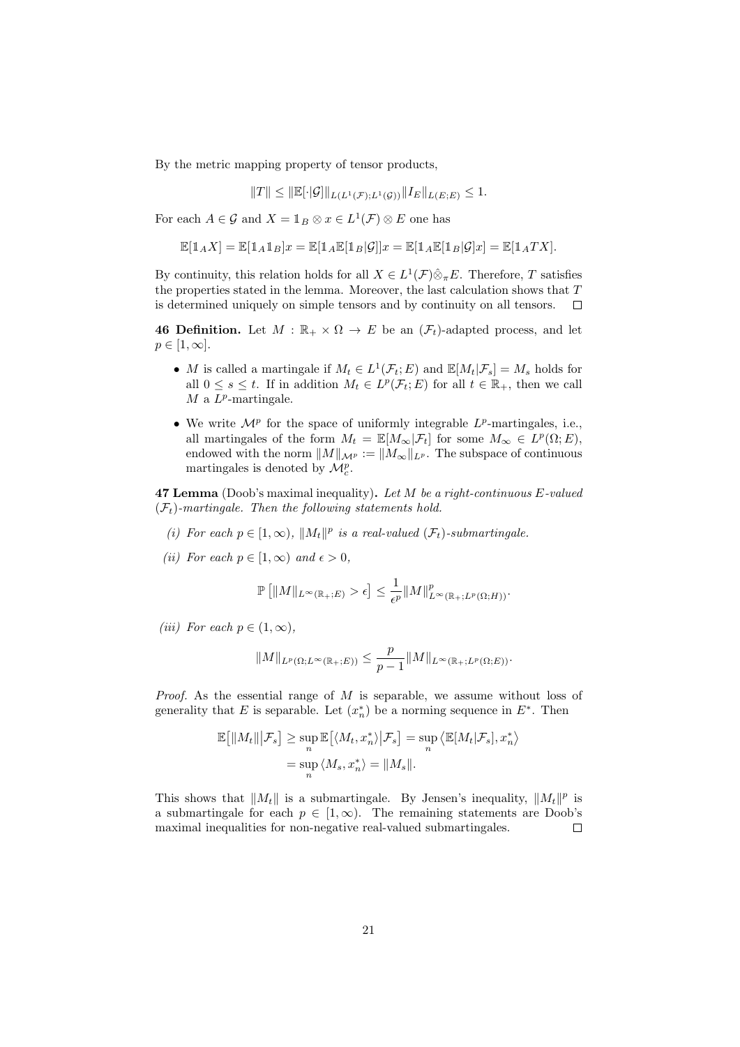By the metric mapping property of tensor products,

$$
||T|| \le ||E[\cdot|\mathcal{G}]||_{L(L^{1}(\mathcal{F});L^{1}(\mathcal{G}))}||I_{E}||_{L(E;E)} \le 1.
$$

For each  $A \in \mathcal{G}$  and  $X = \mathbb{1}_B \otimes x \in L^1(\mathcal{F}) \otimes E$  one has

$$
\mathbb{E}[\mathbbm{1}_A X] = \mathbb{E}[\mathbbm{1}_A \mathbbm{1}_B] x = \mathbb{E}[\mathbbm{1}_A \mathbb{E}[\mathbbm{1}_B | \mathcal{G}]] x = \mathbb{E}[\mathbbm{1}_A \mathbb{E}[\mathbbm{1}_B | \mathcal{G}] x] = \mathbb{E}[\mathbbm{1}_A TX].
$$

By continuity, this relation holds for all  $X \in L^1(\mathcal{F}) \hat{\otimes}_{\pi} E$ . Therefore, T satisfies the properties stated in the lemma. Moreover, the last calculation shows that  $T$ is determined uniquely on simple tensors and by continuity on all tensors.  $\Box$ 

**46 Definition.** Let  $M : \mathbb{R}_+ \times \Omega \to E$  be an  $(\mathcal{F}_t)$ -adapted process, and let  $p \in [1,\infty].$ 

- M is called a martingale if  $M_t \in L^1(\mathcal{F}_t; E)$  and  $\mathbb{E}[M_t | \mathcal{F}_s] = M_s$  holds for all  $0 \leq s \leq t$ . If in addition  $M_t \in L^p(\mathcal{F}_t; E)$  for all  $t \in \mathbb{R}_+$ , then we call  $M$  a  $L^p$ -martingale.
- We write  $\mathcal{M}^p$  for the space of uniformly integrable  $L^p$ -martingales, i.e., all martingales of the form  $M_t = \mathbb{E}[M_\infty | \mathcal{F}_t]$  for some  $M_\infty \in L^p(\Omega; E)$ , endowed with the norm  $||M||_{\mathcal{M}^p} := ||M_{\infty}||_{L^p}$ . The subspace of continuous martingales is denoted by  $\mathcal{M}_c^p$ .

<span id="page-20-0"></span>**47 Lemma** (Doob's maximal inequality). Let M be a right-continuous  $E$ -valued  $(\mathcal{F}_t)$ -martingale. Then the following statements hold.

- (i) For each  $p \in [1,\infty)$ ,  $||M_t||^p$  is a real-valued  $(\mathcal{F}_t)$ -submartingale.
- (ii) For each  $p \in [1,\infty)$  and  $\epsilon > 0$ ,

$$
\mathbb{P}\left[\|M\|_{L^{\infty}(\mathbb{R}_+;E)} > \epsilon\right] \leq \frac{1}{\epsilon^p} \|M\|_{L^{\infty}(\mathbb{R}_+;L^p(\Omega;H))}^p.
$$

<span id="page-20-1"></span>(iii) For each  $p \in (1,\infty)$ ,

$$
||M||_{L^p(\Omega;L^\infty(\mathbb{R}_+;E))} \leq \frac{p}{p-1}||M||_{L^\infty(\mathbb{R}_+;L^p(\Omega;E))}.
$$

*Proof.* As the essential range of  $M$  is separable, we assume without loss of generality that E is separable. Let  $(x_n^*)$  be a norming sequence in  $E^*$ . Then

$$
\mathbb{E}[||M_t|||\mathcal{F}_s] \ge \sup_n \mathbb{E}[\langle M_t, x_n^* \rangle | \mathcal{F}_s] = \sup_n \langle \mathbb{E}[M_t | \mathcal{F}_s], x_n^* \rangle
$$
  
=  $\sup_n \langle M_s, x_n^* \rangle = ||M_s||.$ 

This shows that  $||M_t||$  is a submartingale. By Jensen's inequality,  $||M_t||^p$  is a submartingale for each  $p \in [1,\infty)$ . The remaining statements are Doob's maximal inequalities for non-negative real-valued submartingales.  $\Box$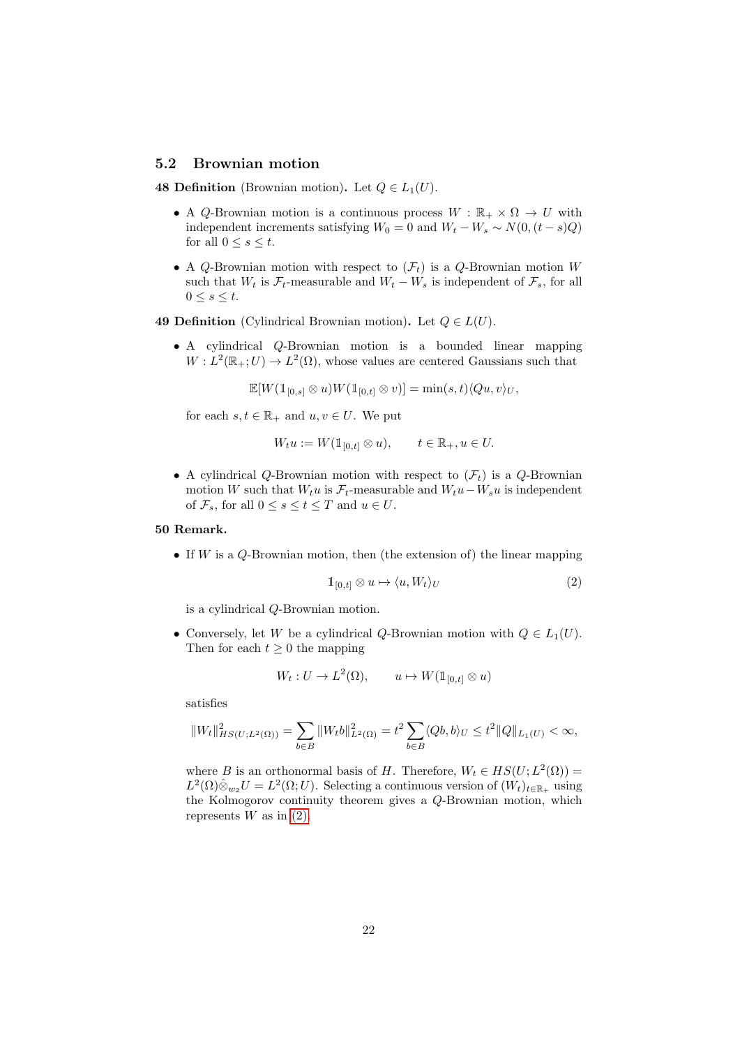#### <span id="page-21-0"></span>5.2 Brownian motion

48 Definition (Brownian motion). Let  $Q \in L_1(U)$ .

- A Q-Brownian motion is a continuous process  $W : \mathbb{R}_+ \times \Omega \to U$  with independent increments satisfying  $W_0 = 0$  and  $W_t - W_s \sim N(0, (t - s)Q)$ for all  $0 \leq s \leq t$ .
- A Q-Brownian motion with respect to  $(\mathcal{F}_t)$  is a Q-Brownian motion W such that  $W_t$  is  $\mathcal{F}_t$ -measurable and  $W_t - W_s$  is independent of  $\mathcal{F}_s$ , for all  $0 \leq s \leq t$ .
- 49 Definition (Cylindrical Brownian motion). Let  $Q \in L(U)$ .
	- A cylindrical Q-Brownian motion is a bounded linear mapping  $W: L^2(\mathbb{R}_+; U) \to L^2(\Omega)$ , whose values are centered Gaussians such that

 $\mathbb{E}[W(\mathbb{1}_{[0,s]} \otimes u)W(\mathbb{1}_{[0,t]} \otimes v)] = \min(s,t)\langle Qu, v\rangle_U,$ 

for each  $s, t \in \mathbb{R}_+$  and  $u, v \in U$ . We put

$$
W_t u := W(\mathbb{1}_{[0,t]} \otimes u), \qquad t \in \mathbb{R}_+, u \in U.
$$

• A cylindrical Q-Brownian motion with respect to  $(\mathcal{F}_t)$  is a Q-Brownian motion W such that  $W_t u$  is  $\mathcal{F}_t$ -measurable and  $W_t u - W_s u$  is independent of  $\mathcal{F}_s$ , for all  $0 \leq s \leq t \leq T$  and  $u \in U$ .

#### 50 Remark.

• If  $W$  is a Q-Brownian motion, then (the extension of) the linear mapping

<span id="page-21-1"></span>
$$
\mathbb{1}_{[0,t]} \otimes u \mapsto \langle u, W_t \rangle_U \tag{2}
$$

is a cylindrical Q-Brownian motion.

• Conversely, let W be a cylindrical Q-Brownian motion with  $Q \in L_1(U)$ . Then for each  $t \geq 0$  the mapping

$$
W_t: U \to L^2(\Omega), \qquad u \mapsto W(\mathbb{1}_{[0,t]} \otimes u)
$$

satisfies

$$
||W_t||_{HS(U;L^2(\Omega))}^2 = \sum_{b \in B} ||W_t b||_{L^2(\Omega)}^2 = t^2 \sum_{b \in B} \langle Qb, b \rangle_U \le t^2 ||Q||_{L_1(U)} < \infty,
$$

where B is an orthonormal basis of H. Therefore,  $W_t \in HS(U; L^2(\Omega)) =$  $L^2(\Omega)\hat{\otimes}_{w_2}U = L^2(\Omega;U)$ . Selecting a continuous version of  $(W_t)_{t\in\mathbb{R}_+}$  using the Kolmogorov continuity theorem gives a Q-Brownian motion, which represents  $W$  as in  $(2)$ .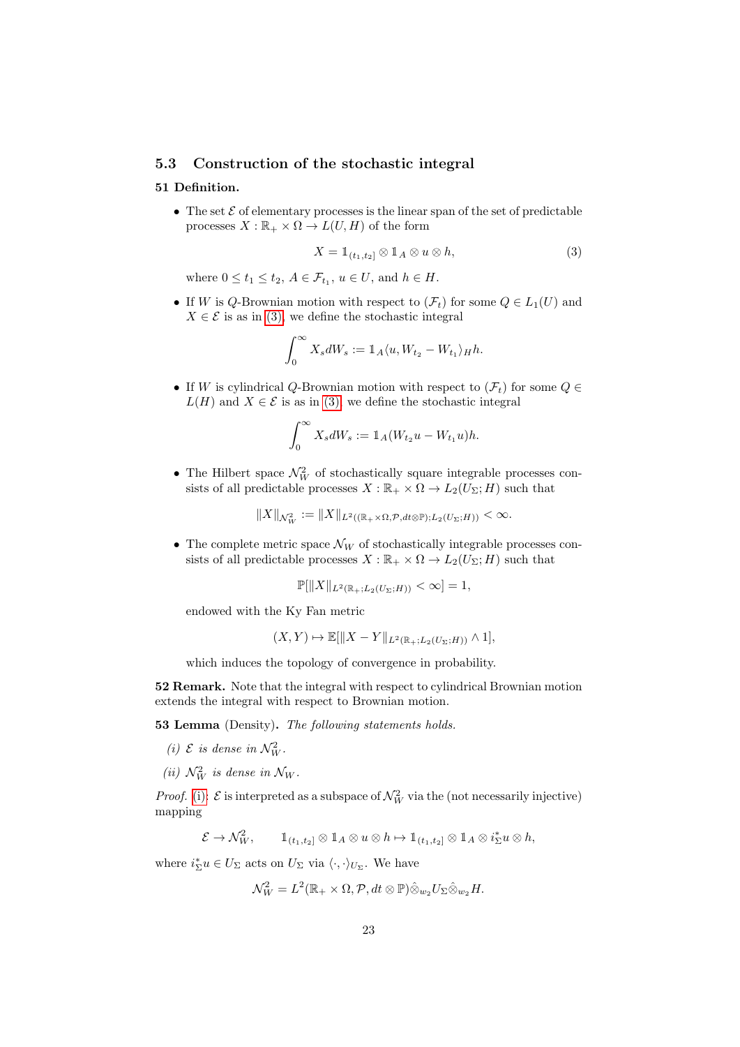#### <span id="page-22-0"></span>5.3 Construction of the stochastic integral

#### <span id="page-22-4"></span>51 Definition.

• The set  $\mathcal E$  of elementary processes is the linear span of the set of predictable processes  $X : \mathbb{R}_+ \times \Omega \to L(U, H)$  of the form

<span id="page-22-1"></span>
$$
X = 1\!\!1_{(t_1, t_2]} \otimes 1\!\!1_A \otimes u \otimes h,\tag{3}
$$

where  $0 \le t_1 \le t_2$ ,  $A \in \mathcal{F}_{t_1}$ ,  $u \in U$ , and  $h \in H$ .

• If W is Q-Brownian motion with respect to  $(\mathcal{F}_t)$  for some  $Q \in L_1(U)$  and  $X \in \mathcal{E}$  is as in [\(3\),](#page-22-1) we define the stochastic integral

$$
\int_0^\infty X_s dW_s := \mathbb{1}_A \langle u, W_{t_2} - W_{t_1} \rangle_H h.
$$

• If W is cylindrical Q-Brownian motion with respect to  $(\mathcal{F}_t)$  for some  $Q \in$  $L(H)$  and  $X \in \mathcal{E}$  is as in [\(3\),](#page-22-1) we define the stochastic integral

$$
\int_0^{\infty} X_s dW_s := \mathbb{1}_A (W_{t_2} u - W_{t_1} u) h.
$$

• The Hilbert space  $\mathcal{N}_W^2$  of stochastically square integrable processes consists of all predictable processes  $X : \mathbb{R}_+ \times \Omega \to L_2(U_\Sigma; H)$  such that

$$
||X||_{\mathcal{N}_W^2} := ||X||_{L^2((\mathbb{R}_+ \times \Omega, \mathcal{P}, dt \otimes \mathbb{P}); L_2(U_\Sigma; H))} < \infty.
$$

• The complete metric space  $\mathcal{N}_W$  of stochastically integrable processes consists of all predictable processes  $X : \mathbb{R}_+ \times \Omega \to L_2(U_\Sigma; H)$  such that

$$
\mathbb{P}[\|X\|_{L^2(\mathbb{R}_+;L_2(U_\Sigma;H))} < \infty] = 1,
$$

endowed with the Ky Fan metric

$$
(X,Y)\mapsto \mathbb{E}[\|X-Y\|_{L^2(\mathbb{R}_+;L_2(U_\Sigma;H))}\wedge 1],
$$

which induces the topology of convergence in probability.

52 Remark. Note that the integral with respect to cylindrical Brownian motion extends the integral with respect to Brownian motion.

<span id="page-22-5"></span>53 Lemma (Density). The following statements holds.

- <span id="page-22-2"></span>(i)  $\mathcal{E}$  is dense in  $\mathcal{N}_W^2$ .
- <span id="page-22-3"></span>(ii)  $\mathcal{N}_W^2$  is dense in  $\mathcal{N}_W$ .

*Proof.* [\(i\):](#page-22-2)  $\mathcal{E}$  is interpreted as a subspace of  $\mathcal{N}_W^2$  via the (not necessarily injective) mapping

$$
\mathcal{E} \to \mathcal{N}_{W}^{2}, \qquad \mathbb{1}_{(t_1,t_2]} \otimes \mathbb{1}_A \otimes u \otimes h \mapsto \mathbb{1}_{(t_1,t_2]} \otimes \mathbb{1}_A \otimes i_{\Sigma}^{*} u \otimes h,
$$

where  $i_{\Sigma}^* u \in U_{\Sigma}$  acts on  $U_{\Sigma}$  via  $\langle \cdot, \cdot \rangle_{U_{\Sigma}}$ . We have

$$
\mathcal{N}_{W}^{2}=L^{2}(\mathbb{R}_{+}\times \Omega, \mathcal{P}, dt\otimes \mathbb{P})\hat{\otimes}_{w_{2}}U_{\Sigma}\hat{\otimes}_{w_{2}}H.
$$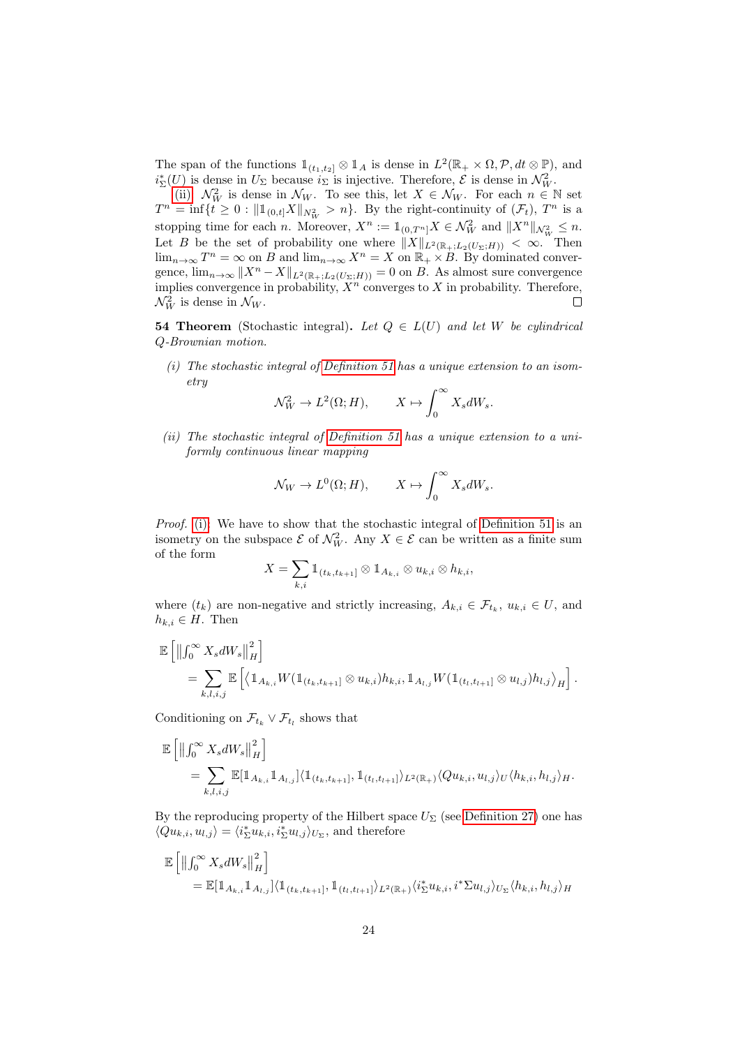The span of the functions  $\mathbb{1}_{(t_1,t_2]} \otimes \mathbb{1}_A$  is dense in  $L^2(\mathbb{R}_+ \times \Omega, \mathcal{P}, dt \otimes \mathbb{P})$ , and  $i_{\Sigma}^{*}(U)$  is dense in  $U_{\Sigma}$  because  $i_{\Sigma}$  is injective. Therefore,  $\mathcal{E}$  is dense in  $\mathcal{N}_{W}^{2}$ .

[\(ii\):](#page-22-3)  $\mathcal{N}_W^2$  is dense in  $\mathcal{N}_W$ . To see this, let  $X \in \mathcal{N}_W$ . For each  $n \in \mathbb{N}$  set  $T^n = \inf\{t \geq 0 : ||\mathbb{1}_{(0,t]}X||_{N^2_W} > n\}.$  By the right-continuity of  $(\mathcal{F}_t)$ ,  $T^n$  is a stopping time for each *n*. Moreover,  $X^n := \mathbb{1}_{(0,T^n]} X \in \mathcal{N}_W^2$  and  $||X^n||_{\mathcal{N}_W^2} \leq n$ . Let B be the set of probability one where  $||X||_{L^2(\mathbb{R}_+;L_2(U_\Sigma;H))} < \infty$ . Then  $\lim_{n\to\infty} T^n = \infty$  on B and  $\lim_{n\to\infty} X^n = X$  on  $\mathbb{R}_+ \times B$ . By dominated convergence,  $\lim_{n\to\infty}||X^n - X||_{L^2(\mathbb{R}_+;L_2(U_\Sigma;H))} = 0$  on B. As almost sure convergence implies convergence in probability,  $X^n$  converges to X in probability. Therefore,  $\mathcal{N}_W^2$  is dense in  $\mathcal{N}_W$ .  $\Box$ 

<span id="page-23-2"></span>**54 Theorem** (Stochastic integral). Let  $Q \in L(U)$  and let W be cylindrical Q-Brownian motion.

<span id="page-23-0"></span>(i) The stochastic integral of [Definition 51](#page-22-4) has a unique extension to an isometry

$$
\mathcal{N}_W^2 \to L^2(\Omega; H), \qquad X \mapsto \int_0^\infty X_s dW_s.
$$

<span id="page-23-1"></span>(ii) The stochastic integral of [Definition 51](#page-22-4) has a unique extension to a uniformly continuous linear mapping

$$
\mathcal{N}_W \to L^0(\Omega; H), \qquad X \mapsto \int_0^\infty X_s dW_s.
$$

Proof. [\(i\):](#page-23-0) We have to show that the stochastic integral of [Definition 51](#page-22-4) is an isometry on the subspace  $\mathcal{E}$  of  $\mathcal{N}_{W}^2$ . Any  $X \in \mathcal{E}$  can be written as a finite sum of the form

$$
X=\sum_{k,i}\mathbb{1}_{(t_k,t_{k+1}]}\otimes\mathbb{1}_{A_{k,i}}\otimes u_{k,i}\otimes h_{k,i},
$$

where  $(t_k)$  are non-negative and strictly increasing,  $A_{k,i} \in \mathcal{F}_{t_k}$ ,  $u_{k,i} \in U$ , and  $h_{k,i} \in H$ . Then

$$
\mathbb{E}\left[\left\|\int_0^\infty X_s dW_s\right\|_H^2\right] \n= \sum_{k,l,i,j} \mathbb{E}\left[\left\langle \mathbb{1}_{A_{k,i}} W(\mathbb{1}_{(t_k,t_{k+1}]}\otimes u_{k,i})h_{k,i}, \mathbb{1}_{A_{l,j}} W(\mathbb{1}_{(t_l,t_{l+1}]}\otimes u_{l,j})h_{l,j}\right\rangle_H\right].
$$

Conditioning on  $\mathcal{F}_{t_k} \vee \mathcal{F}_{t_l}$  shows that

$$
\mathbb{E}\left[\left\|\int_0^\infty X_s dW_s\right\|_H^2\right]
$$
  
= 
$$
\sum_{k,l,i,j} \mathbb{E}[\mathbb{1}_{A_{k,i}} \mathbb{1}_{A_{l,j}}] \langle \mathbb{1}_{(t_k,t_{k+1}]}, \mathbb{1}_{(t_l,t_{l+1}]}\rangle_{L^2(\mathbb{R}_+)} \langle Qu_{k,i}, u_{l,j}\rangle_U \langle h_{k,i}, h_{l,j}\rangle_H.
$$

By the reproducing property of the Hilbert space  $U_{\Sigma}$  (see [Definition 27\)](#page-12-6) one has  $\langle Qu_{k,i}, u_{l,j} \rangle = \langle i_{\Sigma}^* u_{k,i}, i_{\Sigma}^* u_{l,j} \rangle_{U_{\Sigma}}$ , and therefore

$$
\mathbb{E} \left[ \left\| \int_0^\infty X_s dW_s \right\|_H^2 \right] \n= \mathbb{E} [\mathbb{1}_{A_{k,i}} \mathbb{1}_{A_{l,j}}] \langle \mathbb{1}_{(t_k, t_{k+1}]}, \mathbb{1}_{(t_l, t_{l+1}]}\rangle_{L^2(\mathbb{R}_+)} \langle i_{\Sigma}^* u_{k,i}, i^* \Sigma u_{l,j} \rangle_{U_{\Sigma}} \langle h_{k,i}, h_{l,j} \rangle_H
$$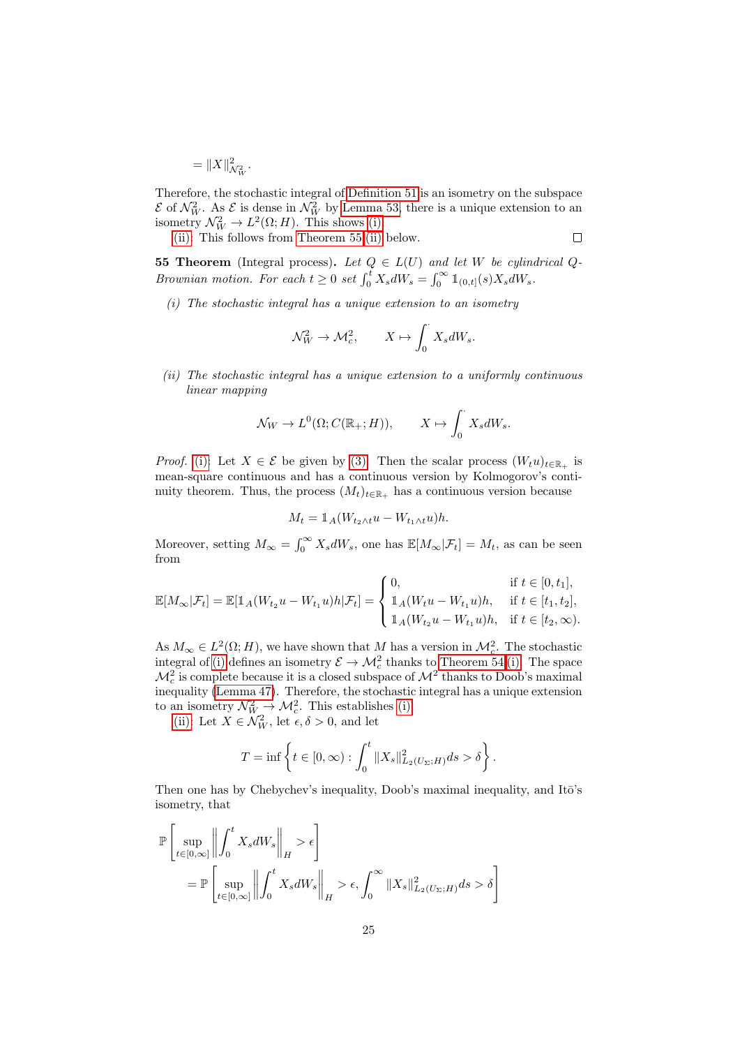$= \|X\|_{\mathcal{N}_{W}^{2}}^{2}.$ 

Therefore, the stochastic integral of [Definition 51](#page-22-4) is an isometry on the subspace  $\mathcal{E}$  of  $\mathcal{N}_W^2$ . As  $\mathcal{E}$  is dense in  $\mathcal{N}_W^2$  by [Lemma 53,](#page-22-5) there is a unique extension to an isometry  $\mathcal{N}_W^2 \to L^2(\Omega; H)$ . This shows [\(i\).](#page-23-0)

[\(ii\):](#page-23-1) This follows from [Theorem 55](#page-24-0)[.\(ii\)](#page-24-1) below.

$$
\Box
$$

<span id="page-24-0"></span>**55 Theorem** (Integral process). Let  $Q \in L(U)$  and let W be cylindrical  $Q$ -Brownian motion. For each  $t \geq 0$  set  $\int_0^t X_s dW_s = \int_0^\infty \mathbb{1}_{(0,t]}(s)X_s dW_s$ .

<span id="page-24-2"></span>(i) The stochastic integral has a unique extension to an isometry

$$
\mathcal{N}_W^2 \to \mathcal{M}_c^2, \qquad X \mapsto \int_0^\cdot X_s dW_s.
$$

<span id="page-24-1"></span>(ii) The stochastic integral has a unique extension to a uniformly continuous linear mapping

$$
\mathcal{N}_W \to L^0(\Omega; C(\mathbb{R}_+; H)), \qquad X \mapsto \int_0^{\cdot} X_s dW_s.
$$

*Proof.* [\(i\):](#page-24-2) Let  $X \in \mathcal{E}$  be given by [\(3\).](#page-22-1) Then the scalar process  $(W_t u)_{t \in \mathbb{R}_+}$  is mean-square continuous and has a continuous version by Kolmogorov's continuity theorem. Thus, the process  $(M_t)_{t \in \mathbb{R}_+}$  has a continuous version because

$$
M_t = \mathbb{1}_A (W_{t_2 \wedge t} u - W_{t_1 \wedge t} u) h.
$$

Moreover, setting  $M_{\infty} = \int_0^{\infty} X_s dW_s$ , one has  $\mathbb{E}[M_{\infty}|\mathcal{F}_t] = M_t$ , as can be seen from

$$
\mathbb{E}[M_{\infty}|\mathcal{F}_{t}] = \mathbb{E}[\mathbb{1}_{A}(W_{t_{2}}u - W_{t_{1}}u)h|\mathcal{F}_{t}] = \begin{cases} 0, & \text{if } t \in [0, t_{1}],\\ \mathbb{1}_{A}(W_{t}u - W_{t_{1}}u)h, & \text{if } t \in [t_{1}, t_{2}],\\ \mathbb{1}_{A}(W_{t_{2}}u - W_{t_{1}}u)h, & \text{if } t \in [t_{2}, \infty). \end{cases}
$$

As  $M_{\infty} \in L^2(\Omega; H)$ , we have shown that M has a version in  $\mathcal{M}_c^2$ . The stochastic integral of [\(i\)](#page-24-2) defines an isometry  $\mathcal{E} \to \mathcal{M}_c^2$  thanks to [Theorem 54.](#page-23-2)[\(i\).](#page-23-0) The space  $\mathcal{M}_c^2$  is complete because it is a closed subspace of  $\mathcal{M}^2$  thanks to Doob's maximal inequality [\(Lemma 47\)](#page-20-0). Therefore, the stochastic integral has a unique extension to an isometry  $\mathcal{N}_{W}^2 \rightarrow \mathcal{M}_c^2$ . This establishes [\(i\).](#page-24-2)

[\(ii\):](#page-24-1) Let  $X \in \mathcal{N}_{W}^2$ , let  $\epsilon, \delta > 0$ , and let

$$
T = \inf \left\{ t \in [0, \infty) : \int_0^t \|X_s\|_{L_2(U_\Sigma; H)}^2 ds > \delta \right\}.
$$

Then one has by Chebychev's inequality, Doob's maximal inequality, and Itō's isometry, that

$$
\mathbb{P}\left[\sup_{t\in[0,\infty]} \left\| \int_0^t X_s dW_s \right\|_H > \epsilon\right]
$$
  
= 
$$
\mathbb{P}\left[\sup_{t\in[0,\infty]} \left\| \int_0^t X_s dW_s \right\|_H > \epsilon, \int_0^\infty \|X_s\|_{L_2(U_\Sigma;H)}^2 ds > \delta\right]
$$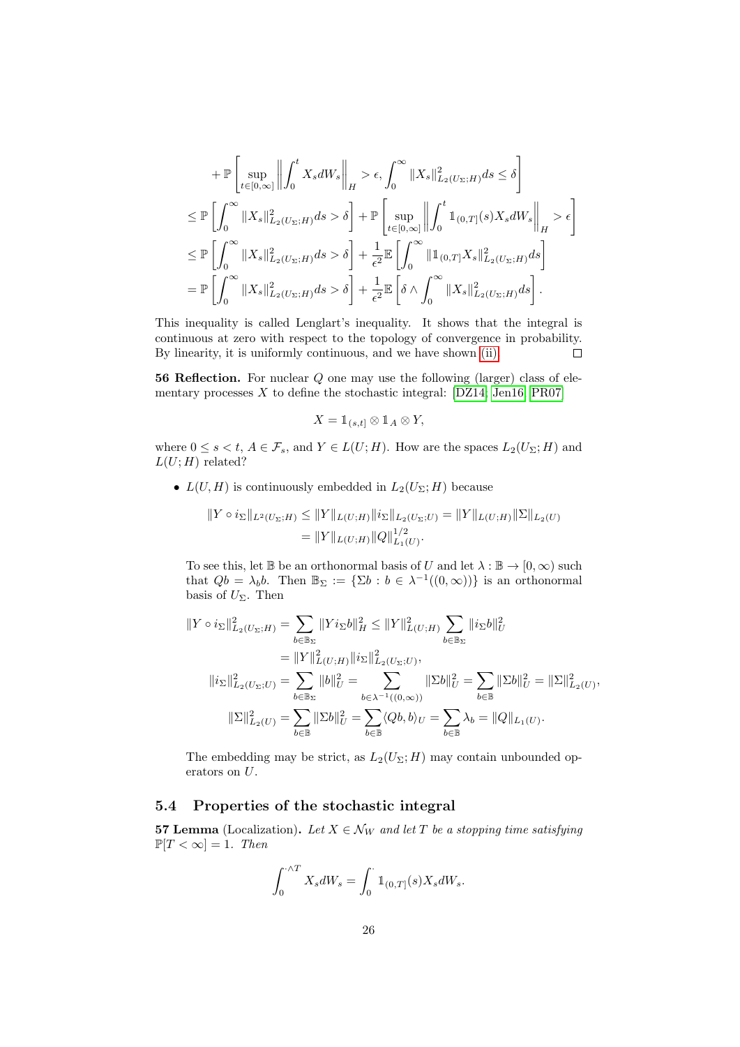$$
+ \mathbb{P}\left[\sup_{t\in[0,\infty]}\left\|\int_{0}^{t}X_{s}dW_{s}\right\|_{H} > \epsilon, \int_{0}^{\infty}\|X_{s}\|_{L_{2}(U_{\Sigma};H)}^{2}ds \leq \delta\right]
$$
  
\n
$$
\leq \mathbb{P}\left[\int_{0}^{\infty}\|X_{s}\|_{L_{2}(U_{\Sigma};H)}^{2}ds > \delta\right] + \mathbb{P}\left[\sup_{t\in[0,\infty]}\left\|\int_{0}^{t}\mathbb{1}_{(0,T]}(s)X_{s}dW_{s}\right\|_{H} > \epsilon\right]
$$
  
\n
$$
\leq \mathbb{P}\left[\int_{0}^{\infty}\|X_{s}\|_{L_{2}(U_{\Sigma};H)}^{2}ds > \delta\right] + \frac{1}{\epsilon^{2}}\mathbb{E}\left[\int_{0}^{\infty}\|\mathbb{1}_{(0,T]}X_{s}\|_{L_{2}(U_{\Sigma};H)}^{2}ds\right]
$$
  
\n
$$
= \mathbb{P}\left[\int_{0}^{\infty}\|X_{s}\|_{L_{2}(U_{\Sigma};H)}^{2}ds > \delta\right] + \frac{1}{\epsilon^{2}}\mathbb{E}\left[\delta \wedge \int_{0}^{\infty}\|X_{s}\|_{L_{2}(U_{\Sigma};H)}^{2}ds\right].
$$

This inequality is called Lenglart's inequality. It shows that the integral is continuous at zero with respect to the topology of convergence in probability. By linearity, it is uniformly continuous, and we have shown [\(ii\).](#page-24-1)  $\Box$ 

56 Reflection. For nuclear Q one may use the following (larger) class of elementary processes  $X$  to define the stochastic integral: [\[DZ14;](#page-56-1) [Jen16;](#page-56-7) [PR07\]](#page-56-10)

$$
X = \mathbb{1}_{(s,t]} \otimes \mathbb{1}_A \otimes Y,
$$

where  $0 \le s < t$ ,  $A \in \mathcal{F}_s$ , and  $Y \in L(U;H)$ . How are the spaces  $L_2(U_\Sigma;H)$  and  $L(U;H)$  related?

•  $L(U, H)$  is continuously embedded in  $L_2(U_\Sigma; H)$  because

$$
||Y \circ i_{\Sigma}||_{L^{2}(U_{\Sigma};H)} \le ||Y||_{L(U;H)} ||i_{\Sigma}||_{L_{2}(U_{\Sigma};U)} = ||Y||_{L(U;H)} ||\Sigma||_{L_{2}(U)}
$$
  
=  $||Y||_{L(U;H)} ||Q||_{L_{1}(U)}^{1/2}.$ 

To see this, let B be an orthonormal basis of U and let  $\lambda : \mathbb{B} \to [0, \infty)$  such that  $Qb = \lambda_b b$ . Then  $\mathbb{B}_{\Sigma} := {\Sigma b : b \in \lambda^{-1}((0, \infty)) }$  is an orthonormal basis of  $U_{\Sigma}$ . Then

$$
||Y \circ i_{\Sigma}||_{L_2(U_{\Sigma};H)}^2 = \sum_{b \in \mathbb{B}_{\Sigma}} ||Y i_{\Sigma}b||_H^2 \le ||Y||_{L(U;H)}^2 \sum_{b \in \mathbb{B}_{\Sigma}} ||i_{\Sigma}b||_U^2
$$
  
\n
$$
= ||Y||_{L(U;H)}^2 ||i_{\Sigma}||_{L_2(U_{\Sigma};U)}^2,
$$
  
\n
$$
||i_{\Sigma}||_{L_2(U_{\Sigma};U)}^2 = \sum_{b \in \mathbb{B}_{\Sigma}} ||b||_U^2 = \sum_{b \in \lambda^{-1}((0,\infty))} ||\Sigma b||_U^2 = \sum_{b \in \mathbb{B}} ||\Sigma b||_U^2 = ||\Sigma||_{L_2(U)}^2,
$$
  
\n
$$
||\Sigma||_{L_2(U)}^2 = \sum_{b \in \mathbb{B}} ||\Sigma b||_U^2 = \sum_{b \in \mathbb{B}} \langle Qb, b \rangle_U = \sum_{b \in \mathbb{B}} \lambda_b = ||Q||_{L_1(U)}.
$$

The embedding may be strict, as  $L_2(U_\Sigma; H)$  may contain unbounded operators on U.

## <span id="page-25-0"></span>5.4 Properties of the stochastic integral

<span id="page-25-1"></span>**57 Lemma** (Localization). Let  $X \in \mathcal{N}_W$  and let T be a stopping time satisfying  $\mathbb{P}[T < \infty] = 1$ . Then

$$
\int_0^{\cdot \wedge T} X_s dW_s = \int_0^{\cdot} \mathbbm{1}_{(0,T]}(s) X_s dW_s.
$$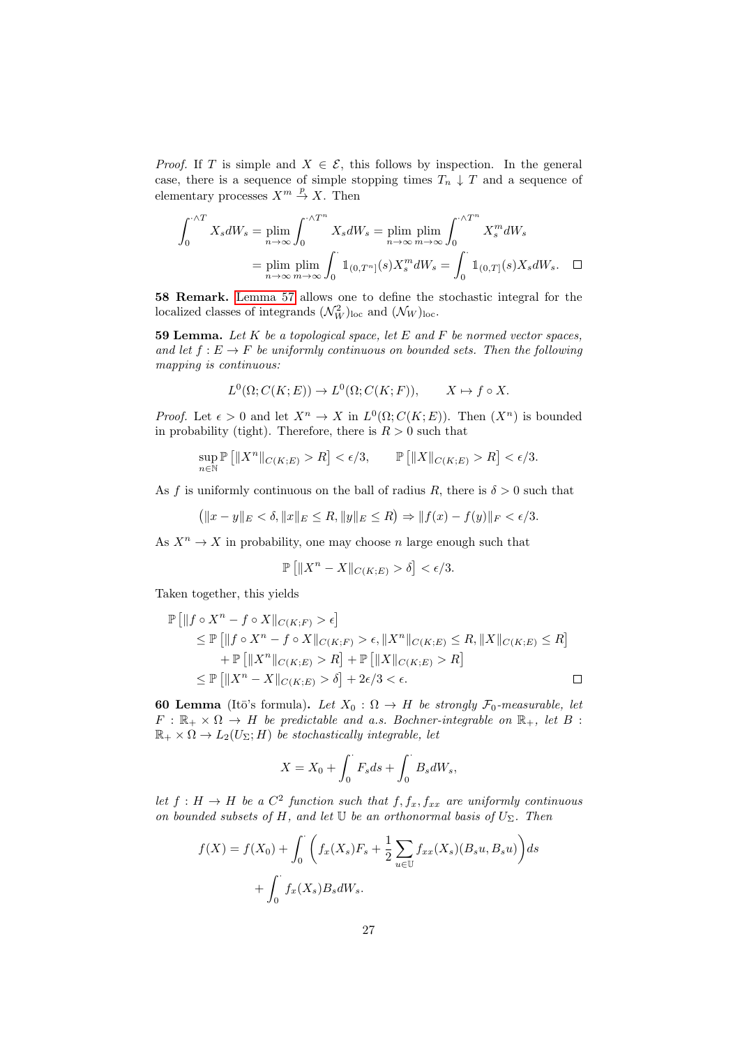*Proof.* If T is simple and  $X \in \mathcal{E}$ , this follows by inspection. In the general case, there is a sequence of simple stopping times  $T_n \downarrow T$  and a sequence of elementary processes  $X^m \stackrel{p}{\to} X$ . Then

$$
\int_0^{\cdot \wedge T} X_s dW_s = \lim_{n \to \infty} \int_0^{\cdot \wedge T^n} X_s dW_s = \lim_{n \to \infty} \lim_{m \to \infty} \int_0^{\cdot \wedge T^n} X_s^m dW_s
$$

$$
= \lim_{n \to \infty} \lim_{m \to \infty} \int_0^{\cdot} 1_{(0,T^n]}(s) X_s^m dW_s = \int_0^{\cdot} 1_{(0,T]}(s) X_s dW_s. \quad \Box
$$

58 Remark. [Lemma 57](#page-25-1) allows one to define the stochastic integral for the localized classes of integrands  $(\mathcal{N}_W^2)_{\text{loc}}$  and  $(\mathcal{N}_W)_{\text{loc}}$ .

<span id="page-26-0"></span>**59 Lemma.** Let  $K$  be a topological space, let  $E$  and  $F$  be normed vector spaces, and let  $f : E \to F$  be uniformly continuous on bounded sets. Then the following mapping is continuous:

$$
L^{0}(\Omega; C(K; E)) \to L^{0}(\Omega; C(K; F)), \qquad X \mapsto f \circ X.
$$

*Proof.* Let  $\epsilon > 0$  and let  $X^n \to X$  in  $L^0(\Omega; C(K; E))$ . Then  $(X^n)$  is bounded in probability (tight). Therefore, there is  $R > 0$  such that

$$
\sup_{n \in \mathbb{N}} \mathbb{P}\left[\|X^n\|_{C(K;E)} > R\right] < \epsilon/3, \qquad \mathbb{P}\left[\|X\|_{C(K;E)} > R\right] < \epsilon/3.
$$

As f is uniformly continuous on the ball of radius R, there is  $\delta > 0$  such that

$$
(\|x - y\|_E < \delta, \|x\|_E \le R, \|y\|_E \le R) \Rightarrow \|f(x) - f(y)\|_F < \epsilon/3.
$$

As  $X^n \to X$  in probability, one may choose n large enough such that

$$
\mathbb{P}\left[\|X^n - X\|_{C(K;E)} > \delta\right] < \epsilon/3.
$$

Taken together, this yields

$$
\mathbb{P}\left[\|f \circ X^n - f \circ X\|_{C(K;F)} > \epsilon\right] \\
\leq \mathbb{P}\left[\|f \circ X^n - f \circ X\|_{C(K;F)} > \epsilon, \|X^n\|_{C(K;E)} \leq R, \|X\|_{C(K;E)} \leq R\right] \\
+ \mathbb{P}\left[\|X^n\|_{C(K;E)} > R\right] + \mathbb{P}\left[\|X\|_{C(K;E)} > R\right] \\
\leq \mathbb{P}\left[\|X^n - X\|_{C(K;E)} > \delta\right] + 2\epsilon/3 < \epsilon.
$$

<span id="page-26-1"></span>60 Lemma (Itō's formula). Let  $X_0 : \Omega \to H$  be strongly  $\mathcal{F}_0$ -measurable, let  $F : \mathbb{R}_+ \times \Omega \to H$  be predictable and a.s. Bochner-integrable on  $\mathbb{R}_+$ , let B:  $\mathbb{R}_+ \times \Omega \to L_2(U_\Sigma; H)$  be stochastically integrable, let

$$
X = X_0 + \int_0^{\cdot} F_s ds + \int_0^{\cdot} B_s dW_s,
$$

let  $f: H \to H$  be a  $C^2$  function such that  $f, f_x, f_{xx}$  are uniformly continuous on bounded subsets of H, and let  $\mathbb U$  be an orthonormal basis of  $U_{\Sigma}$ . Then

$$
f(X) = f(X_0) + \int_0^{\cdot} \left( f_x(X_s) F_s + \frac{1}{2} \sum_{u \in \mathbb{U}} f_{xx}(X_s) (B_s u, B_s u) \right) ds
$$

$$
+ \int_0^{\cdot} f_x(X_s) B_s dW_s.
$$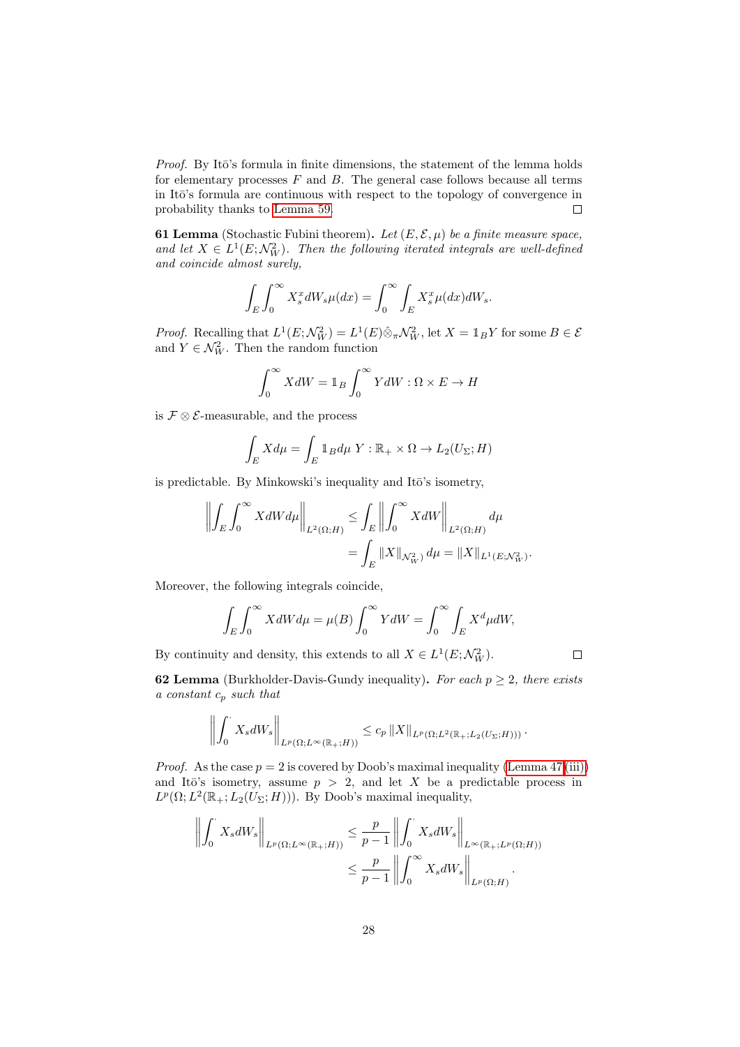Proof. By Itō's formula in finite dimensions, the statement of the lemma holds for elementary processes  $F$  and  $B$ . The general case follows because all terms in It $\bar{\mathrm{o}}$ 's formula are continuous with respect to the topology of convergence in probability thanks to [Lemma 59.](#page-26-0)  $\Box$ 

<span id="page-27-0"></span>**61 Lemma** (Stochastic Fubini theorem). Let  $(E, \mathcal{E}, \mu)$  be a finite measure space, and let  $X \in L^1(E; \mathcal{N}_W^2)$ . Then the following iterated integrals are well-defined and coincide almost surely,

$$
\int_{E} \int_{0}^{\infty} X_{s}^{x} dW_{s} \mu(dx) = \int_{0}^{\infty} \int_{E} X_{s}^{x} \mu(dx) dW_{s}.
$$

*Proof.* Recalling that  $L^1(E; \mathcal{N}_W^2) = L^1(E) \hat{\otimes}_\pi \mathcal{N}_W^2$ , let  $X = \mathbb{1}_B Y$  for some  $B \in \mathcal{E}$ and  $Y \in \mathcal{N}_{W}^2$ . Then the random function

$$
\int_0^\infty X dW = 1_B \int_0^\infty Y dW : \Omega \times E \to H
$$

is  $\mathcal{F} \otimes \mathcal{E}$ -measurable, and the process

$$
\int_{E} X d\mu = \int_{E} \mathbb{1}_{B} d\mu \ Y : \mathbb{R}_{+} \times \Omega \to L_{2}(U_{\Sigma}; H)
$$

is predictable. By Minkowski's inequality and Itō's isometry,

$$
\left\| \int_E \int_0^\infty X dW d\mu \right\|_{L^2(\Omega;H)} \leq \int_E \left\| \int_0^\infty X dW \right\|_{L^2(\Omega;H)} d\mu
$$
  
= 
$$
\int_E \|X\|_{\mathcal{N}_W^2} d\mu = \|X\|_{L^1(E; \mathcal{N}_W^2)}.
$$

Moreover, the following integrals coincide,

$$
\int_{E} \int_{0}^{\infty} X dW d\mu = \mu(B) \int_{0}^{\infty} Y dW = \int_{0}^{\infty} \int_{E} X^{d} \mu dW,
$$

By continuity and density, this extends to all  $X \in L^1(E; \mathcal{N}_W^2)$ .

<span id="page-27-1"></span>**62 Lemma** (Burkholder-Davis-Gundy inequality). For each  $p \geq 2$ , there exists a constant  $c_p$  such that

 $\Box$ 

$$
\left\| \int_0^{\cdot} X_s dW_s \right\|_{L^p(\Omega; L^{\infty}(\mathbb{R}_+; H))} \leq c_p \left\| X \right\|_{L^p(\Omega; L^2(\mathbb{R}_+; L_2(U_{\Sigma}; H)))}.
$$

*Proof.* As the case  $p = 2$  is covered by Doob's maximal inequality [\(Lemma 47.](#page-20-0)[\(iii\)\)](#page-20-1) and Itō's isometry, assume  $p > 2$ , and let X be a predictable process in  $L^p(\Omega; L^2(\mathbb{R}_+; L_2(U_\Sigma; H)))$ . By Doob's maximal inequality,

$$
\left\| \int_0^{\cdot} X_s dW_s \right\|_{L^p(\Omega; L^\infty(\mathbb{R}_+; H))} \leq \frac{p}{p-1} \left\| \int_0^{\cdot} X_s dW_s \right\|_{L^\infty(\mathbb{R}_+; L^p(\Omega; H))}
$$
  

$$
\leq \frac{p}{p-1} \left\| \int_0^\infty X_s dW_s \right\|_{L^p(\Omega; H)}.
$$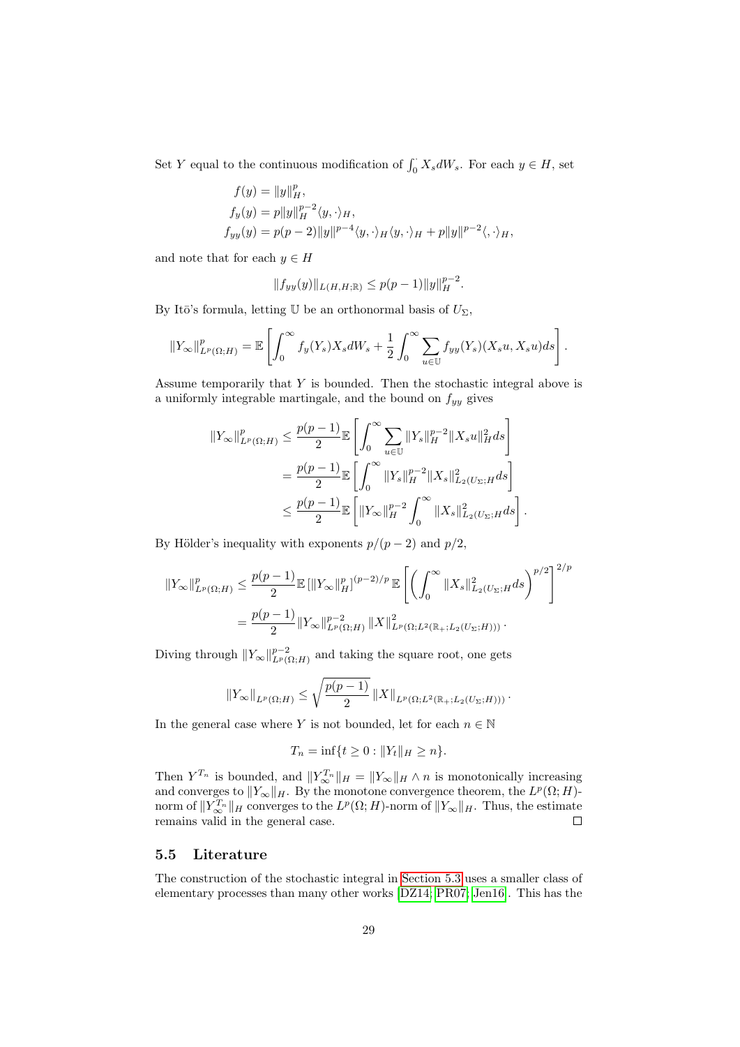Set Y equal to the continuous modification of  $\int_0^{\cdot} X_s dW_s$ . For each  $y \in H$ , set

$$
f(y) = ||y||_H^p,
$$
  
\n
$$
f_y(y) = p||y||_H^{p-2}\langle y, \cdot \rangle_H,
$$
  
\n
$$
f_{yy}(y) = p(p-2)||y||^{p-4}\langle y, \cdot \rangle_H \langle y, \cdot \rangle_H + p||y||^{p-2}\langle, \cdot \rangle_H,
$$

and note that for each  $y \in H$ 

$$
||f_{yy}(y)||_{L(H,H;\mathbb{R})} \leq p(p-1)||y||_{H}^{p-2}.
$$

By Itō's formula, letting U be an orthonormal basis of  $U_{\Sigma}$ ,

$$
||Y_{\infty}||_{L^{p}(\Omega;H)}^{p} = \mathbb{E}\left[\int_{0}^{\infty} f_{y}(Y_{s})X_{s}dW_{s} + \frac{1}{2}\int_{0}^{\infty} \sum_{u\in\mathbb{U}} f_{yy}(Y_{s})(X_{s}u, X_{s}u)ds\right].
$$

Assume temporarily that Y is bounded. Then the stochastic integral above is a uniformly integrable martingale, and the bound on  $f_{yy}$  gives

$$
\begin{split} \|Y_{\infty}\|_{L^{p}(\Omega;H)}^{p} &\leq \frac{p(p-1)}{2} \mathbb{E}\left[\int_{0}^{\infty} \sum_{u\in\mathbb{U}} \|Y_{s}\|_{H}^{p-2} \|X_{s}u\|_{H}^{2} ds\right] \\ &= \frac{p(p-1)}{2} \mathbb{E}\left[\int_{0}^{\infty} \|Y_{s}\|_{H}^{p-2} \|X_{s}\|_{L_{2}(U_{\Sigma};H}^{2} ds\right] \\ &\leq \frac{p(p-1)}{2} \mathbb{E}\left[\|Y_{\infty}\|_{H}^{p-2} \int_{0}^{\infty} \|X_{s}\|_{L_{2}(U_{\Sigma};H}^{2} ds\right]. \end{split}
$$

By Hölder's inequality with exponents  $p/(p-2)$  and  $p/2$ ,

$$
||Y_{\infty}||_{L^{p}(\Omega;H)}^{p} \leq \frac{p(p-1)}{2} \mathbb{E} \left[ ||Y_{\infty}||_{H}^{p} \right]^{(p-2)/p} \mathbb{E} \left[ \left( \int_{0}^{\infty} ||X_{s}||_{L_{2}(U_{\Sigma};H}^{2} ds \right)^{p/2} \right]^{2/p}
$$

$$
= \frac{p(p-1)}{2} ||Y_{\infty}||_{L^{p}(\Omega;H)}^{p-2} ||X||_{L^{p}(\Omega;L^{2}(\mathbb{R}_{+};L_{2}(U_{\Sigma};H)))}^{2}.
$$

Diving through  $||Y_\infty||_{L^p(\Omega;H)}^{p-2}$  and taking the square root, one gets

$$
||Y_{\infty}||_{L^{p}(\Omega;H)} \leq \sqrt{\frac{p(p-1)}{2}} ||X||_{L^{p}(\Omega;L^{2}(\mathbb{R}_{+};L_{2}(U_{\Sigma};H)))}.
$$

In the general case where Y is not bounded, let for each  $n \in \mathbb{N}$ 

$$
T_n = \inf\{t \ge 0 : ||Y_t||_H \ge n\}.
$$

Then  $Y^{T_n}$  is bounded, and  $||Y^{T_n}_{\infty}||_H = ||Y_{\infty}||_H \wedge n$  is monotonically increasing and converges to  $||Y_\infty||_H$ . By the monotone convergence theorem, the  $L^p(\Omega; H)$ norm of  $||Y^{T_n}_{\infty}||_H$  converges to the  $L^p(\Omega; H)$ -norm of  $||Y_{\infty}||_H$ . Thus, the estimate remains valid in the general case.

#### <span id="page-28-0"></span>5.5 Literature

The construction of the stochastic integral in [Section 5.3](#page-22-0) uses a smaller class of elementary processes than many other works [\[DZ14;](#page-56-1) [PR07;](#page-56-10) [Jen16\]](#page-56-7). This has the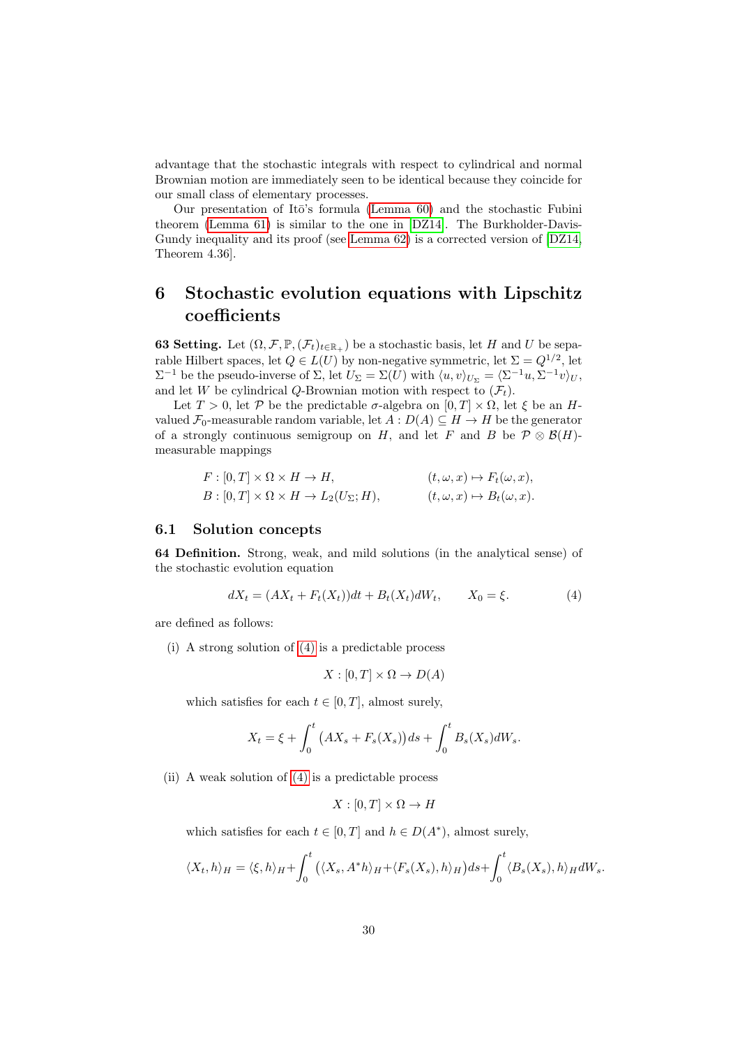advantage that the stochastic integrals with respect to cylindrical and normal Brownian motion are immediately seen to be identical because they coincide for our small class of elementary processes.

Our presentation of It $\bar{o}$ 's formula [\(Lemma 60\)](#page-26-1) and the stochastic Fubini theorem [\(Lemma 61\)](#page-27-0) is similar to the one in [\[DZ14\]](#page-56-1). The Burkholder-Davis-Gundy inequality and its proof (see [Lemma 62\)](#page-27-1) is a corrected version of [\[DZ14,](#page-56-1) Theorem 4.36].

# <span id="page-29-0"></span>6 Stochastic evolution equations with Lipschitz coefficients

**63 Setting.** Let  $(\Omega, \mathcal{F}, \mathbb{P}, (\mathcal{F}_t)_{t \in \mathbb{R}_+})$  be a stochastic basis, let H and U be separable Hilbert spaces, let  $Q \in L(U)$  by non-negative symmetric, let  $\Sigma = Q^{1/2}$ , let  $\Sigma^{-1}$  be the pseudo-inverse of  $\Sigma$ , let  $U_{\Sigma} = \Sigma(U)$  with  $\langle u, v \rangle_{U_{\Sigma}} = \langle \Sigma^{-1}u, \Sigma^{-1}v \rangle_{U}$ , and let W be cylindrical Q-Brownian motion with respect to  $(\mathcal{F}_t)$ .

Let  $T > 0$ , let  $P$  be the predictable  $\sigma$ -algebra on  $[0, T] \times \Omega$ , let  $\xi$  be an Hvalued  $\mathcal{F}_0$ -measurable random variable, let  $A: D(A) \subseteq H \to H$  be the generator of a strongly continuous semigroup on H, and let F and B be  $\mathcal{P} \otimes \mathcal{B}(H)$ measurable mappings

$$
F: [0, T] \times \Omega \times H \to H,
$$
  
\n
$$
B: [0, T] \times \Omega \times H \to L_2(U_\Sigma; H),
$$
  
\n
$$
(t, \omega, x) \mapsto F_t(\omega, x),
$$
  
\n
$$
(t, \omega, x) \mapsto B_t(\omega, x).
$$

#### <span id="page-29-1"></span>6.1 Solution concepts

64 Definition. Strong, weak, and mild solutions (in the analytical sense) of the stochastic evolution equation

<span id="page-29-2"></span>
$$
dX_t = (AX_t + F_t(X_t))dt + B_t(X_t)dW_t, \t X_0 = \xi.
$$
 (4)

are defined as follows:

(i) A strong solution of [\(4\)](#page-29-2) is a predictable process

$$
X : [0, T] \times \Omega \to D(A)
$$

which satisfies for each  $t \in [0, T]$ , almost surely,

$$
X_t = \xi + \int_0^t \left( AX_s + F_s(X_s) \right) ds + \int_0^t B_s(X_s) dW_s.
$$

(ii) A weak solution of [\(4\)](#page-29-2) is a predictable process

$$
X : [0, T] \times \Omega \to H
$$

which satisfies for each  $t \in [0, T]$  and  $h \in D(A^*)$ , almost surely,

$$
\langle X_t, h \rangle_H = \langle \xi, h \rangle_H + \int_0^t \big( \langle X_s, A^*h \rangle_H + \langle F_s(X_s), h \rangle_H \big) ds + \int_0^t \langle B_s(X_s), h \rangle_H dW_s.
$$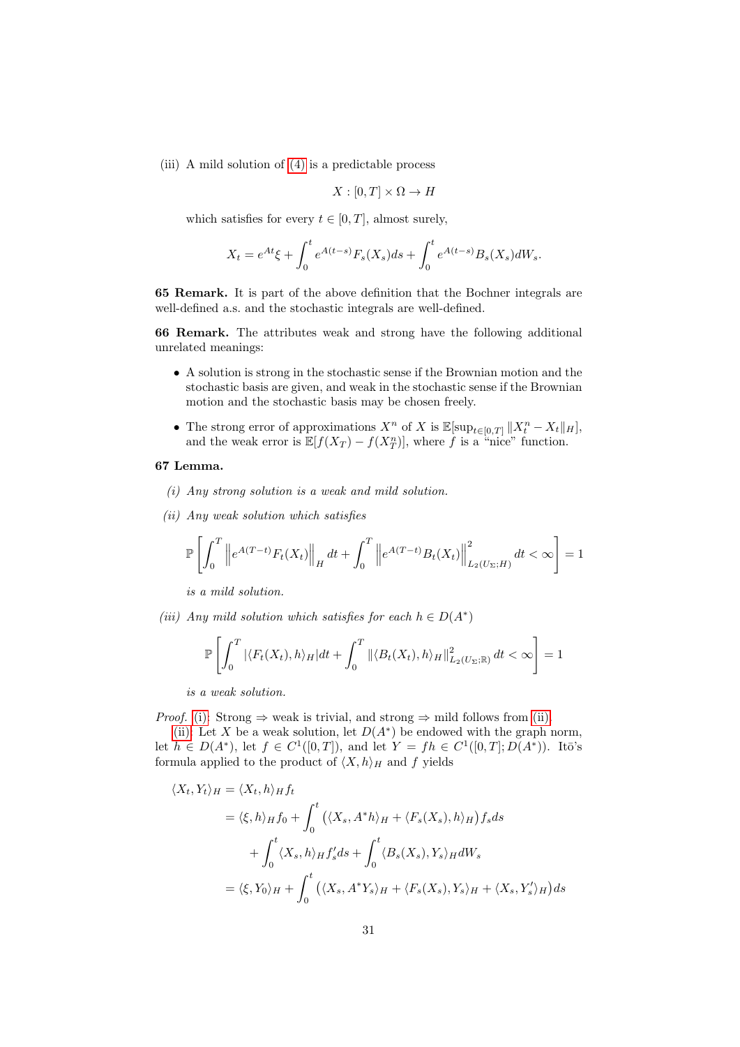(iii) A mild solution of [\(4\)](#page-29-2) is a predictable process

$$
X : [0, T] \times \Omega \to H
$$

which satisfies for every  $t \in [0, T]$ , almost surely,

$$
X_t = e^{At} \xi + \int_0^t e^{A(t-s)} F_s(X_s) ds + \int_0^t e^{A(t-s)} B_s(X_s) dW_s.
$$

65 Remark. It is part of the above definition that the Bochner integrals are well-defined a.s. and the stochastic integrals are well-defined.

66 Remark. The attributes weak and strong have the following additional unrelated meanings:

- A solution is strong in the stochastic sense if the Brownian motion and the stochastic basis are given, and weak in the stochastic sense if the Brownian motion and the stochastic basis may be chosen freely.
- The strong error of approximations  $X^n$  of X is  $\mathbb{E}[\sup_{t\in[0,T]}\|X_t^n-X_t\|_H]$ , and the weak error is  $\mathbb{E}[f(X_T) - f(X_T^n)]$ , where f is a "nice" function.

#### <span id="page-30-0"></span>67 Lemma.

- (i) Any strong solution is a weak and mild solution.
- <span id="page-30-1"></span>(ii) Any weak solution which satisfies

$$
\mathbb{P}\left[\int_{0}^{T}\left\|e^{A(T-t)}F_{t}(X_{t})\right\|_{H}dt+\int_{0}^{T}\left\|e^{A(T-t)}B_{t}(X_{t})\right\|_{L_{2}(U_{\Sigma};H)}^{2}dt<\infty\right]=1
$$

is a mild solution.

<span id="page-30-2"></span>(iii) Any mild solution which satisfies for each  $h \in D(A^*)$ 

$$
\mathbb{P}\left[\int_0^T |\langle F_t(X_t), h\rangle_H|dt + \int_0^T \|\langle B_t(X_t), h\rangle_H\|_{L_2(U_\Sigma; \mathbb{R})}^2 dt < \infty\right] = 1
$$

is a weak solution.

*Proof.* [\(i\):](#page-30-0) Strong  $\Rightarrow$  weak is trivial, and strong  $\Rightarrow$  mild follows from [\(ii\).](#page-30-1)

[\(ii\):](#page-30-1) Let X be a weak solution, let  $D(A^*)$  be endowed with the graph norm, let  $h \in D(A^*)$ , let  $f \in C^1([0,T])$ , and let  $Y = fh \in C^1([0,T]; D(A^*))$ . Itō's formula applied to the product of  $\langle X, h \rangle_H$  and f yields

$$
\langle X_t, Y_t \rangle_H = \langle X_t, h \rangle_H f_t
$$
  
=  $\langle \xi, h \rangle_H f_0 + \int_0^t (\langle X_s, A^*h \rangle_H + \langle F_s(X_s), h \rangle_H) f_s ds$   
+  $\int_0^t \langle X_s, h \rangle_H f_s' ds + \int_0^t \langle B_s(X_s), Y_s \rangle_H dW_s$   
=  $\langle \xi, Y_0 \rangle_H + \int_0^t (\langle X_s, A^*Y_s \rangle_H + \langle F_s(X_s), Y_s \rangle_H + \langle X_s, Y_s' \rangle_H) ds$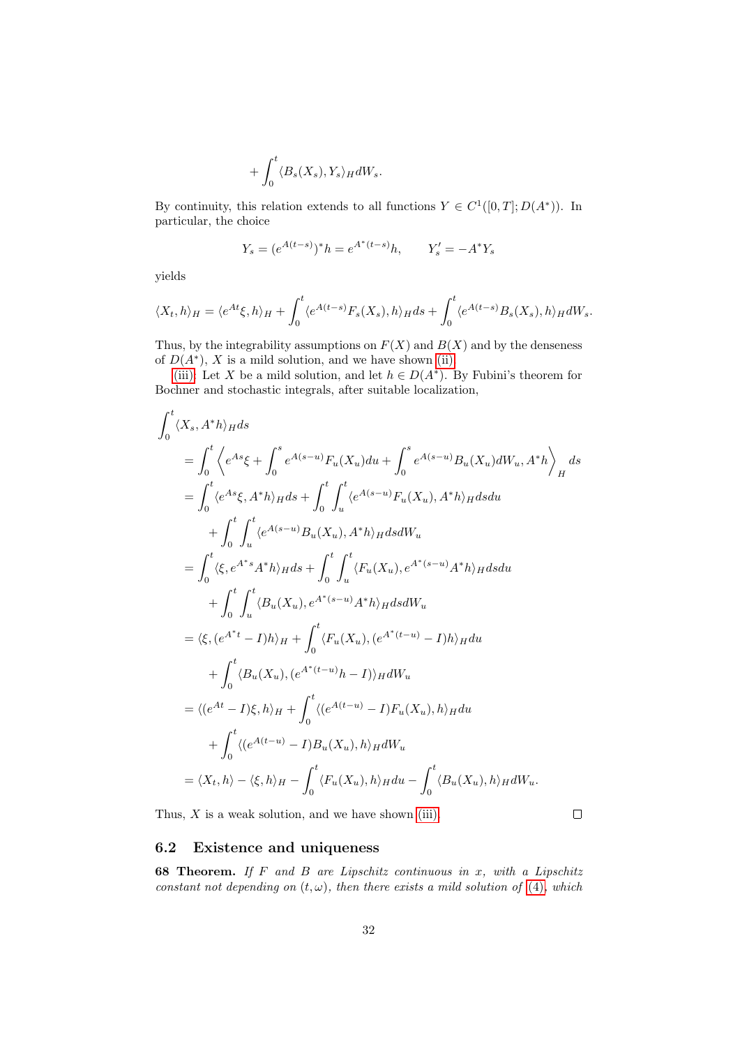$$
+\int_0^t \langle B_s(X_s), Y_s \rangle_H dW_s.
$$

By continuity, this relation extends to all functions  $Y \in C^1([0,T]; D(A^*))$ . In particular, the choice

$$
Y_s = (e^{A(t-s)})^* h = e^{A^*(t-s)} h, \qquad Y'_s = -A^* Y_s
$$

yields

$$
\langle X_t, h \rangle_H = \langle e^{At} \xi, h \rangle_H + \int_0^t \langle e^{A(t-s)} F_s(X_s), h \rangle_H ds + \int_0^t \langle e^{A(t-s)} B_s(X_s), h \rangle_H dW_s.
$$

Thus, by the integrability assumptions on  $F(X)$  and  $B(X)$  and by the denseness of  $D(A^*)$ , X is a mild solution, and we have shown [\(ii\).](#page-30-1)

[\(iii\):](#page-30-2) Let X be a mild solution, and let  $h \in D(A^*)$ . By Fubini's theorem for Bochner and stochastic integrals, after suitable localization,

$$
\int_{0}^{t} \langle X_{s}, A^{*}h \rangle_{H} ds
$$
\n
$$
= \int_{0}^{t} \langle e^{As} \xi + \int_{0}^{s} e^{A(s-u)} F_{u}(X_{u}) du + \int_{0}^{s} e^{A(s-u)} B_{u}(X_{u}) dW_{u}, A^{*}h \rangle_{H} ds
$$
\n
$$
= \int_{0}^{t} \langle e^{As} \xi, A^{*}h \rangle_{H} ds + \int_{0}^{t} \int_{u}^{t} \langle e^{A(s-u)} F_{u}(X_{u}), A^{*}h \rangle_{H} ds du
$$
\n
$$
+ \int_{0}^{t} \int_{u}^{t} \langle e^{A(s-u)} B_{u}(X_{u}), A^{*}h \rangle_{H} ds dW_{u}
$$
\n
$$
= \int_{0}^{t} \langle \xi, e^{A^{*}s} A^{*}h \rangle_{H} ds + \int_{0}^{t} \int_{u}^{t} \langle F_{u}(X_{u}), e^{A^{*}(s-u)} A^{*}h \rangle_{H} ds du
$$
\n
$$
+ \int_{0}^{t} \int_{u}^{t} \langle B_{u}(X_{u}), e^{A^{*}(s-u)} A^{*}h \rangle_{H} ds dW_{u}
$$
\n
$$
= \langle \xi, (e^{A^{*}t} - I)h \rangle_{H} + \int_{0}^{t} \langle F_{u}(X_{u}), (e^{A^{*}(t-u)} - I)h \rangle_{H} du
$$
\n
$$
+ \int_{0}^{t} \langle B_{u}(X_{u}), (e^{A^{*}(t-u)}h - I) \rangle_{H} dW_{u}
$$
\n
$$
= \langle (e^{At} - I) \xi, h \rangle_{H} + \int_{0}^{t} \langle (e^{A(t-u)} - I) F_{u}(X_{u}), h \rangle_{H} du
$$
\n
$$
+ \int_{0}^{t} \langle (e^{A(t-u)} - I) B_{u}(X_{u}), h \rangle_{H} dW_{u}
$$
\n
$$
= \langle X_{t}, h \rangle - \langle \xi, h \rangle_{H} - \int_{0}^{t} \langle F_{u}(X_{u}), h \rangle_{H} du - \int_{0}^{t} \langle B_{u}(X_{u}), h \rangle_{H} dW_{u}.
$$

Thus,  $X$  is a weak solution, and we have shown [\(iii\).](#page-30-2)

 $\Box$ 

## <span id="page-31-0"></span>6.2 Existence and uniqueness

<span id="page-31-1"></span>68 Theorem. If F and B are Lipschitz continuous in x, with a Lipschitz constant not depending on  $(t, \omega)$ , then there exists a mild solution of [\(4\)](#page-29-2), which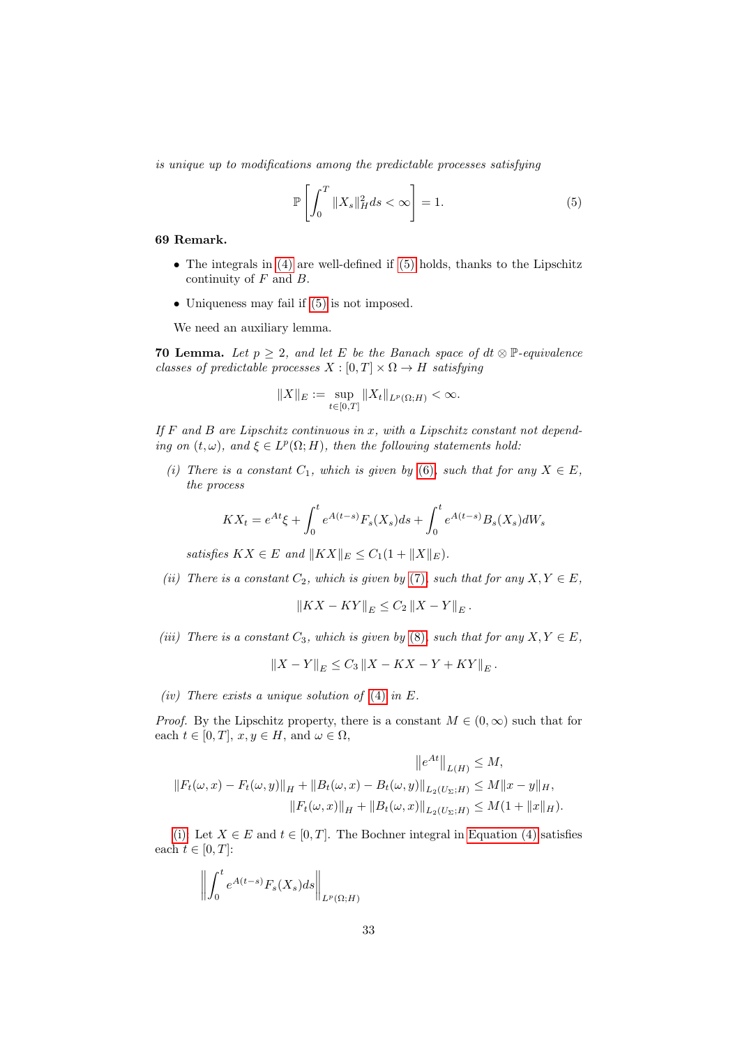is unique up to modifications among the predictable processes satisfying

<span id="page-32-0"></span>
$$
\mathbb{P}\left[\int_{0}^{T} \|X_{s}\|_{H}^{2} ds < \infty\right] = 1.
$$
\n(5)

#### 69 Remark.

- The integrals in [\(4\)](#page-29-2) are well-defined if [\(5\)](#page-32-0) holds, thanks to the Lipschitz continuity of  $F$  and  $B$ .
- Uniqueness may fail if  $(5)$  is not imposed.

We need an auxiliary lemma.

<span id="page-32-5"></span>**70 Lemma.** Let  $p \geq 2$ , and let E be the Banach space of  $dt \otimes \mathbb{P}$ -equivalence classes of predictable processes  $X : [0, T] \times \Omega \rightarrow H$  satisfying

$$
||X||_E := \sup_{t \in [0,T]} ||X_t||_{L^p(\Omega;H)} < \infty.
$$

If  $F$  and  $B$  are Lipschitz continuous in  $x$ , with a Lipschitz constant not depending on  $(t, \omega)$ , and  $\xi \in L^p(\Omega; H)$ , then the following statements hold:

<span id="page-32-1"></span>(i) There is a constant  $C_1$ , which is given by [\(6\)](#page-33-0), such that for any  $X \in E$ , the process

$$
KX_t = e^{At} \xi + \int_0^t e^{A(t-s)} F_s(X_s) ds + \int_0^t e^{A(t-s)} B_s(X_s) dW_s
$$

satisfies  $KX \in E$  and  $||KX||_E \leq C_1(1 + ||X||_E)$ .

<span id="page-32-2"></span>(ii) There is a constant  $C_2$ , which is given by [\(7\)](#page-34-0), such that for any  $X, Y \in E$ ,

 $\left\|KX - KY\right\|_{E} \leq C_{2} \left\|X - Y\right\|_{E}.$ 

<span id="page-32-3"></span>(iii) There is a constant  $C_3$ , which is given by [\(8\)](#page-34-1), such that for any  $X, Y \in E$ ,

 $\left\| X - Y \right\|_E \leq C_3 \left\| X - KX - Y + KY \right\|_E.$ 

<span id="page-32-4"></span>(iv) There exists a unique solution of  $(4)$  in E.

*Proof.* By the Lipschitz property, there is a constant  $M \in (0, \infty)$  such that for each  $t \in [0, T]$ ,  $x, y \in H$ , and  $\omega \in \Omega$ ,

$$
||e^{At}||_{L(H)} \le M,
$$
  
\n
$$
||F_t(\omega, x) - F_t(\omega, y)||_H + ||B_t(\omega, x) - B_t(\omega, y)||_{L_2(U_\Sigma; H)} \le M||x - y||_H,
$$
  
\n
$$
||F_t(\omega, x)||_H + ||B_t(\omega, x)||_{L_2(U_\Sigma; H)} \le M(1 + ||x||_H).
$$

[\(i\):](#page-32-1) Let  $X \in E$  and  $t \in [0, T]$ . The Bochner integral in [Equation \(4\)](#page-29-2) satisfies each  $t \in [0, T]$ :

$$
\left\| \int_0^t e^{A(t-s)} F_s(X_s) ds \right\|_{L^p(\Omega;H)}
$$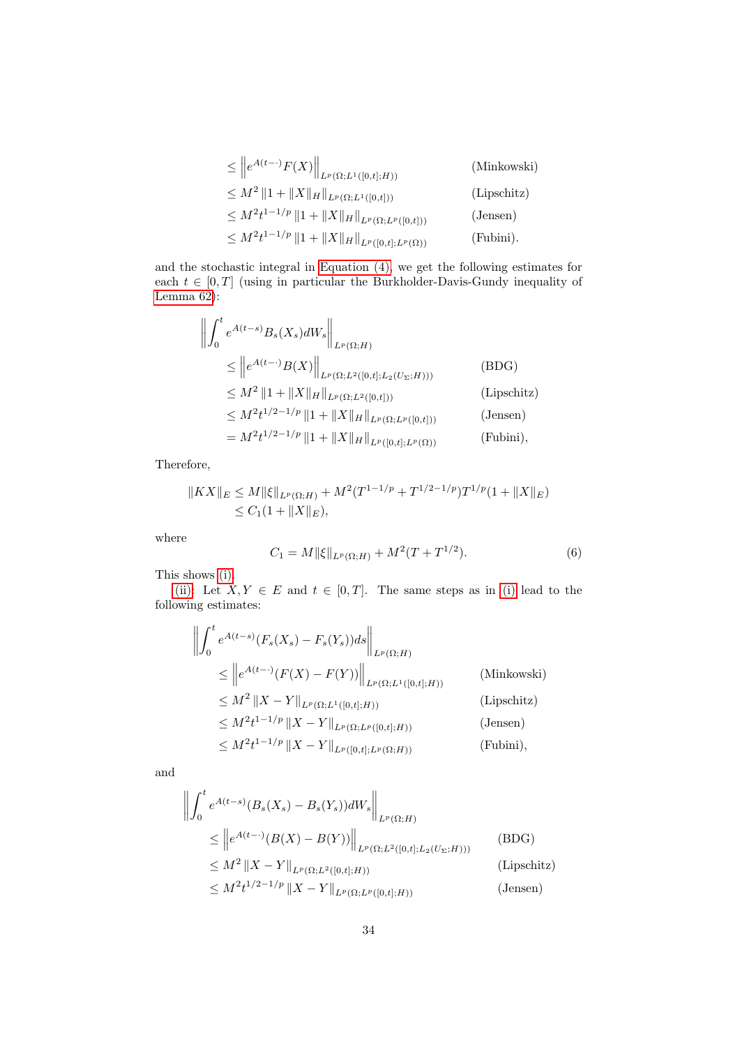| $\leq$ $  e^{A(t-\cdot)}F(X)  _{L^p(\Omega;L^1([0,t];H))}$           | (Minkowski) |
|----------------------------------------------------------------------|-------------|
| $\leq M^2 \ 1 + \ X\ _H \ _{L^p(\Omega;L^1([0,t]))}$                 | (Lipschitz) |
| $\leq M^2t^{1-1/p}\left\ 1+\ X\ _H\right\ _{L^p(\Omega;L^p([0,t]))}$ | (Jensen)    |
| $\leq M^2t^{1-1/p}\left\ 1+\ X\ _H\right\ _{L^p([0,t];L^p(\Omega))}$ | (Fubini).   |

and the stochastic integral in [Equation \(4\),](#page-29-2) we get the following estimates for each  $t \in [0, T]$  (using in particular the Burkholder-Davis-Gundy inequality of [Lemma 62\)](#page-27-1):

$$
\left\| \int_{0}^{t} e^{A(t-s)} B_{s}(X_{s}) dW_{s} \right\|_{L^{p}(\Omega;H)}
$$
\n
$$
\leq \left\| e^{A(t-\cdot)} B(X) \right\|_{L^{p}(\Omega; L^{2}([0,t]; L_{2}(U_{\Sigma};H)))}
$$
\n
$$
\leq M^{2} \|1 + \|X\|_{H} \|_{L^{p}(\Omega; L^{2}([0,t]))}
$$
\n(Lipschitz)\n
$$
\leq M^{2} t^{1/2 - 1/p} \|1 + \|X\|_{H} \|_{L^{p}(\Omega; L^{p}([0,t]))}
$$
\n(Jensen)\n
$$
= M^{2} t^{1/2 - 1/p} \|1 + \|X\|_{H} \|_{L^{p}([0,t]; L^{p}(\Omega))}
$$
\n(Fubini),

Therefore,

$$
||KX||_E \le M ||\xi||_{L^p(\Omega;H)} + M^2 (T^{1-1/p} + T^{1/2-1/p}) T^{1/p} (1 + ||X||_E)
$$
  
\n
$$
\le C_1 (1 + ||X||_E),
$$

where

<span id="page-33-0"></span>
$$
C_1 = M \| \xi \|_{L^p(\Omega;H)} + M^2 (T + T^{1/2}).
$$
\n(6)

This shows [\(i\).](#page-32-1)

[\(ii\):](#page-32-2) Let  $X, Y \in E$  and  $t \in [0, T]$ . The same steps as in [\(i\)](#page-32-1) lead to the following estimates:

$$
\left\| \int_{0}^{t} e^{A(t-s)} (F_s(X_s) - F_s(Y_s)) ds \right\|_{L^{p}(\Omega;H)}
$$
\n
$$
\leq \left\| e^{A(t-\cdot)} (F(X) - F(Y)) \right\|_{L^{p}(\Omega;L^{1}([0,t];H))}
$$
\n(Minkowski)\n
$$
\leq M^2 \|X - Y\|_{L^{p}(\Omega;L^{1}([0,t];H))}
$$
\n(Lipschitz)\n
$$
\leq M^2 t^{1-1/p} \|X - Y\|_{L^{p}(\Omega;L^{p}([0,t];H))}
$$
\n(Jensen)\n
$$
\leq M^2 t^{1-1/p} \|X - Y\|_{L^{p}([0,t];L^{p}(\Omega;H))}
$$
\n(Fubini),

and

$$
\left\| \int_{0}^{t} e^{A(t-s)} (B_{s}(X_{s}) - B_{s}(Y_{s})) dW_{s} \right\|_{L^{p}(\Omega;H)}
$$
\n
$$
\leq \left\| e^{A(t- \cdot)} (B(X) - B(Y)) \right\|_{L^{p}(\Omega; L^{2}([0,t]; L_{2}(U_{\Sigma};H)))}
$$
\n
$$
\leq M^{2} \| X - Y \|_{L^{p}(\Omega; L^{2}([0,t];H))}
$$
\n(Lipschitz)\n
$$
\leq M^{2} t^{1/2 - 1/p} \| X - Y \|_{L^{p}(\Omega; L^{p}([0,t];H))}
$$
\n(Jensen)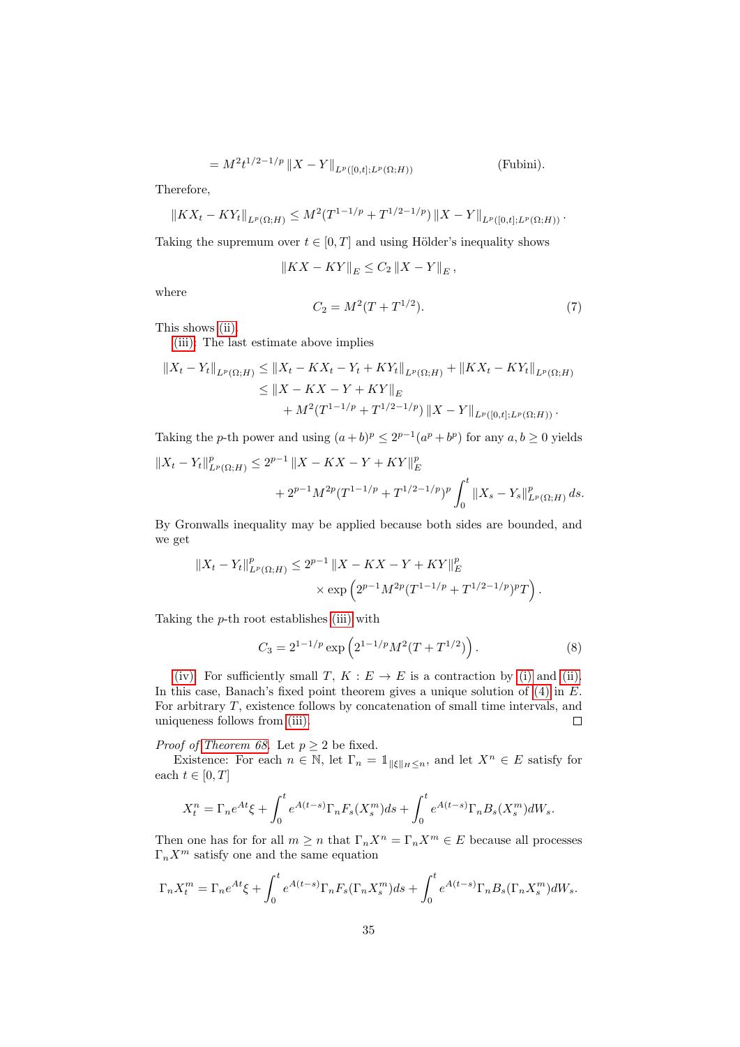$$
= M^2 t^{1/2 - 1/p} \|X - Y\|_{L^p([0, t]; L^p(\Omega; H))}
$$
 (Fubini).

Therefore,

$$
||KX_t - KY_t||_{L^p(\Omega;H)} \leq M^2(T^{1-1/p} + T^{1/2-1/p}) ||X - Y||_{L^p([0,t];L^p(\Omega;H))}.
$$

Taking the supremum over  $t \in [0, T]$  and using Hölder's inequality shows

$$
||KX - KY||E \le C_2 ||X - Y||E,
$$

where

<span id="page-34-0"></span>
$$
C_2 = M^2(T + T^{1/2}).
$$
\n(7)

This shows [\(ii\).](#page-32-2)

[\(iii\):](#page-32-3) The last estimate above implies

$$
||X_t - Y_t||_{L^p(\Omega;H)} \le ||X_t - KX_t - Y_t + KY_t||_{L^p(\Omega;H)} + ||KX_t - KY_t||_{L^p(\Omega;H)}
$$
  
\n
$$
\le ||X - KX - Y + KY||_E
$$
  
\n
$$
+ M^2 (T^{1-1/p} + T^{1/2-1/p}) ||X - Y||_{L^p([0,t];L^p(\Omega;H))}.
$$

Taking the *p*-th power and using  $(a+b)^p \leq 2^{p-1}(a^p + b^p)$  for any  $a, b \geq 0$  yields

$$
||X_t - Y_t||_{L^p(\Omega;H)}^p \le 2^{p-1} ||X - KX - Y + KY||_E^p
$$
  
+  $2^{p-1} M^{2p} (T^{1-1/p} + T^{1/2-1/p})^p \int_0^t ||X_s - Y_s||_{L^p(\Omega;H)}^p ds.$ 

By Gronwalls inequality may be applied because both sides are bounded, and we get

$$
||X_t - Y_t||_{L^p(\Omega;H)}^p \le 2^{p-1} ||X - KX - Y + KY||_E^p
$$
  
 
$$
\times \exp \left(2^{p-1} M^{2p} (T^{1-1/p} + T^{1/2-1/p})^p T\right).
$$

Taking the  $p$ -th root establishes [\(iii\)](#page-32-3) with

<span id="page-34-1"></span>
$$
C_3 = 2^{1-1/p} \exp\left(2^{1-1/p} M^2 (T + T^{1/2})\right). \tag{8}
$$

[\(iv\):](#page-32-4) For sufficiently small T,  $K : E \to E$  is a contraction by [\(i\)](#page-32-1) and [\(ii\).](#page-32-2) In this case, Banach's fixed point theorem gives a unique solution of  $(4)$  in  $E$ . For arbitrary  $T$ , existence follows by concatenation of small time intervals, and uniqueness follows from [\(iii\).](#page-32-3)  $\Box$ 

*Proof of [Theorem 68.](#page-31-1)* Let  $p \geq 2$  be fixed.

Existence: For each  $n \in \mathbb{N}$ , let  $\Gamma_n = \mathbb{1}_{\|\xi\|_H \leq n}$ , and let  $X^n \in E$  satisfy for each  $t \in [0, T]$ 

$$
X_t^n = \Gamma_n e^{At} \xi + \int_0^t e^{A(t-s)} \Gamma_n F_s(X_s^m) ds + \int_0^t e^{A(t-s)} \Gamma_n B_s(X_s^m) dW_s.
$$

Then one has for for all  $m \ge n$  that  $\Gamma_n X^n = \Gamma_n X^m \in E$  because all processes  $\Gamma_n X^m$  satisfy one and the same equation

$$
\Gamma_n X_t^m = \Gamma_n e^{At} \xi + \int_0^t e^{A(t-s)} \Gamma_n F_s(\Gamma_n X_s^m) ds + \int_0^t e^{A(t-s)} \Gamma_n B_s(\Gamma_n X_s^m) dW_s.
$$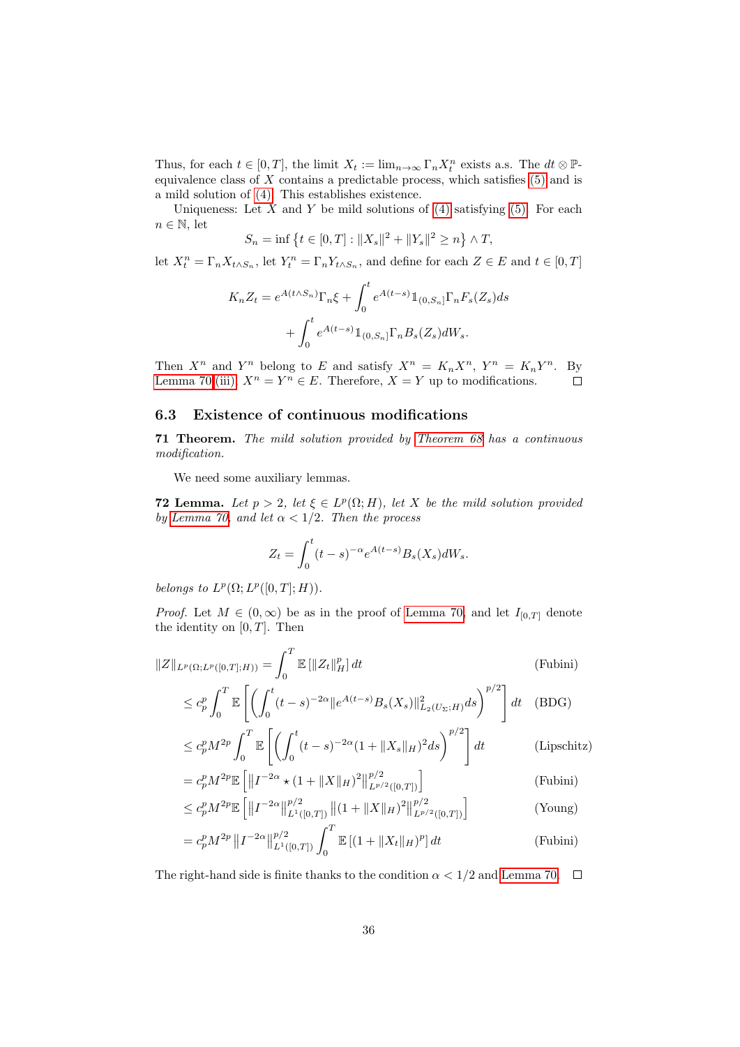Thus, for each  $t \in [0, T]$ , the limit  $X_t := \lim_{n \to \infty} \Gamma_n X_t^n$  exists a.s. The  $dt \otimes \mathbb{P}$ equivalence class of  $X$  contains a predictable process, which satisfies  $(5)$  and is a mild solution of [\(4\).](#page-29-2) This establishes existence.

Uniqueness: Let  $X$  and  $Y$  be mild solutions of [\(4\)](#page-29-2) satisfying [\(5\).](#page-32-0) For each  $n \in \mathbb{N}$ , let

$$
S_n = \inf \left\{ t \in [0, T] : \|X_s\|^2 + \|Y_s\|^2 \ge n \right\} \wedge T,
$$

let  $X_t^n = \Gamma_n X_{t \wedge S_n}$ , let  $Y_t^n = \Gamma_n Y_{t \wedge S_n}$ , and define for each  $Z \in E$  and  $t \in [0, T]$ 

$$
K_n Z_t = e^{A(t \wedge S_n)} \Gamma_n \xi + \int_0^t e^{A(t-s)} \mathbbm{1}_{(0, S_n]} \Gamma_n F_s(Z_s) ds
$$

$$
+ \int_0^t e^{A(t-s)} \mathbbm{1}_{(0, S_n]} \Gamma_n B_s(Z_s) dW_s.
$$

Then  $X^n$  and  $Y^n$  belong to E and satisfy  $X^n = K_n X^n$ ,  $Y^n = K_n Y^n$ . By [Lemma 70](#page-32-5)[.\(iii\),](#page-32-3)  $X^n = Y^n \in E$ . Therefore,  $X = Y$  up to modifications.  $\Box$ 

### <span id="page-35-0"></span>6.3 Existence of continuous modifications

<span id="page-35-2"></span>71 Theorem. The mild solution provided by [Theorem 68](#page-31-1) has a continuous modification.

We need some auxiliary lemmas.

<span id="page-35-1"></span>**72 Lemma.** Let  $p > 2$ , let  $\xi \in L^p(\Omega; H)$ , let X be the mild solution provided by [Lemma 70,](#page-32-5) and let  $\alpha < 1/2$ . Then the process

$$
Z_t = \int_0^t (t-s)^{-\alpha} e^{A(t-s)} B_s(X_s) dW_s.
$$

belongs to  $L^p(\Omega; L^p([0,T]; H)).$ 

*Proof.* Let  $M \in (0,\infty)$  be as in the proof of [Lemma 70,](#page-32-5) and let  $I_{[0,T]}$  denote the identity on  $[0, T]$ . Then

$$
||Z||_{L^{p}(\Omega; L^{p}([0, T]; H))} = \int_{0}^{T} \mathbb{E} [||Z_{t}||_{H}^{p}] dt
$$
 (Fubini)  
\n
$$
\leq c_{p}^{p} \int_{0}^{T} \mathbb{E} \left[ \left( \int_{0}^{t} (t - s)^{-2\alpha} ||e^{A(t - s)} B_{s}(X_{s})||_{L_{2}(U_{\Sigma}; H)}^{2} ds \right)^{p/2} \right] dt
$$
 (BDG)  
\n
$$
\leq c_{p}^{p} M^{2p} \int_{0}^{T} \mathbb{E} \left[ \left( \int_{0}^{t} (t - s)^{-2\alpha} (1 + ||X_{s}||_{H})^{2} ds \right)^{p/2} \right] dt
$$
 (Lipschitz)  
\n
$$
= c_{p}^{p} M^{2p} \mathbb{E} \left[ ||I^{-2\alpha} + (1 + ||X||_{\infty})^{2} ||^{p/2} \right]
$$

$$
= c_p^p M^{2p} \mathbb{E} \left[ \left\| I^{-2\alpha} \star (1 + \|X\|_H)^2 \right\|_{L^{p/2}([0,T])}^{p/2} \right]
$$
\n
$$
\left[ \|I^{-2\alpha}\|_{L^{p/2}([0,T])}^{p/2} \right] \tag{Fubini}
$$

$$
\leq c_p^p M^{2p} \mathbb{E}\left[\left\|I^{-2\alpha}\right\|_{L^1([0,T])}^{p/2}\left\|(1+\|X\|_H)^2\right\|_{L^{p/2}([0,T])}^{p/2}\right] \tag{Young}
$$

$$
= c_p^p M^{2p} \| I^{-2\alpha} \|_{L^1([0,T])}^{p/2} \int_0^T \mathbb{E} \left[ (1 + \|X_t\|_H)^p \right] dt \tag{Fubini}
$$

The right-hand side is finite thanks to the condition  $\alpha < 1/2$  and [Lemma 70.](#page-32-5)  $\Box$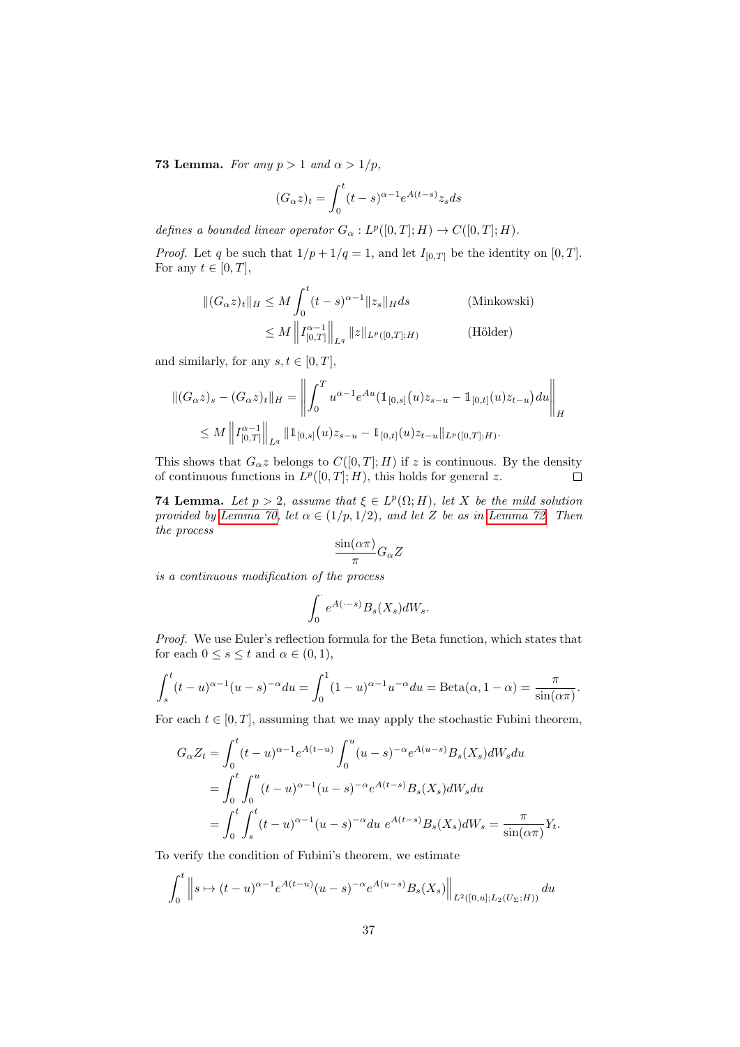<span id="page-36-0"></span>**73 Lemma.** For any  $p > 1$  and  $\alpha > 1/p$ ,

$$
(G_{\alpha}z)_t = \int_0^t (t-s)^{\alpha-1} e^{A(t-s)} z_s ds
$$

defines a bounded linear operator  $G_{\alpha}: L^p([0,T]; H) \to C([0,T]; H)$ .

*Proof.* Let q be such that  $1/p + 1/q = 1$ , and let  $I_{[0,T]}$  be the identity on  $[0,T]$ . For any  $t \in [0, T]$ ,

$$
\|(G_{\alpha}z)_{t}\|_{H} \leq M \int_{0}^{t} (t-s)^{\alpha-1} \|z_{s}\|_{H} ds \qquad \text{(Minkowski)}
$$

$$
\leq M \left\|I_{[0,T]}^{\alpha-1}\right\|_{L^{q}} \|z\|_{L^{p}([0,T];H)} \qquad \text{(Hölder)}
$$

and similarly, for any  $s, t \in [0, T]$ ,

$$
\|(G_{\alpha}z)_{s} - (G_{\alpha}z)_{t}\|_{H} = \left\|\int_{0}^{T} u^{\alpha-1}e^{Au}(\mathbb{1}_{[0,s]}(u)z_{s-u} - \mathbb{1}_{[0,t]}(u)z_{t-u})du\right\|_{H}
$$
  

$$
\leq M \left\|I_{[0,T]}^{\alpha-1}\right\|_{L^{q}} \|\mathbb{1}_{[0,s]}(u)z_{s-u} - \mathbb{1}_{[0,t]}(u)z_{t-u}\|_{L^{p}([0,T];H)}.
$$

This shows that  $G_{\alpha}z$  belongs to  $C([0,T];H)$  if z is continuous. By the density of continuous functions in  $L^p([0,T];H)$ , this holds for general z.  $\Box$ 

<span id="page-36-1"></span>**74 Lemma.** Let  $p > 2$ , assume that  $\xi \in L^p(\Omega; H)$ , let X be the mild solution provided by [Lemma 70,](#page-32-5) let  $\alpha \in (1/p, 1/2)$ , and let Z be as in [Lemma 72.](#page-35-1) Then the process

$$
\frac{\sin(\alpha \pi)}{\pi} G_{\alpha} Z
$$

is a continuous modification of the process

$$
\int_0^\cdot e^{A(\cdot-s)} B_s(X_s) dW_s.
$$

Proof. We use Euler's reflection formula for the Beta function, which states that for each  $0 \leq s \leq t$  and  $\alpha \in (0,1)$ ,

$$
\int_{s}^{t} (t-u)^{\alpha-1} (u-s)^{-\alpha} du = \int_{0}^{1} (1-u)^{\alpha-1} u^{-\alpha} du = \text{Beta}(\alpha, 1-\alpha) = \frac{\pi}{\sin(\alpha \pi)}.
$$

For each  $t \in [0, T]$ , assuming that we may apply the stochastic Fubini theorem,

$$
G_{\alpha}Z_t = \int_0^t (t-u)^{\alpha-1} e^{A(t-u)} \int_0^u (u-s)^{-\alpha} e^{A(u-s)} B_s(X_s) dW_s du
$$
  
= 
$$
\int_0^t \int_0^u (t-u)^{\alpha-1} (u-s)^{-\alpha} e^{A(t-s)} B_s(X_s) dW_s du
$$
  
= 
$$
\int_0^t \int_s^t (t-u)^{\alpha-1} (u-s)^{-\alpha} du e^{A(t-s)} B_s(X_s) dW_s = \frac{\pi}{\sin(\alpha \pi)} Y_t.
$$

To verify the condition of Fubini's theorem, we estimate

$$
\int_0^t \left\| s \mapsto (t-u)^{\alpha-1} e^{A(t-u)} (u-s)^{-\alpha} e^{A(u-s)} B_s(X_s) \right\|_{L^2([0,u];L_2(U_\Sigma;H))} du
$$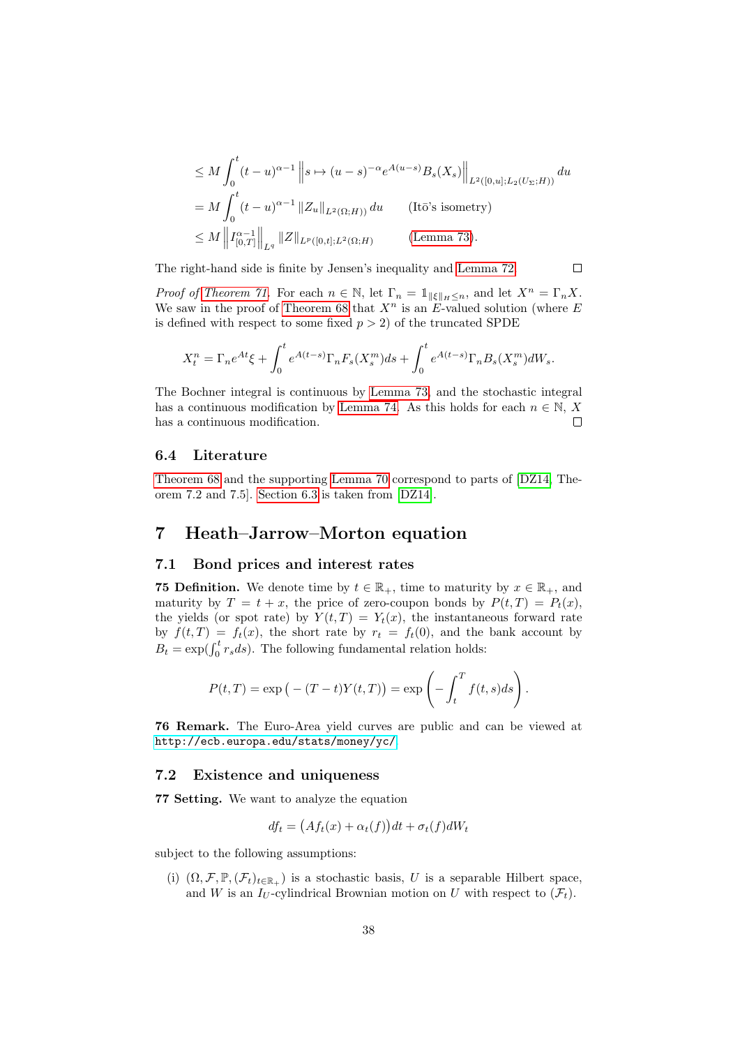$$
\leq M \int_0^t (t-u)^{\alpha-1} \|s \mapsto (u-s)^{-\alpha} e^{A(u-s)} B_s(X_s) \|_{L^2([0,u];L_2(U_\Sigma;H))} du
$$
  
=  $M \int_0^t (t-u)^{\alpha-1} \|Z_u\|_{L^2(\Omega;H))} du$  (Itō's isometry)  
 $\leq M \left\| I_{[0,T]}^{\alpha-1} \right\|_{L^q} \|Z\|_{L^p([0,t];L^2(\Omega;H))}$  (Lemma 73).

 $\Box$ 

The right-hand side is finite by Jensen's inequality and [Lemma 72.](#page-35-1)

*Proof of [Theorem 71.](#page-35-2)* For each  $n \in \mathbb{N}$ , let  $\Gamma_n = \mathbb{1}_{\|\xi\|_H \leq n}$ , and let  $X^n = \Gamma_n X$ . We saw in the proof of [Theorem 68](#page-31-1) that  $X^n$  is an E-valued solution (where E is defined with respect to some fixed  $p > 2$ ) of the truncated SPDE

$$
X_t^n = \Gamma_n e^{At} \xi + \int_0^t e^{A(t-s)} \Gamma_n F_s(X_s^m) ds + \int_0^t e^{A(t-s)} \Gamma_n B_s(X_s^m) dW_s.
$$

The Bochner integral is continuous by [Lemma 73,](#page-36-0) and the stochastic integral has a continuous modification by [Lemma 74.](#page-36-1) As this holds for each  $n \in \mathbb{N}$ , X has a continuous modification.  $\Box$ 

#### <span id="page-37-0"></span>6.4 Literature

[Theorem 68](#page-31-1) and the supporting [Lemma 70](#page-32-5) correspond to parts of [\[DZ14,](#page-56-1) Theorem 7.2 and 7.5]. [Section 6.3](#page-35-0) is taken from [\[DZ14\]](#page-56-1).

## <span id="page-37-1"></span>7 Heath–Jarrow–Morton equation

#### <span id="page-37-2"></span>7.1 Bond prices and interest rates

**75 Definition.** We denote time by  $t \in \mathbb{R}_+$ , time to maturity by  $x \in \mathbb{R}_+$ , and maturity by  $T = t + x$ , the price of zero-coupon bonds by  $P(t,T) = P_t(x)$ , the yields (or spot rate) by  $Y(t,T) = Y_t(x)$ , the instantaneous forward rate by  $f(t,T) = f_t(x)$ , the short rate by  $r_t = f_t(0)$ , and the bank account by  $B_t = \exp(\int_0^t r_s ds)$ . The following fundamental relation holds:

$$
P(t,T) = \exp(-(T-t)Y(t,T)) = \exp\left(-\int_t^T f(t,s)ds\right).
$$

76 Remark. The Euro-Area yield curves are public and can be viewed at <http://ecb.europa.edu/stats/money/yc/>.

#### <span id="page-37-3"></span>7.2 Existence and uniqueness

<span id="page-37-4"></span>77 Setting. We want to analyze the equation

$$
df_t = (Af_t(x) + \alpha_t(f))dt + \sigma_t(f)dW_t
$$

subject to the following assumptions:

<span id="page-37-5"></span>(i)  $(\Omega, \mathcal{F}, \mathbb{P}, (\mathcal{F}_t)_{t \in \mathbb{R}_+})$  is a stochastic basis, U is a separable Hilbert space, and W is an  $I_U$ -cylindrical Brownian motion on U with respect to  $(\mathcal{F}_t)$ .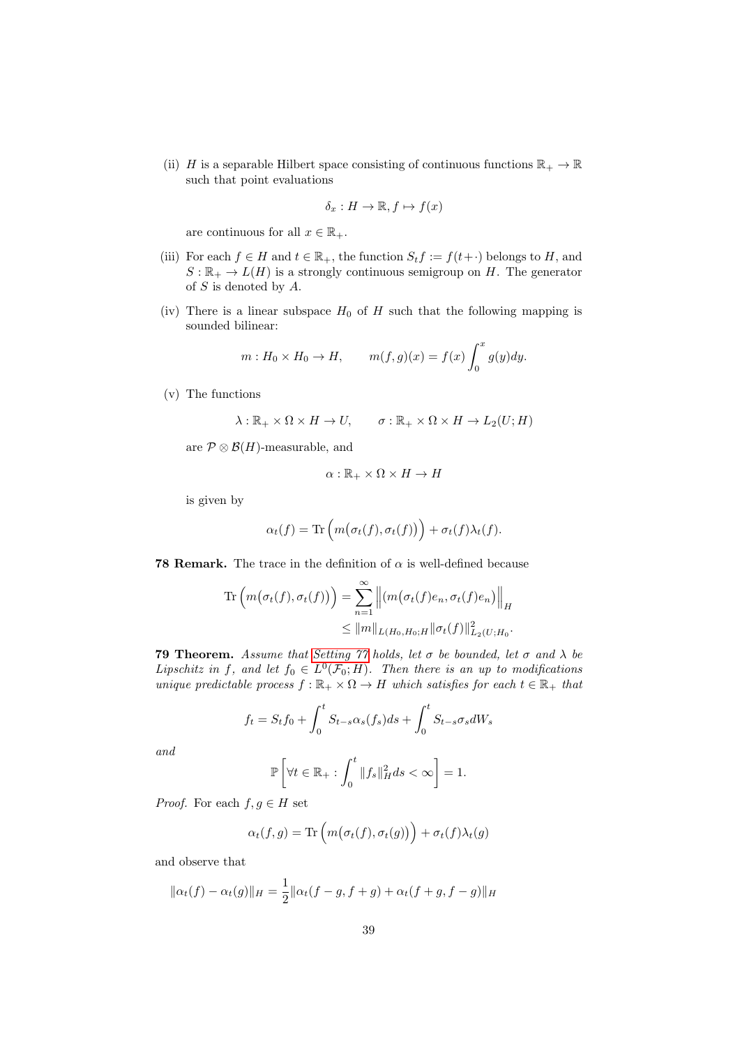<span id="page-38-1"></span>(ii) H is a separable Hilbert space consisting of continuous functions  $\mathbb{R}_+ \to \mathbb{R}$ such that point evaluations

$$
\delta_x: H \to \mathbb{R}, f \mapsto f(x)
$$

are continuous for all  $x \in \mathbb{R}_+$ .

- <span id="page-38-2"></span>(iii) For each  $f \in H$  and  $t \in \mathbb{R}_+$ , the function  $S_t f := f(t+)$  belongs to H, and  $S: \mathbb{R}_+ \to L(H)$  is a strongly continuous semigroup on H. The generator of S is denoted by A.
- (iv) There is a linear subspace  $H_0$  of H such that the following mapping is sounded bilinear:

$$
m: H_0 \times H_0 \to H, \qquad m(f, g)(x) = f(x) \int_0^x g(y) dy.
$$

(v) The functions

$$
\lambda: \mathbb{R}_+ \times \Omega \times H \to U, \qquad \sigma: \mathbb{R}_+ \times \Omega \times H \to L_2(U;H)
$$

are  $\mathcal{P} \otimes \mathcal{B}(H)$ -measurable, and

$$
\alpha: \mathbb{R}_+ \times \Omega \times H \to H
$$

is given by

$$
\alpha_t(f) = \text{Tr}\left(m(\sigma_t(f), \sigma_t(f))\right) + \sigma_t(f)\lambda_t(f).
$$

**78 Remark.** The trace in the definition of  $\alpha$  is well-defined because

$$
\operatorname{Tr}\left(m(\sigma_t(f), \sigma_t(f))\right) = \sum_{n=1}^{\infty} \left\| (m(\sigma_t(f)e_n, \sigma_t(f)e_n) \right\|_H
$$
  

$$
\leq \|m\|_{L(H_0, H_0; H} \|\sigma_t(f)\|_{L_2(U; H_0}^2).
$$

<span id="page-38-0"></span>**79 Theorem.** Assume that [Setting 77](#page-37-4) holds, let  $\sigma$  be bounded, let  $\sigma$  and  $\lambda$  be Lipschitz in f, and let  $f_0 \in L^0(\mathcal{F}_0; H)$ . Then there is an up to modifications unique predictable process  $f : \mathbb{R}_+ \times \Omega \to H$  which satisfies for each  $t \in \mathbb{R}_+$  that

$$
f_t = S_t f_0 + \int_0^t S_{t-s} \alpha_s(f_s) ds + \int_0^t S_{t-s} \sigma_s dW_s
$$

and

$$
\mathbb{P}\left[\forall t \in \mathbb{R}_+ : \int_0^t \|f_s\|_H^2 ds < \infty\right] = 1.
$$

*Proof.* For each  $f, g \in H$  set

$$
\alpha_t(f,g) = \text{Tr}\left(m(\sigma_t(f), \sigma_t(g))\right) + \sigma_t(f)\lambda_t(g)
$$

and observe that

$$
\|\alpha_t(f) - \alpha_t(g)\|_H = \frac{1}{2}\|\alpha_t(f - g, f + g) + \alpha_t(f + g, f - g)\|_H
$$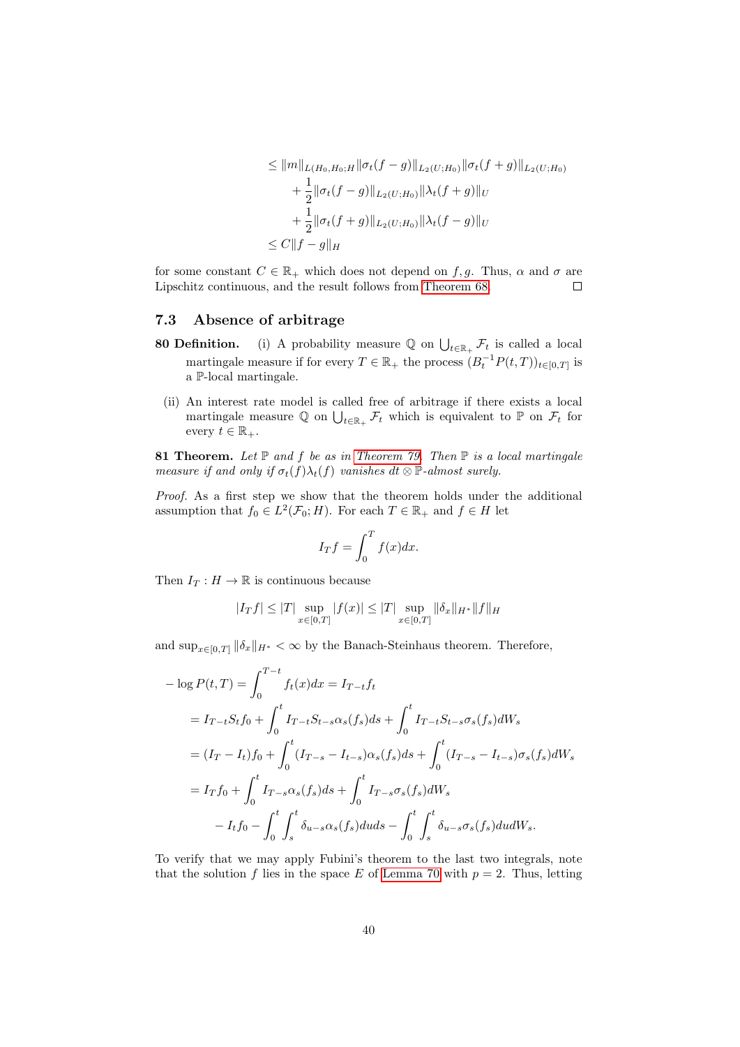$$
\leq ||m||_{L(H_0, H_0; H} ||\sigma_t(f - g)||_{L_2(U; H_0)} ||\sigma_t(f + g)||_{L_2(U; H_0)}
$$
  
+ 
$$
\frac{1}{2} ||\sigma_t(f - g)||_{L_2(U; H_0)} ||\lambda_t(f + g)||_U
$$
  
+ 
$$
\frac{1}{2} ||\sigma_t(f + g)||_{L_2(U; H_0)} ||\lambda_t(f - g)||_U
$$
  

$$
\leq C||f - g||_H
$$

for some constant  $C \in \mathbb{R}_+$  which does not depend on f, g. Thus,  $\alpha$  and  $\sigma$  are Lipschitz continuous, and the result follows from [Theorem 68.](#page-31-1)  $\Box$ 

## <span id="page-39-0"></span>7.3 Absence of arbitrage

- **80 Definition.** (i) A probability measure  $\mathbb{Q}$  on  $\bigcup_{t\in\mathbb{R}_+} \mathcal{F}_t$  is called a local martingale measure if for every  $T \in \mathbb{R}_+$  the process  $(B_t^{-1}P(t,T))_{t \in [0,T]}$  is a P-local martingale.
- (ii) An interest rate model is called free of arbitrage if there exists a local martingale measure  $\mathbb Q$  on  $\bigcup_{t\in\mathbb{R}_+} \mathcal F_t$  which is equivalent to  $\mathbb P$  on  $\mathcal F_t$  for every  $t \in \mathbb{R}_+$ .

81 Theorem. Let  $\mathbb P$  and f be as in [Theorem 79.](#page-38-0) Then  $\mathbb P$  is a local martingale measure if and only if  $\sigma_t(f)\lambda_t(f)$  vanishes  $dt \otimes \mathbb{P}\text{-almost surely.}$ 

Proof. As a first step we show that the theorem holds under the additional assumption that  $f_0 \in L^2(\mathcal{F}_0; H)$ . For each  $T \in \mathbb{R}_+$  and  $f \in H$  let

$$
I_T f = \int_0^T f(x) dx.
$$

Then  $I_T: H \to \mathbb{R}$  is continuous because

$$
|I_Tf| \leq |T| \sup_{x \in [0,T]} |f(x)| \leq |T| \sup_{x \in [0,T]} \|\delta_x\|_{H^*} \|f\|_H
$$

and  $\sup_{x \in [0,T]} ||\delta_x||_{H^*} < \infty$  by the Banach-Steinhaus theorem. Therefore,

$$
- \log P(t,T) = \int_0^{T-t} f_t(x)dx = I_{T-t}f_t
$$
  
=  $I_{T-t}S_tf_0 + \int_0^t I_{T-t}S_{t-s}\alpha_s(f_s)ds + \int_0^t I_{T-t}S_{t-s}\sigma_s(f_s)dW_s$   
=  $(I_T - I_t)f_0 + \int_0^t (I_{T-s} - I_{t-s})\alpha_s(f_s)ds + \int_0^t (I_{T-s} - I_{t-s})\sigma_s(f_s)dW_s$   
=  $I_Tf_0 + \int_0^t I_{T-s}\alpha_s(f_s)ds + \int_0^t I_{T-s}\sigma_s(f_s)dW_s$   
-  $I_tf_0 - \int_0^t \int_s^t \delta_{u-s}\alpha_s(f_s)duds - \int_0^t \int_s^t \delta_{u-s}\sigma_s(f_s)dudW_s.$ 

To verify that we may apply Fubini's theorem to the last two integrals, note that the solution f lies in the space E of [Lemma 70](#page-32-5) with  $p = 2$ . Thus, letting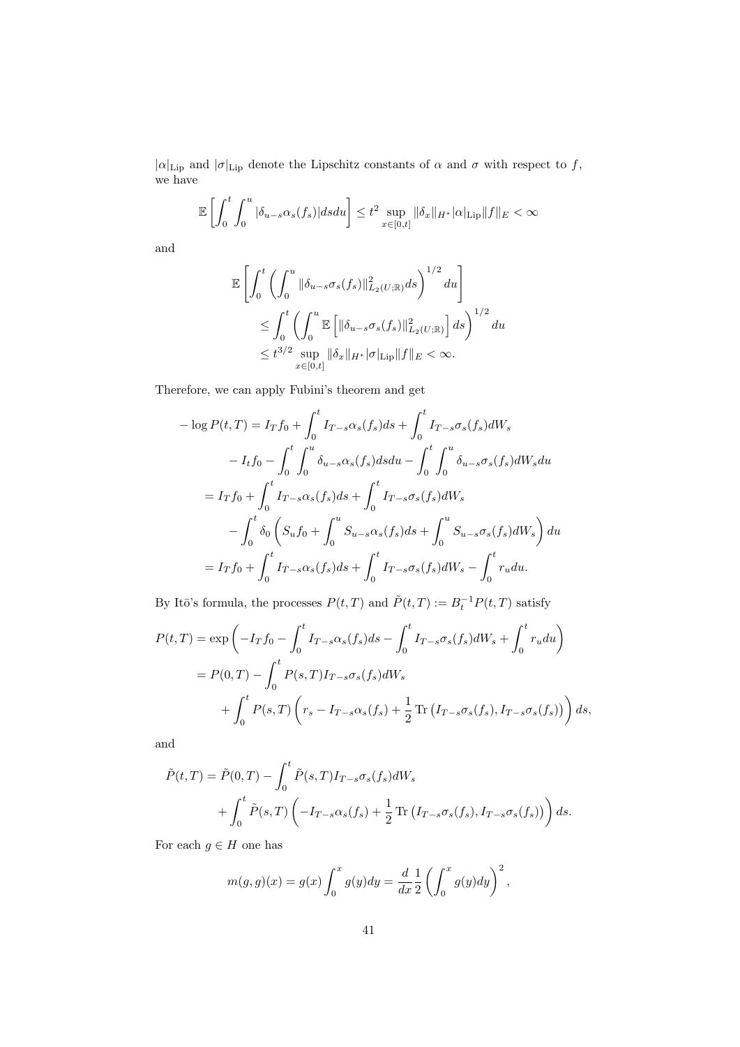$|\alpha|_{\text{Lip}}$  and  $|\sigma|_{\text{Lip}}$  denote the Lipschitz constants of  $\alpha$  and  $\sigma$  with respect to f, we have

$$
\mathbb{E}\left[\int_0^t \int_0^u |\delta_{u-s}\alpha_s(f_s)| ds du\right] \leq t^2 \sup_{x \in [0,t]} \|\delta_x\|_{H^*} |\alpha|_{\text{Lip}} \|f\|_E < \infty
$$

and

$$
\mathbb{E}\left[\int_0^t \left(\int_0^u \|\delta_{u-s}\sigma_s(f_s)\|_{L_2(U;\mathbb{R})}^2 ds\right)^{1/2} du\right]
$$
  
\n
$$
\leq \int_0^t \left(\int_0^u \mathbb{E}\left[\|\delta_{u-s}\sigma_s(f_s)\|_{L_2(U;\mathbb{R})}^2\right] ds\right)^{1/2} du
$$
  
\n
$$
\leq t^{3/2} \sup_{x \in [0,t]} \|\delta_x\|_{H^*} |\sigma|_{\text{Lip}} \|f\|_E < \infty.
$$

Therefore, we can apply Fubini's theorem and get

$$
-\log P(t,T) = I_T f_0 + \int_0^t I_{T-s} \alpha_s(f_s) ds + \int_0^t I_{T-s} \sigma_s(f_s) dW_s
$$
  

$$
-I_t f_0 - \int_0^t \int_0^u \delta_{u-s} \alpha_s(f_s) ds du - \int_0^t \int_0^u \delta_{u-s} \sigma_s(f_s) dW_s du
$$
  

$$
= I_T f_0 + \int_0^t I_{T-s} \alpha_s(f_s) ds + \int_0^t I_{T-s} \sigma_s(f_s) dW_s
$$
  

$$
- \int_0^t \delta_0 \left( S_u f_0 + \int_0^u S_{u-s} \alpha_s(f_s) ds + \int_0^u S_{u-s} \sigma_s(f_s) dW_s \right) du
$$
  

$$
= I_T f_0 + \int_0^t I_{T-s} \alpha_s(f_s) ds + \int_0^t I_{T-s} \sigma_s(f_s) dW_s - \int_0^t r_u du.
$$

By Itō's formula, the processes  $P(t,T)$  and  $\tilde{P}(t,T) := B_t^{-1} P(t,T)$  satisfy

$$
P(t,T) = \exp\left(-I_Tf_0 - \int_0^t I_{T-s}\alpha_s(f_s)ds - \int_0^t I_{T-s}\sigma_s(f_s)dW_s + \int_0^t r_udu\right)
$$
  
=  $P(0,T) - \int_0^t P(s,T)I_{T-s}\sigma_s(f_s)dW_s$   
+  $\int_0^t P(s,T)\left(r_s - I_{T-s}\alpha_s(f_s) + \frac{1}{2}\operatorname{Tr}\left(I_{T-s}\sigma_s(f_s), I_{T-s}\sigma_s(f_s)\right)\right)ds,$ 

and

$$
\tilde{P}(t,T) = \tilde{P}(0,T) - \int_0^t \tilde{P}(s,T)I_{T-s}\sigma_s(f_s)dW_s
$$
  
+ 
$$
\int_0^t \tilde{P}(s,T) \left(-I_{T-s}\alpha_s(f_s) + \frac{1}{2}\operatorname{Tr}\left(I_{T-s}\sigma_s(f_s), I_{T-s}\sigma_s(f_s)\right)\right)ds.
$$

For each  $g\in H$  one has

$$
m(g,g)(x) = g(x) \int_0^x g(y) dy = \frac{d}{dx} \frac{1}{2} \left( \int_0^x g(y) dy \right)^2,
$$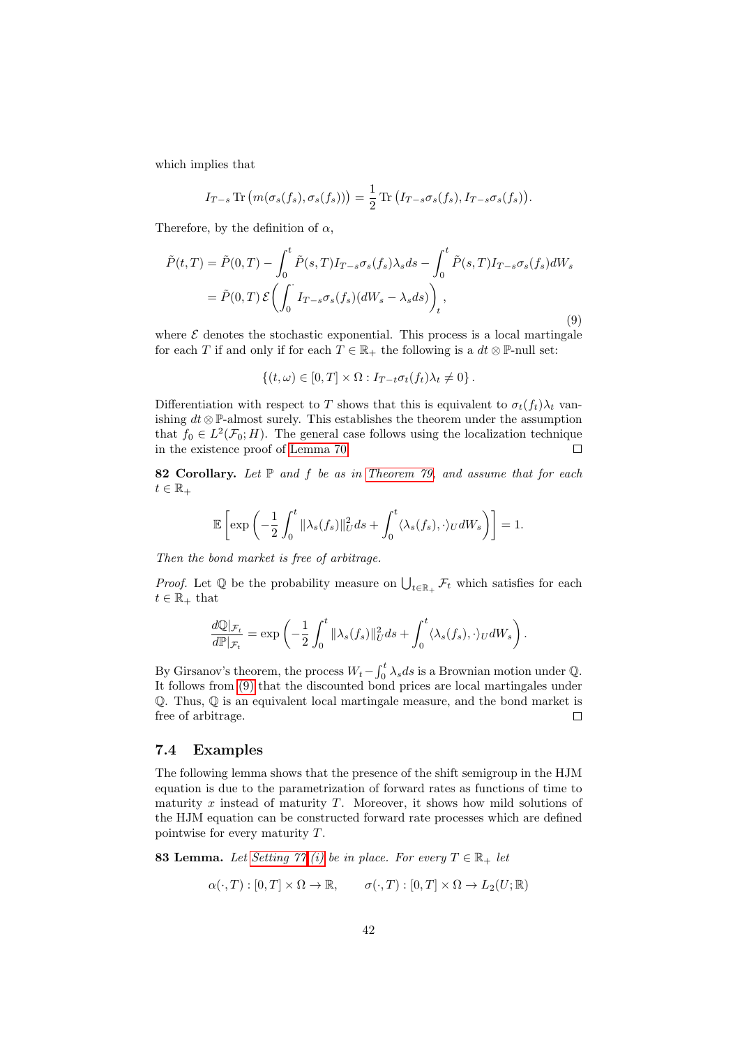which implies that

$$
I_{T-s} \operatorname{Tr} \left( m(\sigma_s(f_s), \sigma_s(f_s)) \right) = \frac{1}{2} \operatorname{Tr} \left( I_{T-s} \sigma_s(f_s), I_{T-s} \sigma_s(f_s) \right).
$$

Therefore, by the definition of  $\alpha$ ,

<span id="page-41-1"></span>
$$
\tilde{P}(t,T) = \tilde{P}(0,T) - \int_0^t \tilde{P}(s,T)I_{T-s}\sigma_s(f_s)\lambda_s ds - \int_0^t \tilde{P}(s,T)I_{T-s}\sigma_s(f_s)dW_s
$$
  
=  $\tilde{P}(0,T)\mathcal{E}\left(\int_0^{\cdot} I_{T-s}\sigma_s(f_s)(dW_s - \lambda_s ds)\right)_t,$  (9)

where  $\mathcal E$  denotes the stochastic exponential. This process is a local martingale for each T if and only if for each  $T \in \mathbb{R}_+$  the following is a  $dt \otimes \mathbb{P}$ -null set:

$$
\{(t,\omega)\in[0,T]\times\Omega: I_{T-t}\sigma_t(f_t)\lambda_t\neq 0\}.
$$

Differentiation with respect to T shows that this is equivalent to  $\sigma_t(f_t)\lambda_t$  vanishing  $dt \otimes \mathbb{P}$ -almost surely. This establishes the theorem under the assumption that  $f_0 \in L^2(\mathcal{F}_0; H)$ . The general case follows using the localization technique in the existence proof of [Lemma 70.](#page-32-5)  $\Box$ 

82 Corollary. Let  $P$  and  $f$  be as in [Theorem 79,](#page-38-0) and assume that for each  $t \in \mathbb{R}_+$ 

$$
\mathbb{E}\left[\exp\left(-\frac{1}{2}\int_0^t \|\lambda_s(f_s)\|_U^2 ds + \int_0^t \langle \lambda_s(f_s), \cdot \rangle_U dW_s\right)\right] = 1.
$$

Then the bond market is free of arbitrage.

*Proof.* Let  $\mathbb{Q}$  be the probability measure on  $\bigcup_{t\in\mathbb{R}_+} \mathcal{F}_t$  which satisfies for each  $t \in \mathbb{R}_+$  that

$$
\frac{d\mathbb{Q}|_{\mathcal{F}_t}}{d\mathbb{P}|_{\mathcal{F}_t}} = \exp\left(-\frac{1}{2}\int_0^t \|\lambda_s(f_s)\|_{U}^2 ds + \int_0^t \langle \lambda_s(f_s), \cdot \rangle_{U} dW_s\right).
$$

By Girsanov's theorem, the process  $W_t - \int_0^t \lambda_s ds$  is a Brownian motion under  $\mathbb{Q}$ . It follows from [\(9\)](#page-41-1) that the discounted bond prices are local martingales under Q. Thus, Q is an equivalent local martingale measure, and the bond market is free of arbitrage.  $\Box$ 

#### <span id="page-41-0"></span>7.4 Examples

The following lemma shows that the presence of the shift semigroup in the HJM equation is due to the parametrization of forward rates as functions of time to maturity  $x$  instead of maturity  $T$ . Moreover, it shows how mild solutions of the HJM equation can be constructed forward rate processes which are defined pointwise for every maturity T.

<span id="page-41-2"></span>**83 Lemma.** Let [Setting 77](#page-37-4)[.\(i\)](#page-37-5) be in place. For every  $T \in \mathbb{R}_+$  let

$$
\alpha(\cdot,T):[0,T]\times\Omega\to\mathbb{R},\qquad \sigma(\cdot,T):[0,T]\times\Omega\to L_2(U;\mathbb{R})
$$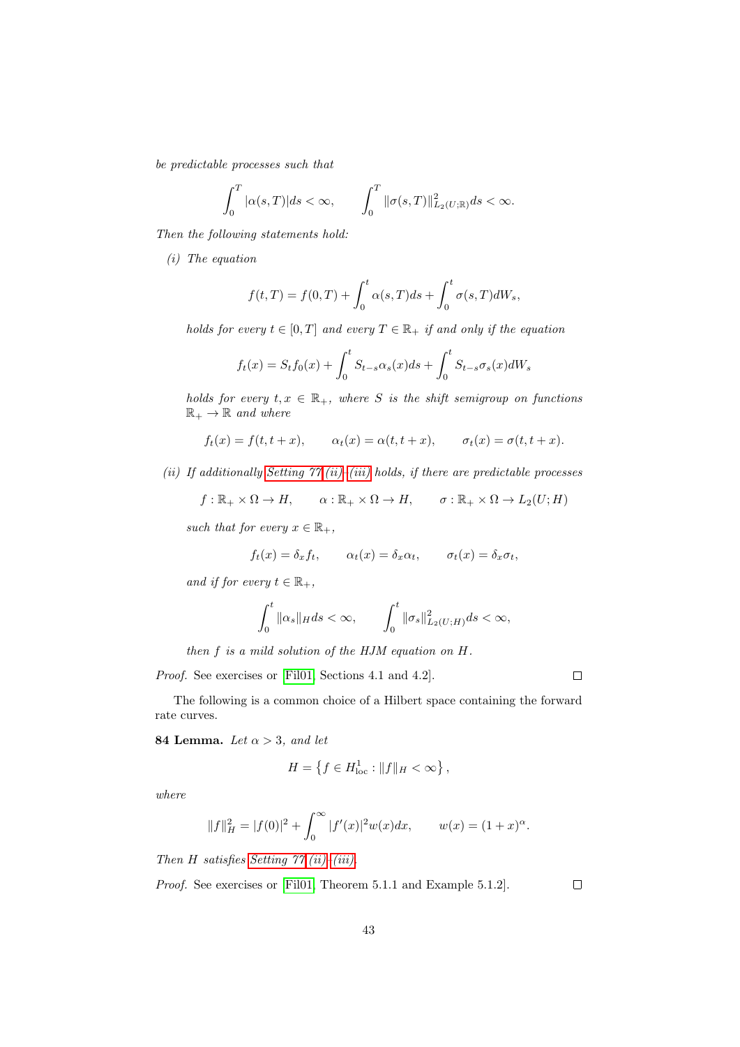be predictable processes such that

$$
\int_0^T |\alpha(s,T)|ds < \infty, \qquad \int_0^T \|\sigma(s,T)\|_{L_2(U;\mathbb{R})}^2 ds < \infty.
$$

Then the following statements hold:

(i) The equation

$$
f(t,T) = f(0,T) + \int_0^t \alpha(s,T)ds + \int_0^t \sigma(s,T)dW_s,
$$

holds for every  $t \in [0, T]$  and every  $T \in \mathbb{R}_+$  if and only if the equation

$$
f_t(x) = S_t f_0(x) + \int_0^t S_{t-s} \alpha_s(x) ds + \int_0^t S_{t-s} \sigma_s(x) dW_s
$$

holds for every  $t, x \in \mathbb{R}_+$ , where S is the shift semigroup on functions  $\mathbb{R}_+ \to \mathbb{R}$  and where

$$
f_t(x) = f(t, t + x),
$$
  $\alpha_t(x) = \alpha(t, t + x),$   $\sigma_t(x) = \sigma(t, t + x).$ 

[\(ii\)](#page-38-1) If additionally Setting  $77.(\text{ii})-(\text{iii})$  holds, if there are predictable processes

 $f: \mathbb{R}_+ \times \Omega \to H$ ,  $\alpha: \mathbb{R}_+ \times \Omega \to H$ ,  $\sigma: \mathbb{R}_+ \times \Omega \to L_2(U;H)$ 

such that for every  $x \in \mathbb{R}_+$ ,

$$
f_t(x) = \delta_x f_t
$$
,  $\alpha_t(x) = \delta_x \alpha_t$ ,  $\sigma_t(x) = \delta_x \sigma_t$ ,

and if for every  $t \in \mathbb{R}_+$ ,

$$
\int_0^t \|\alpha_s\|_H ds < \infty, \qquad \int_0^t \|\sigma_s\|_{L_2(U;H)}^2 ds < \infty,
$$

then f is a mild solution of the HJM equation on H.

Proof. See exercises or [\[Fil01,](#page-56-11) Sections 4.1 and 4.2].

 $\Box$ 

The following is a common choice of a Hilbert space containing the forward rate curves.

<span id="page-42-0"></span>**84 Lemma.** Let  $\alpha > 3$ , and let

$$
H = \left\{ f \in H^1_{\text{loc}} : ||f||_H < \infty \right\},\
$$

where

$$
||f||_H^2 = |f(0)|^2 + \int_0^\infty |f'(x)|^2 w(x) dx, \qquad w(x) = (1+x)^\alpha.
$$

Then  $H$  satisfies Setting  $77.(ii)-(iii)$  $77.(ii)-(iii)$  $77.(ii)-(iii)$ .

Proof. See exercises or [\[Fil01,](#page-56-11) Theorem 5.1.1 and Example 5.1.2].

 $\Box$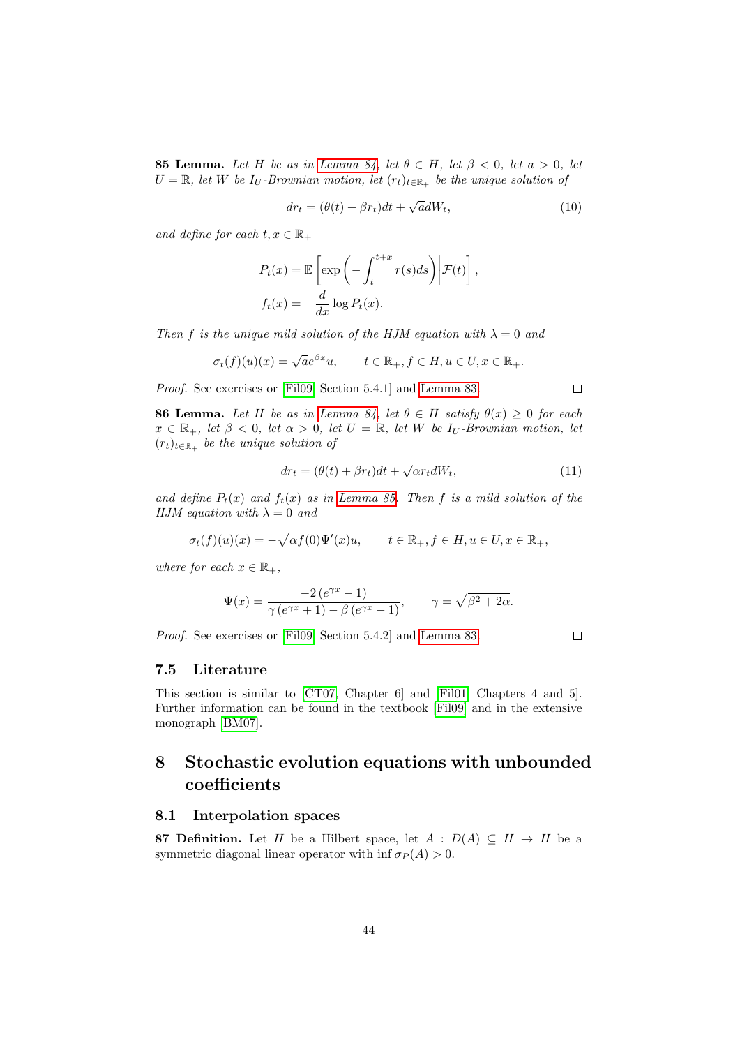<span id="page-43-3"></span>**85 Lemma.** Let H be as in [Lemma 84,](#page-42-0) let  $\theta \in H$ , let  $\beta < 0$ , let  $a > 0$ , let  $U = \mathbb{R}$ , let W be I<sub>U</sub>-Brownian motion, let  $(r_t)_{t \in \mathbb{R}_+}$  be the unique solution of

$$
dr_t = (\theta(t) + \beta r_t)dt + \sqrt{a}dW_t,
$$
\n(10)

and define for each  $t, x \in \mathbb{R}_+$ 

$$
P_t(x) = \mathbb{E}\left[\exp\left(-\int_t^{t+x} r(s)ds\right) \middle| \mathcal{F}(t)\right],
$$
  

$$
f_t(x) = -\frac{d}{dx}\log P_t(x).
$$

Then f is the unique mild solution of the HJM equation with  $\lambda = 0$  and

$$
\sigma_t(f)(u)(x) = \sqrt{a}e^{\beta x}u, \qquad t \in \mathbb{R}_+, f \in H, u \in U, x \in \mathbb{R}_+.
$$

Proof. See exercises or [\[Fil09,](#page-56-12) Section 5.4.1] and [Lemma 83.](#page-41-2)

**86 Lemma.** Let H be as in [Lemma 84,](#page-42-0) let  $\theta \in H$  satisfy  $\theta(x) \geq 0$  for each  $x \in \mathbb{R}_+$ , let  $\beta < 0$ , let  $\alpha > 0$ , let  $U = \mathbb{R}$ , let W be  $I_U$ -Brownian motion, let  $(r_t)_{t \in \mathbb{R}_+}$  be the unique solution of

$$
dr_t = (\theta(t) + \beta r_t)dt + \sqrt{\alpha r_t}dW_t,
$$
\n(11)

and define  $P_t(x)$  and  $f_t(x)$  as in [Lemma 85.](#page-43-3) Then f is a mild solution of the HJM equation with  $\lambda = 0$  and

$$
\sigma_t(f)(u)(x) = -\sqrt{\alpha f(0)} \Psi'(x)u, \qquad t \in \mathbb{R}_+, f \in H, u \in U, x \in \mathbb{R}_+,
$$

where for each  $x \in \mathbb{R}_+$ ,

$$
\Psi(x) = \frac{-2(e^{\gamma x} - 1)}{\gamma(e^{\gamma x} + 1) - \beta(e^{\gamma x} - 1)}, \qquad \gamma = \sqrt{\beta^2 + 2\alpha}.
$$

Proof. See exercises or [\[Fil09,](#page-56-12) Section 5.4.2] and [Lemma 83.](#page-41-2)

## $\Box$

#### <span id="page-43-0"></span>7.5 Literature

This section is similar to [\[CT07,](#page-56-13) Chapter 6] and [\[Fil01,](#page-56-11) Chapters 4 and 5]. Further information can be found in the textbook [\[Fil09\]](#page-56-12) and in the extensive monograph [\[BM07\]](#page-55-2).

## <span id="page-43-1"></span>8 Stochastic evolution equations with unbounded coefficients

#### <span id="page-43-2"></span>8.1 Interpolation spaces

<span id="page-43-4"></span>87 Definition. Let H be a Hilbert space, let  $A : D(A) \subseteq H \rightarrow H$  be a symmetric diagonal linear operator with inf  $\sigma_P(A) > 0$ .

 $\Box$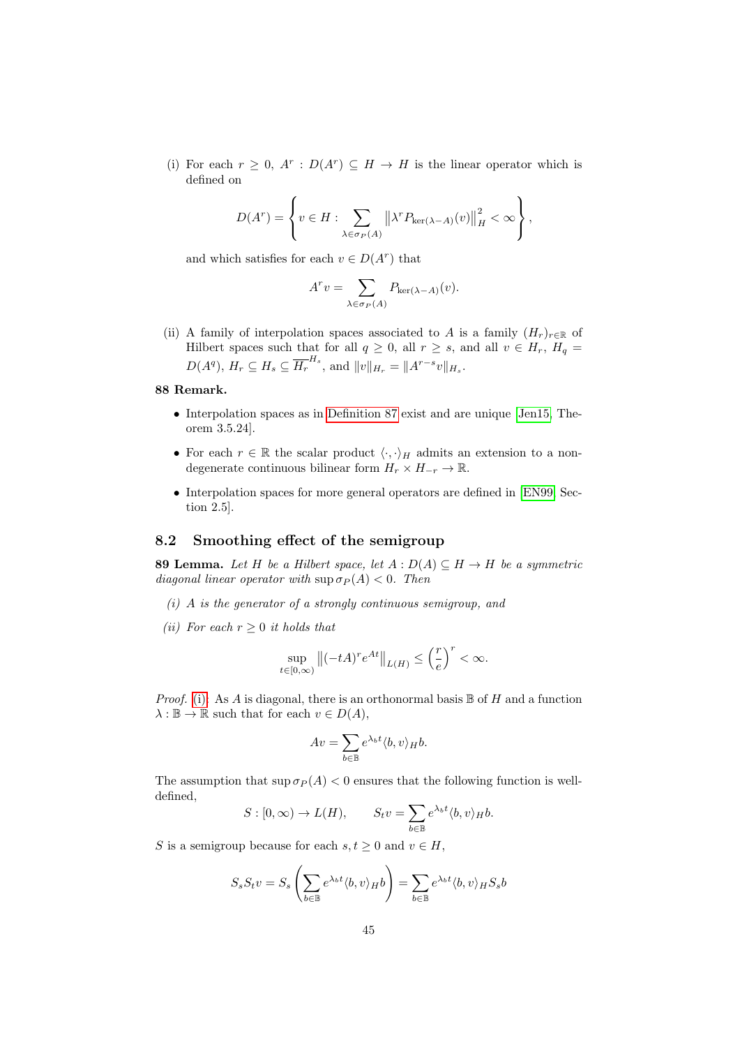(i) For each  $r \geq 0$ ,  $A^r : D(A^r) \subseteq H \longrightarrow H$  is the linear operator which is defined on

$$
D(A^r) = \left\{ v \in H : \sum_{\lambda \in \sigma_P(A)} \left\| \lambda^r P_{\ker(\lambda - A)}(v) \right\|_H^2 < \infty \right\},\,
$$

and which satisfies for each  $v \in D(A^r)$  that

$$
A^r v = \sum_{\lambda \in \sigma_P(A)} P_{\ker(\lambda - A)}(v).
$$

(ii) A family of interpolation spaces associated to A is a family  $(H_r)_{r \in \mathbb{R}}$  of Hilbert spaces such that for all  $q \geq 0$ , all  $r \geq s$ , and all  $v \in H_r$ ,  $H_q =$  $D(A^q), H_r \subseteq H_s \subseteq \overline{H_r}^{H_s}$ , and  $||v||_{H_r} = ||A^{r-s}v||_{H_s}$ .

### 88 Remark.

- Interpolation spaces as in [Definition 87](#page-43-4) exist and are unique [\[Jen15,](#page-56-14) Theorem 3.5.24].
- For each  $r \in \mathbb{R}$  the scalar product  $\langle \cdot, \cdot \rangle_H$  admits an extension to a nondegenerate continuous bilinear form  $H_r \times H_{-r} \to \mathbb{R}$ .
- Interpolation spaces for more general operators are defined in [\[EN99,](#page-56-15) Section 2.5].

## <span id="page-44-0"></span>8.2 Smoothing effect of the semigroup

<span id="page-44-3"></span>**89 Lemma.** Let H be a Hilbert space, let  $A: D(A) \subseteq H \rightarrow H$  be a symmetric diagonal linear operator with  $\sup \sigma_P(A) < 0$ . Then

- <span id="page-44-1"></span> $(i)$  A is the generator of a strongly continuous semigroup, and
- <span id="page-44-2"></span>(ii) For each  $r > 0$  it holds that

$$
\sup_{t\in[0,\infty)}\left\|(-tA)^re^{At}\right\|_{L(H)}\leq\left(\frac{r}{e}\right)^r<\infty.
$$

*Proof.* [\(i\):](#page-44-1) As A is diagonal, there is an orthonormal basis  $\mathbb B$  of H and a function  $\lambda : \mathbb{B} \to \mathbb{R}$  such that for each  $v \in D(A)$ ,

$$
Av = \sum_{b \in \mathbb{B}} e^{\lambda_b t} \langle b, v \rangle_H b.
$$

The assumption that  $\sup \sigma_P(A) < 0$  ensures that the following function is welldefined,

$$
S : [0, \infty) \to L(H), \qquad S_t v = \sum_{b \in \mathbb{B}} e^{\lambda_b t} \langle b, v \rangle_H b.
$$

S is a semigroup because for each  $s, t \geq 0$  and  $v \in H$ ,

$$
S_s S_t v = S_s \left( \sum_{b \in \mathbb{B}} e^{\lambda_b t} \langle b, v \rangle_H b \right) = \sum_{b \in \mathbb{B}} e^{\lambda_b t} \langle b, v \rangle_H S_s b
$$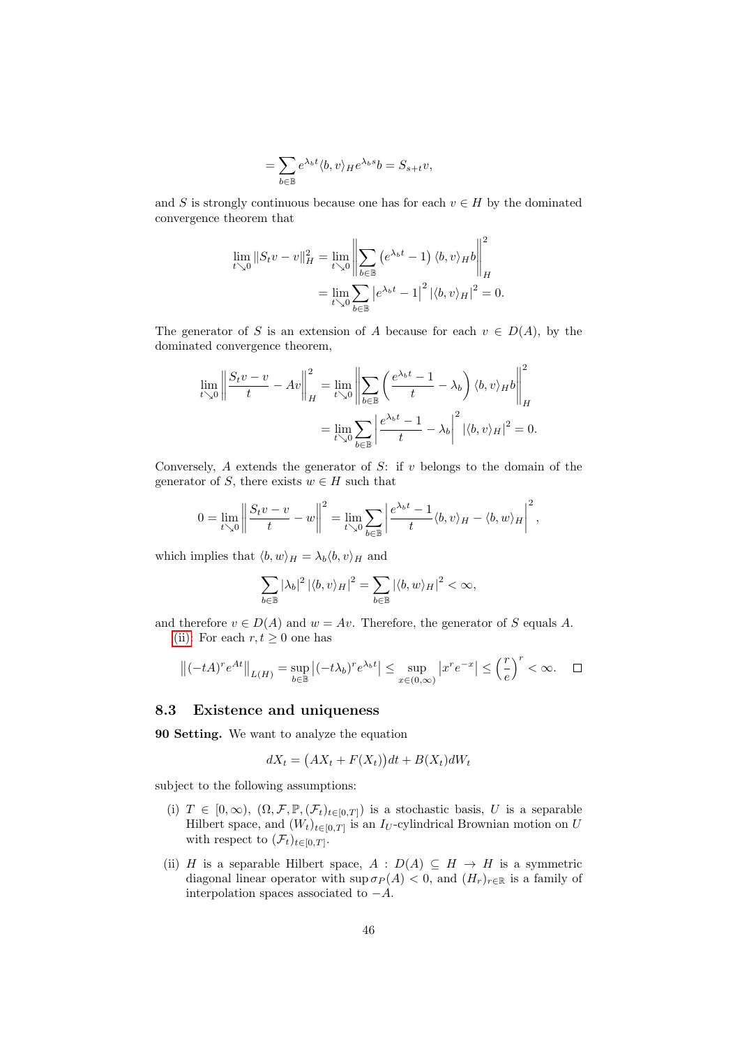$$
= \sum_{b \in \mathbb{B}} e^{\lambda_b t} \langle b, v \rangle_H e^{\lambda_b s} b = S_{s+t} v,
$$

and S is strongly continuous because one has for each  $v \in H$  by the dominated convergence theorem that

$$
\lim_{t \searrow 0} ||S_t v - v||_H^2 = \lim_{t \searrow 0} \left\| \sum_{b \in \mathbb{B}} \left( e^{\lambda_b t} - 1 \right) \langle b, v \rangle_H b \right\|_H^2
$$

$$
= \lim_{t \searrow 0} \sum_{b \in \mathbb{B}} \left| e^{\lambda_b t} - 1 \right|^2 \left| \langle b, v \rangle_H \right|^2 = 0.
$$

The generator of S is an extension of A because for each  $v \in D(A)$ , by the dominated convergence theorem,

$$
\lim_{t \searrow 0} \left\| \frac{S_t v - v}{t} - Av \right\|_H^2 = \lim_{t \searrow 0} \left\| \sum_{b \in \mathbb{B}} \left( \frac{e^{\lambda_b t} - 1}{t} - \lambda_b \right) \langle b, v \rangle_H b \right\|_H^2
$$

$$
= \lim_{t \searrow 0} \sum_{b \in \mathbb{B}} \left| \frac{e^{\lambda_b t} - 1}{t} - \lambda_b \right|^2 \left| \langle b, v \rangle_H \right|^2 = 0.
$$

Conversely,  $A$  extends the generator of  $S$ : if  $v$  belongs to the domain of the generator of S, there exists  $w \in H$  such that

$$
0 = \lim_{t \searrow 0} \left\| \frac{S_t v - v}{t} - w \right\|^2 = \lim_{t \searrow 0} \sum_{b \in \mathbb{B}} \left| \frac{e^{\lambda_b t} - 1}{t} \langle b, v \rangle_H - \langle b, w \rangle_H \right|^2,
$$

which implies that  $\langle b, w \rangle_H = \lambda_b \langle b, v \rangle_H$  and

$$
\sum_{b\in\mathbb{B}}|\lambda_b|^2\left|\langle b,v\rangle_H\right|^2=\sum_{b\in\mathbb{B}}\left|\langle b,w\rangle_H\right|^2<\infty,
$$

and therefore  $v \in D(A)$  and  $w = Av$ . Therefore, the generator of S equals A. [\(ii\):](#page-44-2) For each  $r, t \geq 0$  one has

$$
\left\|(-tA)^re^{At}\right\|_{L(H)} = \sup_{b \in \mathbb{B}} \left|(-t\lambda_b)^re^{\lambda_b t}\right| \le \sup_{x \in (0,\infty)} \left|x^re^{-x}\right| \le \left(\frac{r}{e}\right)^r < \infty. \quad \Box
$$

#### <span id="page-45-0"></span>8.3 Existence and uniqueness

<span id="page-45-1"></span>90 Setting. We want to analyze the equation

$$
dX_t = (AX_t + F(X_t))dt + B(X_t)dW_t
$$

subject to the following assumptions:

- (i)  $T \in [0, \infty)$ ,  $(\Omega, \mathcal{F}, \mathbb{P}, (\mathcal{F}_t)_{t \in [0, T]})$  is a stochastic basis, U is a separable Hilbert space, and  $(W_t)_{t \in [0,T]}$  is an  $I_U$ -cylindrical Brownian motion on U with respect to  $(\mathcal{F}_t)_{t\in[0,T]}.$
- (ii) H is a separable Hilbert space,  $A : D(A) \subseteq H \rightarrow H$  is a symmetric diagonal linear operator with  $\sup \sigma_P(A) < 0$ , and  $(H_r)_{r \in \mathbb{R}}$  is a family of interpolation spaces associated to  $-A$ .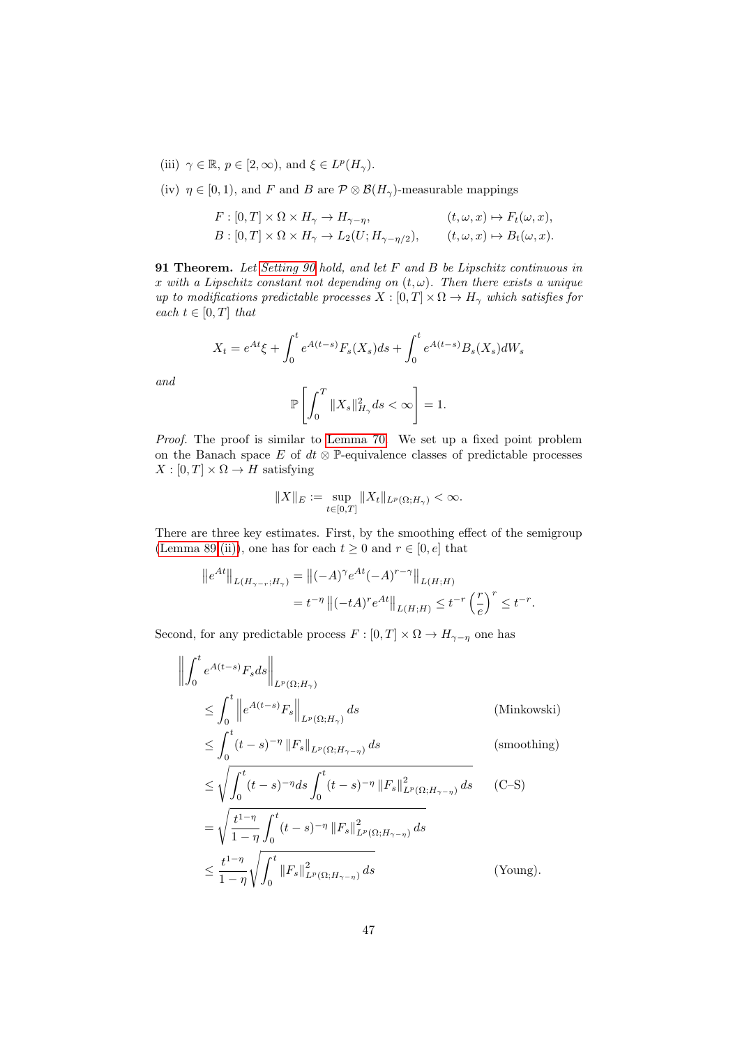- (iii)  $\gamma \in \mathbb{R}, p \in [2, \infty)$ , and  $\xi \in L^p(H_\gamma)$ .
- (iv)  $\eta \in [0, 1)$ , and F and B are  $\mathcal{P} \otimes \mathcal{B}(H_{\gamma})$ -measurable mappings

$$
F: [0, T] \times \Omega \times H_{\gamma} \to H_{\gamma - \eta}, \qquad (t, \omega, x) \mapsto F_t(\omega, x),
$$
  
\n
$$
B: [0, T] \times \Omega \times H_{\gamma} \to L_2(U; H_{\gamma - \eta/2}), \qquad (t, \omega, x) \mapsto B_t(\omega, x).
$$

<span id="page-46-0"></span>91 Theorem. Let [Setting 90](#page-45-1) hold, and let F and B be Lipschitz continuous in x with a Lipschitz constant not depending on  $(t, \omega)$ . Then there exists a unique up to modifications predictable processes  $X : [0, T] \times \Omega \to H_{\gamma}$  which satisfies for each  $t \in [0, T]$  that

$$
X_t = e^{At} \xi + \int_0^t e^{A(t-s)} F_s(X_s) ds + \int_0^t e^{A(t-s)} B_s(X_s) dW_s
$$

and

$$
\mathbb{P}\left[\int_0^T \|X_s\|_{H_\gamma}^2 ds < \infty\right] = 1.
$$

Proof. The proof is similar to [Lemma 70.](#page-32-5) We set up a fixed point problem on the Banach space  $E$  of  $dt \otimes \mathbb{P}$ -equivalence classes of predictable processes  $X : [0, T] \times \Omega \rightarrow H$  satisfying

$$
||X||_E := \sup_{t \in [0,T]} ||X_t||_{L^p(\Omega;H_\gamma)} < \infty.
$$

There are three key estimates. First, by the smoothing effect of the semigroup [\(Lemma 89](#page-44-3)[.\(ii\)\)](#page-44-2), one has for each  $t \geq 0$  and  $r \in [0, e]$  that

$$
||e^{At}||_{L(H_{\gamma-r};H_{\gamma})} = ||(-A)^{\gamma}e^{At}(-A)^{r-\gamma}||_{L(H;H)}
$$
  
=  $t^{-\eta} ||(-tA)^{r}e^{At}||_{L(H;H)} \leq t^{-r} \left(\frac{r}{e}\right)^{r} \leq t^{-r}.$ 

Second, for any predictable process  $F : [0, T] \times \Omega \to H_{\gamma - \eta}$  one has

$$
\left\| \int_{0}^{t} e^{A(t-s)} F_s ds \right\|_{L^{p}(\Omega; H_{\gamma})}
$$
\n
$$
\leq \int_{0}^{t} \left\| e^{A(t-s)} F_s \right\|_{L^{p}(\Omega; H_{\gamma})} ds \qquad \text{(Minkowski)}
$$
\n
$$
\leq \int_{0}^{t} (t-s)^{-\eta} \left\| F_s \right\|_{L^{p}(\Omega; H_{\gamma}, \gamma)} ds \qquad \text{(smoothing)}
$$

$$
\leq \int_0^t (t-s)^{-\eta} \|F_s\|_{L^p(\Omega; H_{\gamma-\eta})} ds \tag{smoothing}
$$
\n
$$
\leq \int_0^t (t-s)^{-\eta} \|F_s\|_{L^p(\Omega; H_{\gamma-\eta})} ds \tag{S.
$$

$$
\leq \sqrt{\int_0^t (t-s)^{-\eta} ds \int_0^t (t-s)^{-\eta} ||F_s||_{L^p(\Omega; H_{\gamma-\eta})}^2 ds} \qquad \text{(C-S)}
$$
  
=  $\sqrt{\frac{t^{1-\eta}}{1-\eta} \int_0^t (t-s)^{-\eta} ||F_s||_{L^p(\Omega; H_{\gamma-\eta})}^2 ds}$   

$$
\leq \frac{t^{1-\eta}}{1-\eta} \sqrt{\int_0^t ||F_s||_{L^p(\Omega; H_{\gamma-\eta})}^2 ds} \qquad \text{(Young)}.
$$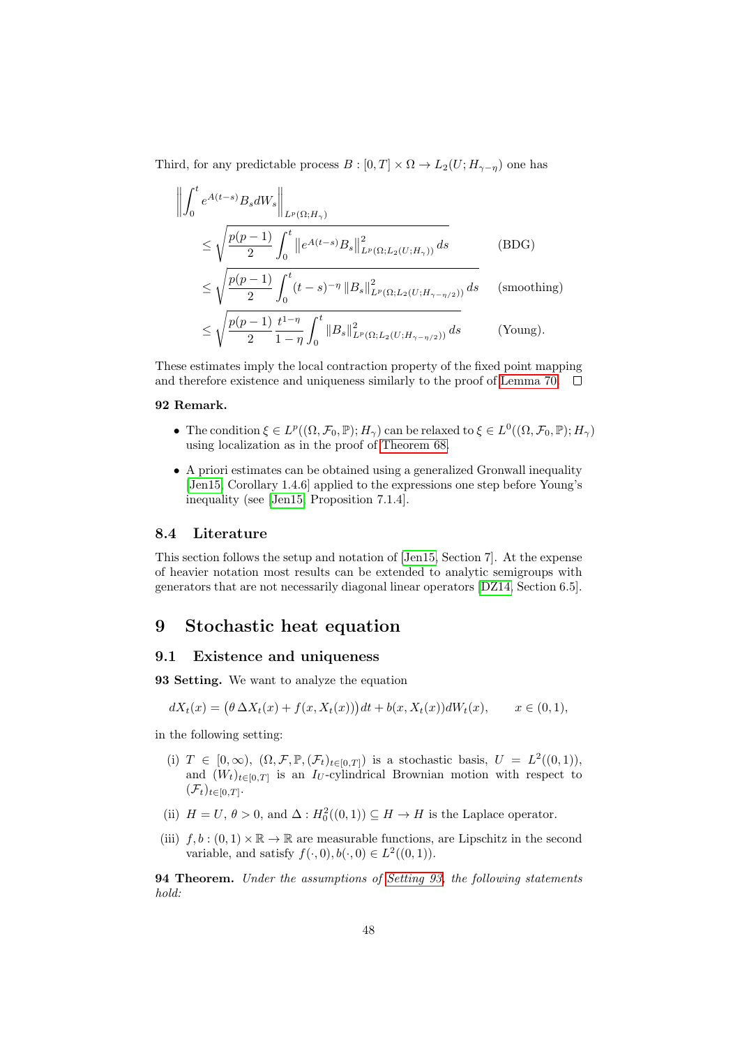Third, for any predictable process  $B : [0, T] \times \Omega \to L_2(U; H_{\gamma - \eta})$  one has

$$
\left\| \int_{0}^{t} e^{A(t-s)} B_{s} dW_{s} \right\|_{L^{p}(\Omega; H_{\gamma})}
$$
\n
$$
\leq \sqrt{\frac{p(p-1)}{2} \int_{0}^{t} \left\| e^{A(t-s)} B_{s} \right\|_{L^{p}(\Omega; L_{2}(U; H_{\gamma}))}^{2}} dS
$$
\n
$$
\leq \sqrt{\frac{p(p-1)}{2} \int_{0}^{t} (t-s)^{-\eta} \left\| B_{s} \right\|_{L^{p}(\Omega; L_{2}(U; H_{\gamma-\eta/2}))}^{2}} dS
$$
\n(5DG)

\n
$$
\leq \sqrt{\frac{p(p-1)}{2} \frac{t^{1-\eta}}{1-\eta} \int_{0}^{t} \left\| B_{s} \right\|_{L^{p}(\Omega; L_{2}(U; H_{\gamma-\eta/2}))}^{2}} dS
$$
\n(Young).

These estimates imply the local contraction property of the fixed point mapping and therefore existence and uniqueness similarly to the proof of [Lemma 70.](#page-32-5)  $\Box$ 

### 92 Remark.

- The condition  $\xi \in L^p((\Omega, \mathcal{F}_0, \mathbb{P}); H_\gamma)$  can be relaxed to  $\xi \in L^0((\Omega, \mathcal{F}_0, \mathbb{P}); H_\gamma)$ using localization as in the proof of [Theorem 68.](#page-31-1)
- A priori estimates can be obtained using a generalized Gronwall inequality [\[Jen15,](#page-56-14) Corollary 1.4.6] applied to the expressions one step before Young's inequality (see [\[Jen15,](#page-56-14) Proposition 7.1.4].

#### <span id="page-47-0"></span>8.4 Literature

This section follows the setup and notation of [\[Jen15,](#page-56-14) Section 7]. At the expense of heavier notation most results can be extended to analytic semigroups with generators that are not necessarily diagonal linear operators [\[DZ14,](#page-56-1) Section 6.5].

## <span id="page-47-1"></span>9 Stochastic heat equation

#### <span id="page-47-2"></span>9.1 Existence and uniqueness

<span id="page-47-3"></span>93 Setting. We want to analyze the equation

$$
dX_t(x) = (\theta \Delta X_t(x) + f(x, X_t(x)))dt + b(x, X_t(x))dW_t(x), \qquad x \in (0, 1),
$$

in the following setting:

- (i)  $T \in [0, \infty)$ ,  $(\Omega, \mathcal{F}, \mathbb{P}, (\mathcal{F}_t)_{t \in [0,T]})$  is a stochastic basis,  $U = L^2((0,1)),$ and  $(W_t)_{t\in[0,T]}$  is an I<sub>U</sub>-cylindrical Brownian motion with respect to  $(\mathcal{F}_t)_{t\in[0,T]}.$
- (ii)  $H = U, \theta > 0$ , and  $\Delta : H_0^2((0,1)) \subseteq H \to H$  is the Laplace operator.
- (iii)  $f, b : (0, 1) \times \mathbb{R} \to \mathbb{R}$  are measurable functions, are Lipschitz in the second variable, and satisfy  $f(\cdot,0), b(\cdot,0) \in L^2((0,1)).$

<span id="page-47-4"></span>**94 Theorem.** Under the assumptions of [Setting 93,](#page-47-3) the following statements hold: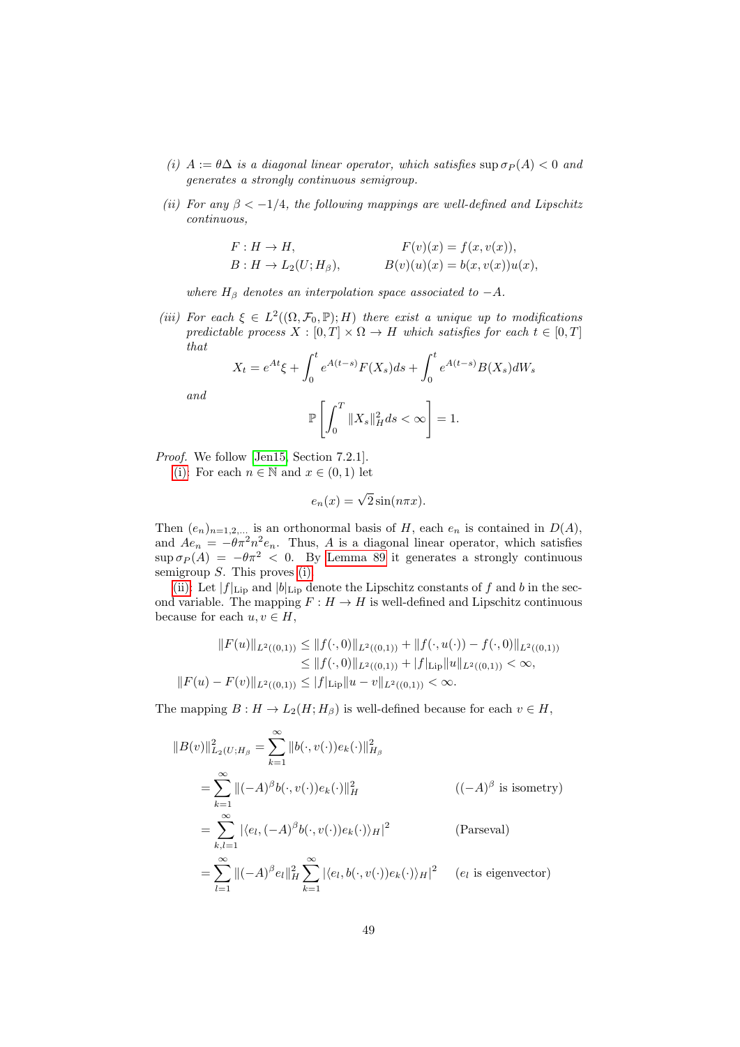- <span id="page-48-0"></span>(i)  $A := \theta \Delta$  is a diagonal linear operator, which satisfies sup  $\sigma_P(A) < 0$  and generates a strongly continuous semigroup.
- <span id="page-48-1"></span>(ii) For any  $\beta < -1/4$ , the following mappings are well-defined and Lipschitz continuous,

$$
F: H \to H,
$$
  
\n
$$
F(v)(x) = f(x, v(x)),
$$
  
\n
$$
B: H \to L_2(U; H_\beta),
$$
  
\n
$$
B(v)(u)(x) = b(x, v(x))u(x),
$$

where  $H_\beta$  denotes an interpolation space associated to  $-A$ .

<span id="page-48-2"></span>(iii) For each  $\xi \in L^2((\Omega, \mathcal{F}_0, \mathbb{P}); H)$  there exist a unique up to modifications predictable process  $X : [0, T] \times \Omega \rightarrow H$  which satisfies for each  $t \in [0, T]$ that

$$
X_t = e^{At} \xi + \int_0^t e^{A(t-s)} F(X_s) ds + \int_0^t e^{A(t-s)} B(X_s) dW_s
$$

and

$$
\mathbb{P}\left[\int_0^T \|X_s\|_H^2 ds < \infty\right] = 1.
$$

Proof. We follow [\[Jen15,](#page-56-14) Section 7.2.1].

[\(i\):](#page-48-0) For each  $n \in \mathbb{N}$  and  $x \in (0,1)$  let

$$
e_n(x) = \sqrt{2}\sin(n\pi x).
$$

Then  $(e_n)_{n=1,2,...}$  is an orthonormal basis of H, each  $e_n$  is contained in  $D(A)$ , and  $Ae_n = -\theta \pi^2 n^2 e_n$ . Thus, A is a diagonal linear operator, which satisfies  $\sup \sigma_P(A) = -\theta \pi^2 < 0$ . By [Lemma 89](#page-44-3) it generates a strongly continuous semigroup  $S$ . This proves [\(i\).](#page-48-0)

[\(ii\):](#page-48-1) Let  $|f|_{\text{Lip}}$  and  $|b|_{\text{Lip}}$  denote the Lipschitz constants of f and b in the second variable. The mapping  $F : H \to H$  is well-defined and Lipschitz continuous because for each  $u, v \in H$ ,

$$
||F(u)||_{L^2((0,1))} \le ||f(\cdot,0)||_{L^2((0,1))} + ||f(\cdot,u(\cdot)) - f(\cdot,0)||_{L^2((0,1))}
$$
  
\n
$$
\le ||f(\cdot,0)||_{L^2((0,1))} + |f|_{\text{Lip}}||u||_{L^2((0,1))} < \infty,
$$
  
\n
$$
||F(u) - F(v)||_{L^2((0,1))} \le |f|_{\text{Lip}}||u - v||_{L^2((0,1))} < \infty.
$$

The mapping  $B: H \to L_2(H; H_\beta)$  is well-defined because for each  $v \in H$ ,

$$
||B(v)||_{L_2(U;H_\beta}^2 = \sum_{k=1}^\infty ||b(\cdot,v(\cdot))e_k(\cdot)||_{H_\beta}^2
$$
  
\n
$$
= \sum_{k=1}^\infty ||(-A)^\beta b(\cdot,v(\cdot))e_k(\cdot)||_H^2 \qquad ((-A)^\beta \text{ is isometry})
$$
  
\n
$$
= \sum_{k,l=1}^\infty |\langle e_l, (-A)^\beta b(\cdot,v(\cdot))e_k(\cdot)\rangle_H|^2 \qquad \text{(Parseval)}
$$
  
\n
$$
= \sum_{l=1}^\infty ||(-A)^\beta e_l||_H^2 \sum_{k=1}^\infty |\langle e_l, b(\cdot,v(\cdot))e_k(\cdot)\rangle_H|^2 \qquad (e_l \text{ is eigenvector})
$$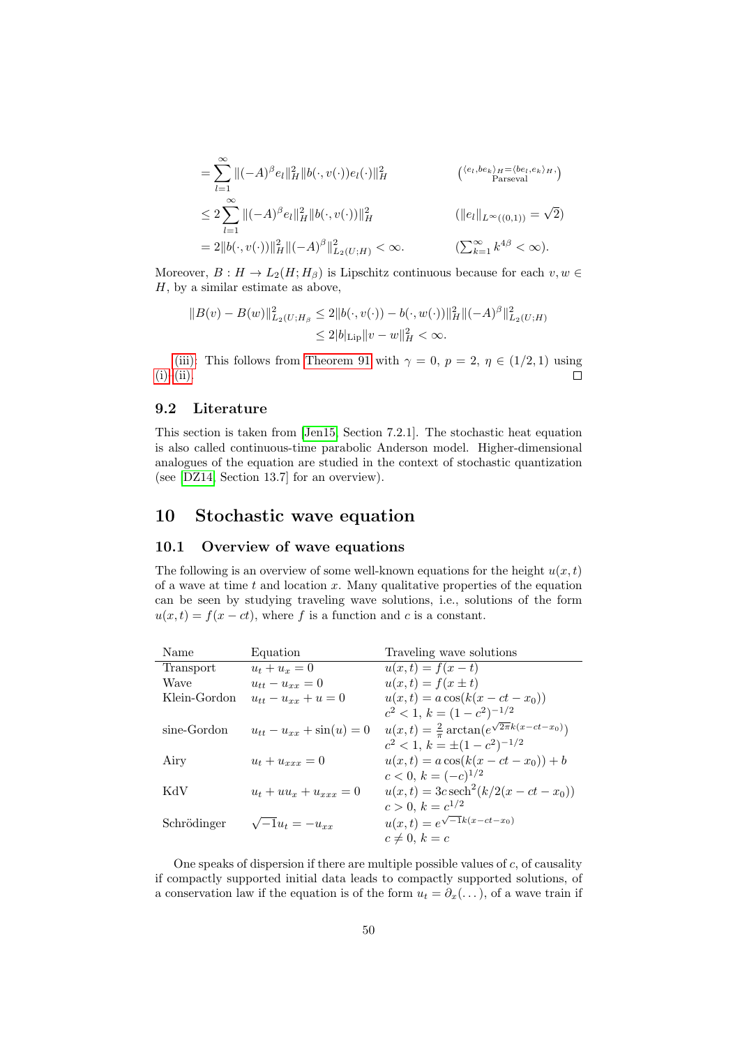$$
= \sum_{l=1}^{\infty} \|(-A)^{\beta} e_l\|_H^2 \|b(\cdot, v(\cdot))e_l(\cdot)\|_H^2 \qquad (\langle e_l, be_k \rangle_H = \langle be_l, e_k \rangle_H, \leq 2 \sum_{l=1}^{\infty} \|(-A)^{\beta} e_l\|_H^2 \|b(\cdot, v(\cdot))\|_H^2 \qquad (\|e_l\|_{L^{\infty}((0,1))} = \sqrt{2}) = 2 \|b(\cdot, v(\cdot))\|_H^2 \|(-A)^{\beta}\|_{L_2(U;H)}^2 < \infty. \qquad (\sum_{k=1}^{\infty} k^{4\beta} < \infty).
$$

Moreover,  $B: H \to L_2(H; H_\beta)$  is Lipschitz continuous because for each  $v, w \in$  $H$ , by a similar estimate as above,

$$
||B(v) - B(w)||_{L_2(U;H_\beta)}^2 \le 2||b(\cdot, v(\cdot)) - b(\cdot, w(\cdot))||_H^2 ||(-A)^\beta||_{L_2(U;H)}^2
$$
  

$$
\le 2|b|_{\text{Lip}} ||v - w||_H^2 < \infty.
$$

[\(iii\):](#page-48-2) This follows from [Theorem 91](#page-46-0) with  $\gamma = 0$ ,  $p = 2$ ,  $\eta \in (1/2, 1)$  using  $(i)$ – $(ii)$ .  $\Box$ 

## <span id="page-49-0"></span>9.2 Literature

This section is taken from [\[Jen15,](#page-56-14) Section 7.2.1]. The stochastic heat equation is also called continuous-time parabolic Anderson model. Higher-dimensional analogues of the equation are studied in the context of stochastic quantization (see [\[DZ14,](#page-56-1) Section 13.7] for an overview).

## <span id="page-49-1"></span>10 Stochastic wave equation

## <span id="page-49-2"></span>10.1 Overview of wave equations

The following is an overview of some well-known equations for the height  $u(x, t)$ of a wave at time  $t$  and location  $x$ . Many qualitative properties of the equation can be seen by studying traveling wave solutions, i.e., solutions of the form  $u(x, t) = f(x - ct)$ , where f is a function and c is a constant.

| Name         | Equation                        | Traveling wave solutions                                     |
|--------------|---------------------------------|--------------------------------------------------------------|
| Transport    | $u_t + u_x = 0$                 | $u(x,t) = f(x - t)$                                          |
| Wave         | $u_{tt} - u_{rr} = 0$           | $u(x,t) = f(x \pm t)$                                        |
| Klein-Gordon | $u_{tt} - u_{xx} + u = 0$       | $u(x,t) = a \cos(k(x - ct - x_0))$                           |
|              |                                 | $c^2 < 1, k = (1 - c^2)^{-1/2}$                              |
| sine-Gordon  | $u_{tt} - u_{xx} + \sin(u) = 0$ | $u(x,t) = \frac{2}{\pi} \arctan(e^{\sqrt{2\pi}k(x-ct-x_0)})$ |
|              |                                 | $c^2 < 1, k = \pm (1 - c^2)^{-1/2}$                          |
| Airy         | $u_t + u_{xxx} = 0$             | $u(x,t) = a \cos(k(x - ct - x_0)) + b$                       |
|              |                                 | $c < 0, k = (-c)^{1/2}$                                      |
| KdV          | $u_t + uu_x + u_{xxx} = 0$      | $u(x,t) = 3c \operatorname{sech}^{2}(k/2(x - ct - x_{0}))$   |
|              |                                 | $c > 0, k = c^{1/2}$                                         |
| Schrödinger  | $\sqrt{-1}u_t = -u_{xx}$        | $u(x,t) = e^{\sqrt{-1}k(x-ct-x_0)}$                          |
|              |                                 | $c \neq 0, k = c$                                            |

One speaks of dispersion if there are multiple possible values of  $c$ , of causality if compactly supported initial data leads to compactly supported solutions, of a conservation law if the equation is of the form  $u_t = \partial_x(\dots)$ , of a wave train if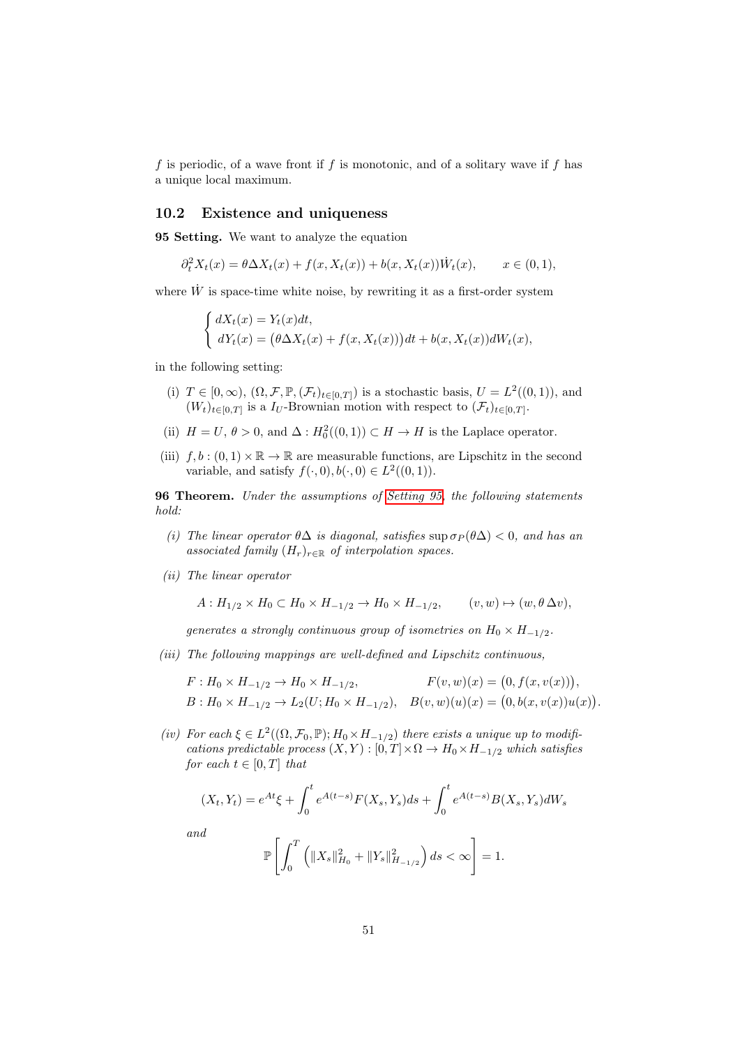f is periodic, of a wave front if f is monotonic, and of a solitary wave if f has a unique local maximum.

#### <span id="page-50-0"></span>10.2 Existence and uniqueness

<span id="page-50-1"></span>95 Setting. We want to analyze the equation

$$
\partial_t^2 X_t(x) = \theta \Delta X_t(x) + f(x, X_t(x)) + b(x, X_t(x)) \dot{W}_t(x), \qquad x \in (0, 1),
$$

where  $\dot{W}$  is space-time white noise, by rewriting it as a first-order system

$$
\begin{cases} dX_t(x) = Y_t(x)dt, \\ dY_t(x) = (\theta \Delta X_t(x) + f(x, X_t(x)))dt + b(x, X_t(x))dW_t(x), \end{cases}
$$

in the following setting:

- (i)  $T \in [0, \infty)$ ,  $(\Omega, \mathcal{F}, \mathbb{P}, (\mathcal{F}_t)_{t \in [0, T]})$  is a stochastic basis,  $U = L^2((0, 1))$ , and  $(W_t)_{t\in[0,T]}$  is a  $I_U$ -Brownian motion with respect to  $(\mathcal{F}_t)_{t\in[0,T]}$ .
- (ii)  $H = U, \theta > 0$ , and  $\Delta : H_0^2((0,1)) \subset H \to H$  is the Laplace operator.
- (iii)  $f, b : (0, 1) \times \mathbb{R} \to \mathbb{R}$  are measurable functions, are Lipschitz in the second variable, and satisfy  $f(\cdot,0), b(\cdot,0) \in L^2((0,1)).$

96 Theorem. Under the assumptions of [Setting 95,](#page-50-1) the following statements hold:

- <span id="page-50-2"></span>(i) The linear operator  $\theta \Delta$  is diagonal, satisfies sup  $\sigma_P(\theta \Delta) < 0$ , and has an associated family  $(H_r)_{r \in \mathbb{R}}$  of interpolation spaces.
- <span id="page-50-3"></span>(ii) The linear operator

$$
A: H_{1/2} \times H_0 \subset H_0 \times H_{-1/2} \to H_0 \times H_{-1/2}, \qquad (v, w) \mapsto (w, \theta \Delta v),
$$

generates a strongly continuous group of isometries on  $H_0 \times H_{-1/2}$ .

<span id="page-50-4"></span>(iii) The following mappings are well-defined and Lipschitz continuous,

$$
F: H_0 \times H_{-1/2} \to H_0 \times H_{-1/2}, \qquad F(v, w)(x) = (0, f(x, v(x))),
$$
  
\n
$$
B: H_0 \times H_{-1/2} \to L_2(U; H_0 \times H_{-1/2}), \quad B(v, w)(u)(x) = (0, b(x, v(x))u(x)).
$$

<span id="page-50-5"></span>(iv) For each  $\xi \in L^2((\Omega, \mathcal{F}_0, \mathbb{P}); H_0 \times H_{-1/2})$  there exists a unique up to modifications predictable process  $(X, Y) : [0, T] \times \Omega \to H_0 \times H_{-1/2}$  which satisfies for each  $t \in [0, T]$  that

$$
(X_t, Y_t) = e^{At} \xi + \int_0^t e^{A(t-s)} F(X_s, Y_s) ds + \int_0^t e^{A(t-s)} B(X_s, Y_s) dW_s
$$

and

$$
\mathbb{P}\left[\int_0^T \left(\|X_s\|_{H_0}^2 + \|Y_s\|_{H_{-1/2}}^2\right) ds < \infty\right] = 1.
$$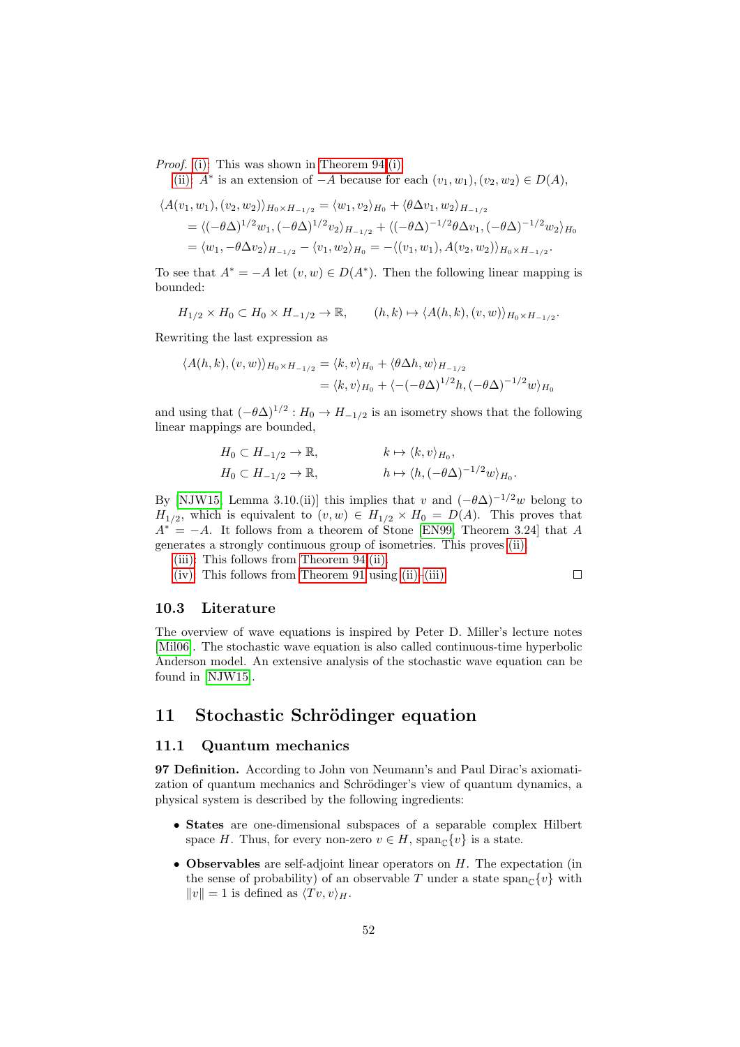Proof. [\(i\):](#page-50-2) This was shown in [Theorem 94.](#page-47-4)[\(i\).](#page-48-0)

[\(ii\):](#page-50-3)  $A^*$  is an extension of  $-A$  because for each  $(v_1, w_1), (v_2, w_2) \in D(A)$ ,

$$
\langle A(v_1, w_1), (v_2, w_2) \rangle_{H_0 \times H_{-1/2}} = \langle w_1, v_2 \rangle_{H_0} + \langle \theta \Delta v_1, w_2 \rangle_{H_{-1/2}}
$$
  
=  $\langle (-\theta \Delta)^{1/2} w_1, (-\theta \Delta)^{1/2} v_2 \rangle_{H_{-1/2}} + \langle (-\theta \Delta)^{-1/2} \theta \Delta v_1, (-\theta \Delta)^{-1/2} w_2 \rangle_{H_0}$   
=  $\langle w_1, -\theta \Delta v_2 \rangle_{H_{-1/2}} - \langle v_1, w_2 \rangle_{H_0} = -\langle (v_1, w_1), A(v_2, w_2) \rangle_{H_0 \times H_{-1/2}}.$ 

To see that  $A^* = -A$  let  $(v, w) \in D(A^*)$ . Then the following linear mapping is bounded:

$$
H_{1/2} \times H_0 \subset H_0 \times H_{-1/2} \to \mathbb{R}, \qquad (h,k) \mapsto \langle A(h,k), (v,w) \rangle_{H_0 \times H_{-1/2}}.
$$

Rewriting the last expression as

$$
\langle A(h,k), (v,w) \rangle_{H_0 \times H_{-1/2}} = \langle k, v \rangle_{H_0} + \langle \theta \Delta h, w \rangle_{H_{-1/2}}
$$
  
=  $\langle k, v \rangle_{H_0} + \langle -(-\theta \Delta)^{1/2} h, (-\theta \Delta)^{-1/2} w \rangle_{H_0}$ 

and using that  $(-\theta \Delta)^{1/2}$ :  $H_0 \to H_{-1/2}$  is an isometry shows that the following linear mappings are bounded,

$$
H_0 \subset H_{-1/2} \to \mathbb{R}, \qquad k \mapsto \langle k, v \rangle_{H_0},
$$
  
\n
$$
H_0 \subset H_{-1/2} \to \mathbb{R}, \qquad h \mapsto \langle h, (-\theta \Delta)^{-1/2} w \rangle_{H_0}.
$$

By [\[NJW15,](#page-56-16) Lemma 3.10.(ii)] this implies that v and  $(-\theta \Delta)^{-1/2}w$  belong to  $H_{1/2}$ , which is equivalent to  $(v, w) \in H_{1/2} \times H_0 = D(A)$ . This proves that  $A^* = -A$ . It follows from a theorem of Stone [\[EN99,](#page-56-15) Theorem 3.24] that A generates a strongly continuous group of isometries. This proves [\(ii\).](#page-50-3)

[\(iii\):](#page-50-4) This follows from [Theorem 94.](#page-47-4)[\(ii\).](#page-48-1)

[\(iv\):](#page-50-5) This follows from [Theorem 91](#page-46-0) using [\(ii\)](#page-50-3)[–\(iii\).](#page-50-4)

$$
\qquad \qquad \Box
$$

#### <span id="page-51-0"></span>10.3 Literature

The overview of wave equations is inspired by Peter D. Miller's lecture notes [\[Mil06\]](#page-56-17). The stochastic wave equation is also called continuous-time hyperbolic Anderson model. An extensive analysis of the stochastic wave equation can be found in [\[NJW15\]](#page-56-16).

## <span id="page-51-1"></span>11 Stochastic Schrödinger equation

## <span id="page-51-2"></span>11.1 Quantum mechanics

97 Definition. According to John von Neumann's and Paul Dirac's axiomatization of quantum mechanics and Schrödinger's view of quantum dynamics, a physical system is described by the following ingredients:

- States are one-dimensional subspaces of a separable complex Hilbert space H. Thus, for every non-zero  $v \in H$ , span<sub>C</sub> $\{v\}$  is a state.
- Observables are self-adjoint linear operators on  $H$ . The expectation (in the sense of probability) of an observable T under a state  $\text{span}_{\mathcal{C}}\{v\}$  with  $||v|| = 1$  is defined as  $\langle Tv, v \rangle_H$ .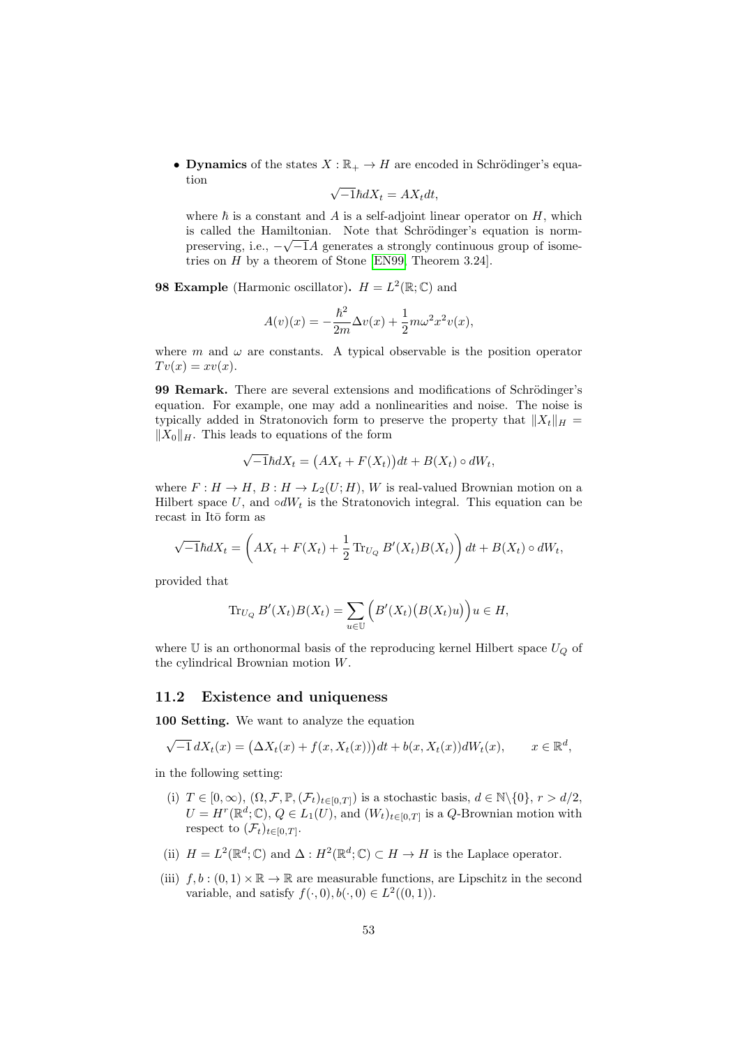• Dynamics of the states  $X : \mathbb{R}_+ \to H$  are encoded in Schrödinger's equation √

$$
\sqrt{-1}\hbar dX_t = AX_t dt,
$$

where  $\hbar$  is a constant and A is a self-adjoint linear operator on H, which is called the Hamiltonian. Note that Schrödinger's equation is normpreserving, i.e.,  $-\sqrt{-1}A$  generates a strongly continuous group of isometries on H by a theorem of Stone [\[EN99,](#page-56-15) Theorem 3.24].

**98 Example** (Harmonic oscillator).  $H = L^2(\mathbb{R}; \mathbb{C})$  and

$$
A(v)(x)=-\frac{\hbar^2}{2m}\Delta v(x)+\frac{1}{2}m\omega^2x^2v(x),
$$

where m and  $\omega$  are constants. A typical observable is the position operator  $Tv(x)=xv(x).$ 

99 Remark. There are several extensions and modifications of Schrödinger's equation. For example, one may add a nonlinearities and noise. The noise is typically added in Stratonovich form to preserve the property that  $||X_t||_H =$  $||X_0||_H$ . This leads to equations of the form

$$
\sqrt{-1}\hbar dX_t = (AX_t + F(X_t))dt + B(X_t) \circ dW_t,
$$

where  $F: H \to H$ ,  $B: H \to L_2(U;H)$ , W is real-valued Brownian motion on a Hilbert space U, and  $\circ dW_t$  is the Stratonovich integral. This equation can be recast in Itō form as

$$
\sqrt{-1}\hbar dX_t = \left(AX_t + F(X_t) + \frac{1}{2}\operatorname{Tr}_{U_Q}B'(X_t)B(X_t)\right)dt + B(X_t) \circ dW_t,
$$

provided that

$$
\operatorname{Tr}_{U_Q} B'(X_t)B(X_t) = \sum_{u \in \mathbb{U}} \Big( B'(X_t) \big( B(X_t)u \big) \Big) u \in H,
$$

where  $U$  is an orthonormal basis of the reproducing kernel Hilbert space  $U_Q$  of the cylindrical Brownian motion W.

#### <span id="page-52-0"></span>11.2 Existence and uniqueness

<span id="page-52-1"></span>100 Setting. We want to analyze the equation

$$
\sqrt{-1} dX_t(x) = (\Delta X_t(x) + f(x, X_t(x)))dt + b(x, X_t(x))dW_t(x), \qquad x \in \mathbb{R}^d,
$$

in the following setting:

- (i)  $T \in [0, \infty)$ ,  $(\Omega, \mathcal{F}, \mathbb{P}, (\mathcal{F}_t)_{t \in [0,T]})$  is a stochastic basis,  $d \in \mathbb{N} \setminus \{0\}, r > d/2$ ,  $U = H^r(\mathbb{R}^d; \mathbb{C}), Q \in L_1(U)$ , and  $(W_t)_{t \in [0,T]}$  is a Q-Brownian motion with respect to  $(\mathcal{F}_t)_{t\in[0,T]}$ .
- (ii)  $H = L^2(\mathbb{R}^d; \mathbb{C})$  and  $\Delta : H^2(\mathbb{R}^d; \mathbb{C}) \subset H \to H$  is the Laplace operator.
- (iii)  $f, b : (0, 1) \times \mathbb{R} \to \mathbb{R}$  are measurable functions, are Lipschitz in the second variable, and satisfy  $f(\cdot,0), b(\cdot,0) \in L^2((0,1)).$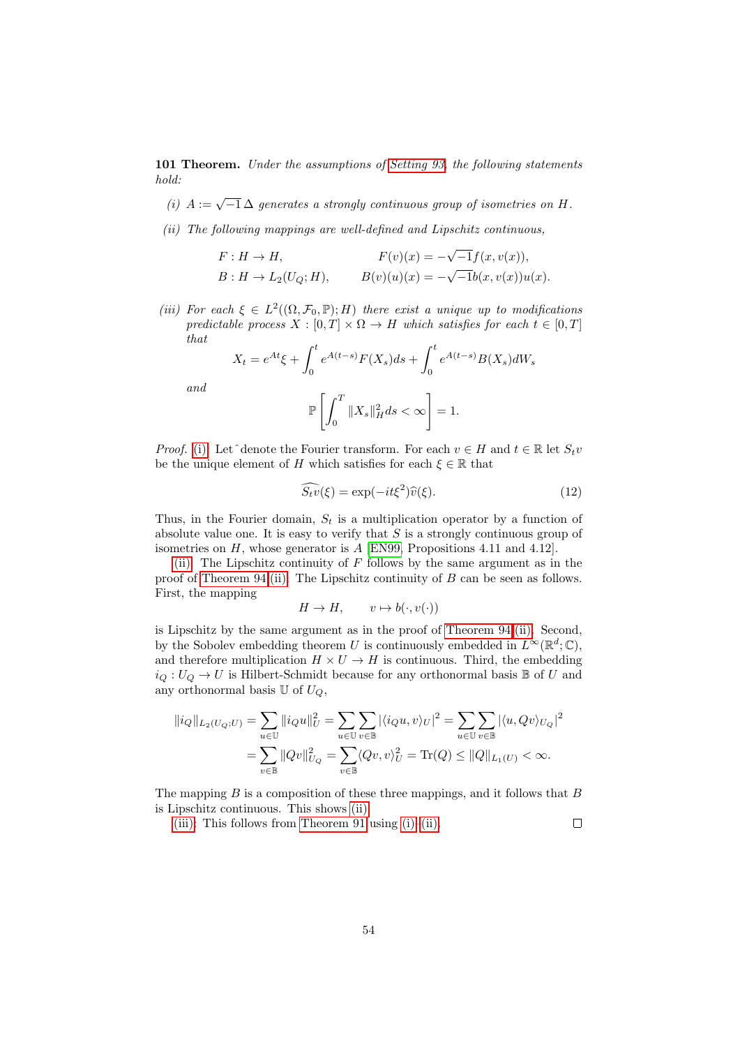<span id="page-53-3"></span>101 Theorem. Under the assumptions of [Setting 93,](#page-47-3) the following statements hold:

- <span id="page-53-0"></span>(i)  $A := \sqrt{-1} \Delta$  generates a strongly continuous group of isometries on H.
- <span id="page-53-1"></span>(ii) The following mappings are well-defined and Lipschitz continuous,

$$
F: H \to H, \qquad F(v)(x) = -\sqrt{-1}f(x, v(x)),
$$
  
\n
$$
B: H \to L_2(U_Q; H), \qquad B(v)(u)(x) = -\sqrt{-1}b(x, v(x))u(x).
$$

<span id="page-53-2"></span>(iii) For each  $\xi \in L^2((\Omega, \mathcal{F}_0, \mathbb{P}); H)$  there exist a unique up to modifications predictable process  $X : [0, T] \times \Omega \rightarrow H$  which satisfies for each  $t \in [0, T]$ that

$$
X_t = e^{At} \xi + \int_0^t e^{A(t-s)} F(X_s) ds + \int_0^t e^{A(t-s)} B(X_s) dW_s
$$

and

$$
\mathbb{P}\left[\int_0^T \|X_s\|_H^2 ds < \infty\right] = 1.
$$

*Proof.* [\(i\):](#page-53-0) Let^denote the Fourier transform. For each  $v \in H$  and  $t \in \mathbb{R}$  let  $S_t v$ be the unique element of H which satisfies for each  $\xi \in \mathbb{R}$  that

$$
\widehat{S_t v}(\xi) = \exp(-it\xi^2)\widehat{v}(\xi). \tag{12}
$$

 $\Box$ 

Thus, in the Fourier domain,  $S_t$  is a multiplication operator by a function of absolute value one. It is easy to verify that  $S$  is a strongly continuous group of isometries on  $H$ , whose generator is  $A$  [\[EN99,](#page-56-15) Propositions 4.11 and 4.12].

[\(ii\):](#page-53-1) The Lipschitz continuity of  $F$  follows by the same argument as in the proof of [Theorem 94](#page-47-4)[.\(ii\).](#page-48-1) The Lipschitz continuity of  $B$  can be seen as follows. First, the mapping

$$
H \to H, \qquad v \mapsto b(\cdot, v(\cdot))
$$

is Lipschitz by the same argument as in the proof of [Theorem 94.](#page-47-4)[\(ii\).](#page-48-1) Second, by the Sobolev embedding theorem U is continuously embedded in  $L^{\infty}(\mathbb{R}^d;\mathbb{C}),$ and therefore multiplication  $H \times U \to H$  is continuous. Third, the embedding  $i_Q: U_Q \to U$  is Hilbert-Schmidt because for any orthonormal basis B of U and any orthonormal basis  $\mathbb U$  of  $U_Q$ ,

$$
\begin{aligned} \Vert i_Q \Vert_{L_2(U_Q;U)} &= \sum_{u \in \mathbb{U}} \Vert i_Q u \Vert_U^2 = \sum_{u \in \mathbb{U}} \sum_{v \in \mathbb{B}} \vert \langle i_Q u, v \rangle_U \vert^2 = \sum_{u \in \mathbb{U}} \sum_{v \in \mathbb{B}} \vert \langle u, Qv \rangle_{U_Q} \vert^2 \\ &= \sum_{v \in \mathbb{B}} \Vert Qv \Vert_{U_Q}^2 = \sum_{v \in \mathbb{B}} \langle Qv, v \rangle_U^2 = \text{Tr}(Q) \leq \Vert Q \Vert_{L_1(U)} < \infty. \end{aligned}
$$

The mapping  $B$  is a composition of these three mappings, and it follows that  $B$ is Lipschitz continuous. This shows [\(ii\).](#page-53-1)

[\(iii\):](#page-53-2) This follows from [Theorem 91](#page-46-0) using  $(i)$ –[\(ii\).](#page-53-1)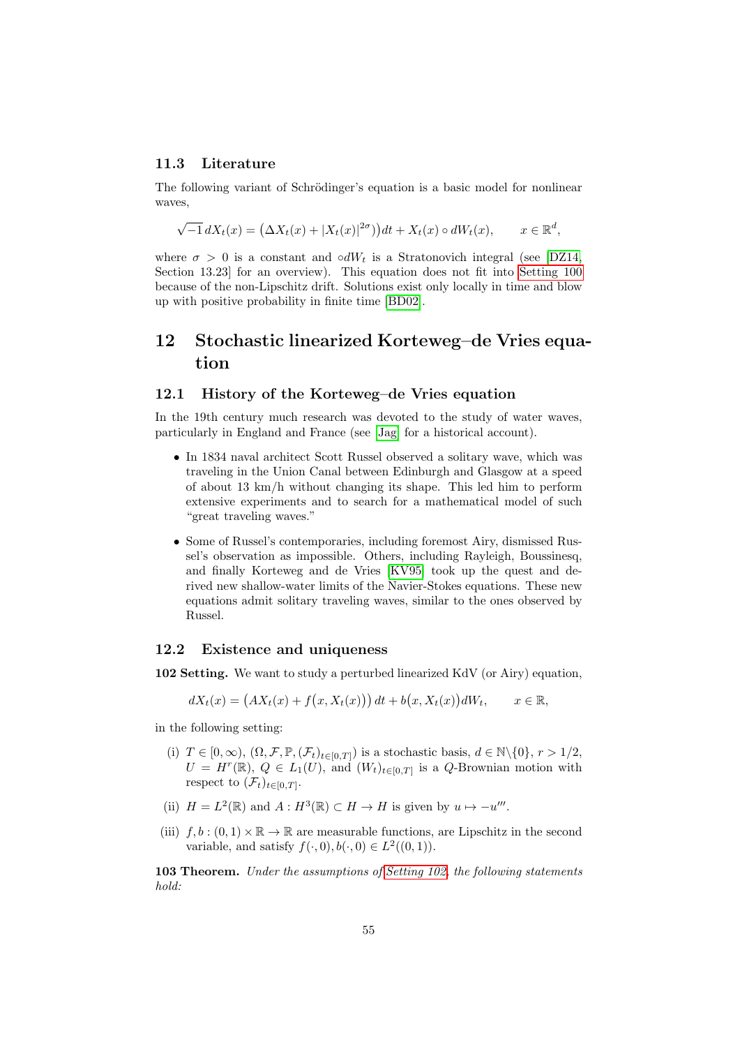#### <span id="page-54-0"></span>11.3 Literature

The following variant of Schrödinger's equation is a basic model for nonlinear waves,

$$
\sqrt{-1} dX_t(x) = (\Delta X_t(x) + |X_t(x)|^{2\sigma}) dt + X_t(x) \circ dW_t(x), \qquad x \in \mathbb{R}^d,
$$

where  $\sigma > 0$  is a constant and ∘dW<sub>t</sub> is a Stratonovich integral (see [\[DZ14,](#page-56-1) Section 13.23] for an overview). This equation does not fit into [Setting 100](#page-52-1) because of the non-Lipschitz drift. Solutions exist only locally in time and blow up with positive probability in finite time [\[BD02\]](#page-55-3).

## <span id="page-54-1"></span>12 Stochastic linearized Korteweg–de Vries equation

#### <span id="page-54-2"></span>12.1 History of the Korteweg–de Vries equation

In the 19th century much research was devoted to the study of water waves, particularly in England and France (see [\[Jag\]](#page-56-18) for a historical account).

- In 1834 naval architect Scott Russel observed a solitary wave, which was traveling in the Union Canal between Edinburgh and Glasgow at a speed of about 13 km/h without changing its shape. This led him to perform extensive experiments and to search for a mathematical model of such "great traveling waves."
- Some of Russel's contemporaries, including foremost Airy, dismissed Russel's observation as impossible. Others, including Rayleigh, Boussinesq, and finally Korteweg and de Vries [\[KV95\]](#page-56-19) took up the quest and derived new shallow-water limits of the Navier-Stokes equations. These new equations admit solitary traveling waves, similar to the ones observed by Russel.

#### <span id="page-54-3"></span>12.2 Existence and uniqueness

<span id="page-54-4"></span>102 Setting. We want to study a perturbed linearized KdV (or Airy) equation,

$$
dX_t(x) = (AX_t(x) + f(x, X_t(x))) dt + b(x, X_t(x))dW_t, \qquad x \in \mathbb{R},
$$

in the following setting:

- (i)  $T \in [0, \infty)$ ,  $(\Omega, \mathcal{F}, \mathbb{P}, (\mathcal{F}_t)_{t \in [0,T]})$  is a stochastic basis,  $d \in \mathbb{N} \setminus \{0\}, r > 1/2$ ,  $U = H^r(\mathbb{R}), Q \in L_1(U)$ , and  $(W_t)_{t \in [0,T]}$  is a Q-Brownian motion with respect to  $(\mathcal{F}_t)_{t\in[0,T]}$ .
- (ii)  $H = L^2(\mathbb{R})$  and  $A : H^3(\mathbb{R}) \subset H \to H$  is given by  $u \mapsto -u'''$ .
- (iii)  $f, b : (0, 1) \times \mathbb{R} \to \mathbb{R}$  are measurable functions, are Lipschitz in the second variable, and satisfy  $f(\cdot,0), b(\cdot,0) \in L^2((0,1)).$

103 Theorem. Under the assumptions of [Setting 102,](#page-54-4) the following statements hold: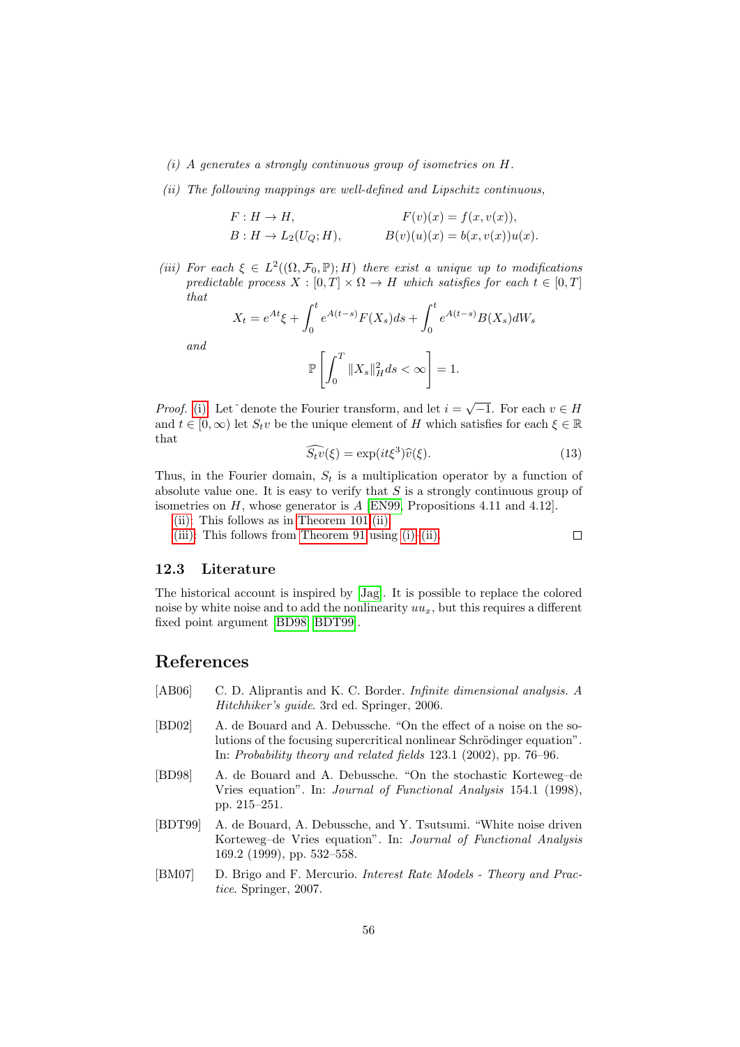#### <span id="page-55-4"></span>(i) A generates a strongly continuous group of isometries on H.

<span id="page-55-5"></span>(ii) The following mappings are well-defined and Lipschitz continuous,

$$
F: H \to H,
$$
  
\n
$$
F(v)(x) = f(x, v(x)),
$$
  
\n
$$
B: H \to L_2(U_Q; H),
$$
  
\n
$$
B(v)(u)(x) = b(x, v(x))u(x).
$$

<span id="page-55-6"></span>(iii) For each  $\xi \in L^2((\Omega, \mathcal{F}_0, \mathbb{P}); H)$  there exist a unique up to modifications predictable process  $X : [0, T] \times \Omega \to H$  which satisfies for each  $t \in [0, T]$ that

$$
X_t = e^{At} \xi + \int_0^t e^{A(t-s)} F(X_s) ds + \int_0^t e^{A(t-s)} B(X_s) dW_s
$$

and

$$
\mathbb{P}\left[\int_0^T \|X_s\|_H^2 ds < \infty\right] = 1.
$$

*Proof.* [\(i\):](#page-55-4) Let  $\hat{ }$  denote the Fourier transform, and let  $i = \sqrt{-1}$ . For each  $v \in H$ and  $t \in [0, \infty)$  let  $S_t v$  be the unique element of H which satisfies for each  $\xi \in \mathbb{R}$ that

$$
\widehat{S_t v}(\xi) = \exp(it\xi^3)\widehat{v}(\xi). \tag{13}
$$

 $\Box$ 

Thus, in the Fourier domain,  $S_t$  is a multiplication operator by a function of absolute value one. It is easy to verify that  $S$  is a strongly continuous group of isometries on  $H$ , whose generator is  $A$  [\[EN99,](#page-56-15) Propositions 4.11 and 4.12].

[\(ii\):](#page-55-5) This follows as in [Theorem 101.](#page-53-3)[\(ii\).](#page-53-1)

[\(iii\):](#page-55-6) This follows from [Theorem 91](#page-46-0) using  $(i)$ –[\(ii\).](#page-55-5)

### <span id="page-55-0"></span>12.3 Literature

The historical account is inspired by [\[Jag\]](#page-56-18). It is possible to replace the colored noise by white noise and to add the nonlinearity  $uu_x$ , but this requires a different fixed point argument [\[BD98;](#page-55-7) [BDT99\]](#page-55-8).

## References

- <span id="page-55-1"></span>[AB06] C. D. Aliprantis and K. C. Border. *Infinite dimensional analysis. A* Hitchhiker's guide. 3rd ed. Springer, 2006.
- <span id="page-55-3"></span>[BD02] A. de Bouard and A. Debussche. "On the effect of a noise on the solutions of the focusing supercritical nonlinear Schrödinger equation". In: Probability theory and related fields 123.1 (2002), pp. 76–96.
- <span id="page-55-7"></span>[BD98] A. de Bouard and A. Debussche. "On the stochastic Korteweg–de Vries equation". In: Journal of Functional Analysis 154.1 (1998), pp. 215–251.
- <span id="page-55-8"></span>[BDT99] A. de Bouard, A. Debussche, and Y. Tsutsumi. "White noise driven Korteweg–de Vries equation". In: Journal of Functional Analysis 169.2 (1999), pp. 532–558.
- <span id="page-55-2"></span>[BM07] D. Brigo and F. Mercurio. Interest Rate Models - Theory and Practice. Springer, 2007.